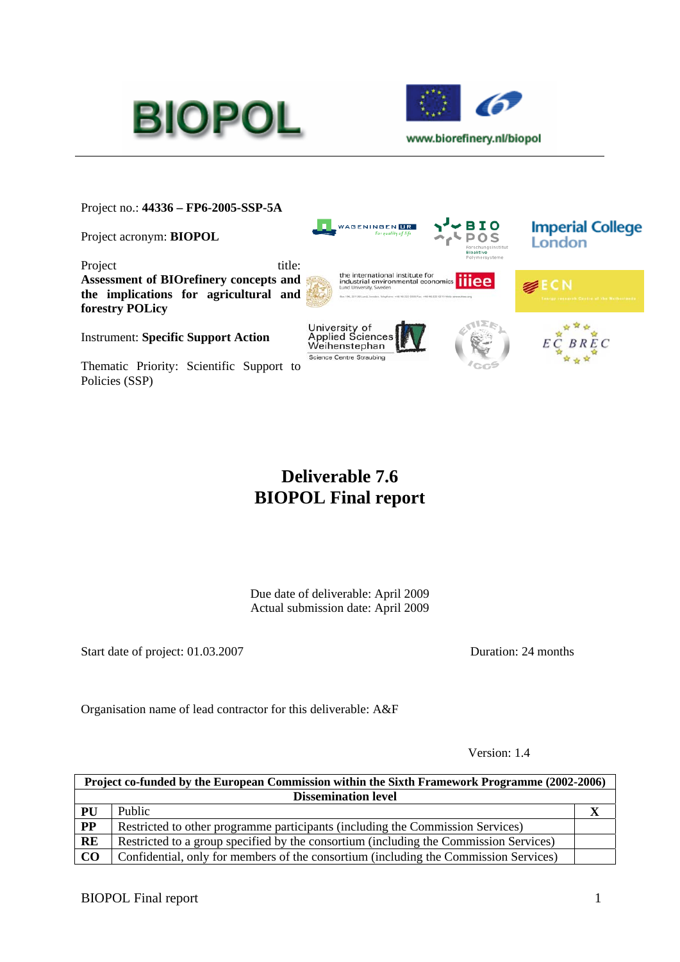



Project no.: **44336 – FP6-2005-SSP-5A** 

Project acronym: **BIOPOL**

Project title: **Assessment of BIOrefinery concepts and the implications for agricultural and forestry POLicy**

Instrument: **Specific Support Action**

Thematic Priority: Scientific Support to Policies (SSP)



# **Deliverable 7.6 BIOPOL Final report**

Due date of deliverable: April 2009 Actual submission date: April 2009

Start date of project: 01.03.2007 Duration: 24 months

Organisation name of lead contractor for this deliverable: A&F

Version: 1.4

| Project co-funded by the European Commission within the Sixth Framework Programme (2002-2006) |                                                                                       |  |
|-----------------------------------------------------------------------------------------------|---------------------------------------------------------------------------------------|--|
| <b>Dissemination level</b>                                                                    |                                                                                       |  |
| PU                                                                                            | Public                                                                                |  |
| $\overline{PP}$                                                                               | Restricted to other programme participants (including the Commission Services)        |  |
| RE                                                                                            | Restricted to a group specified by the consortium (including the Commission Services) |  |
| $\bf CO$                                                                                      | Confidential, only for members of the consortium (including the Commission Services)  |  |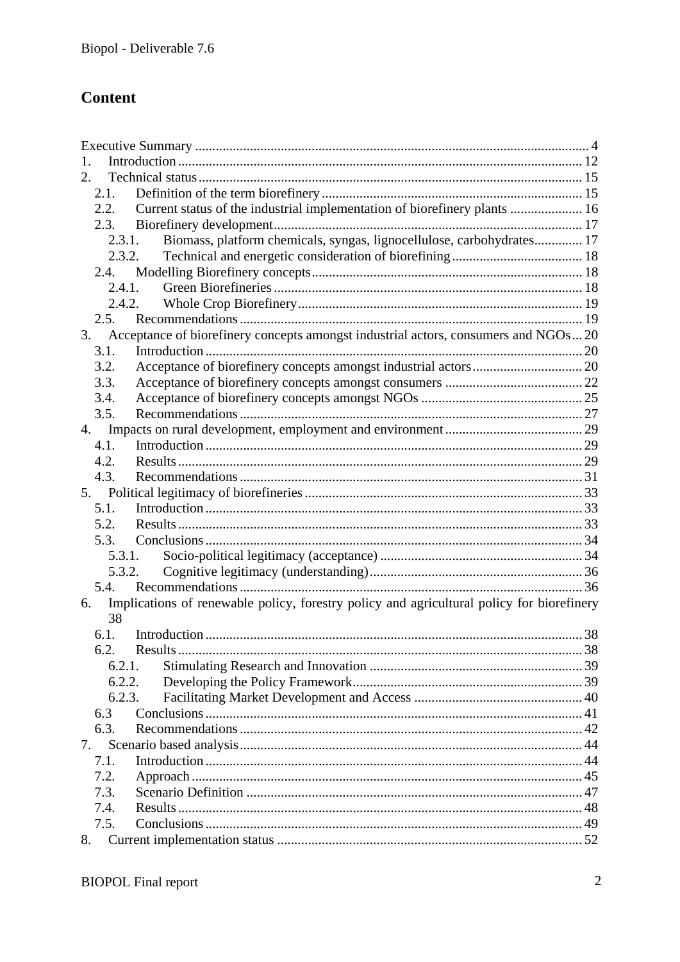# **Content**

| 2.                                                                                              |  |
|-------------------------------------------------------------------------------------------------|--|
| 2.1.                                                                                            |  |
| Current status of the industrial implementation of biorefinery plants  16<br>2.2.               |  |
| 2.3.                                                                                            |  |
| Biomass, platform chemicals, syngas, lignocellulose, carbohydrates 17<br>2.3.1.                 |  |
| 2.3.2.                                                                                          |  |
|                                                                                                 |  |
| 2.4.1.                                                                                          |  |
| 2.4.2.                                                                                          |  |
| 2.5.                                                                                            |  |
| Acceptance of biorefinery concepts amongst industrial actors, consumers and NGOs 20<br>3.       |  |
| 3.1.                                                                                            |  |
| 3.2.                                                                                            |  |
| 3.3.                                                                                            |  |
| 3.4.                                                                                            |  |
| 3.5.                                                                                            |  |
| 4.                                                                                              |  |
| 4.1.                                                                                            |  |
| 4.2.                                                                                            |  |
| 4.3.                                                                                            |  |
| 5.                                                                                              |  |
| 5.1.                                                                                            |  |
| 5.2.                                                                                            |  |
| 5.3.                                                                                            |  |
| 5.3.1.                                                                                          |  |
| 5.3.2.                                                                                          |  |
| 5.4.                                                                                            |  |
| Implications of renewable policy, forestry policy and agricultural policy for biorefinery<br>6. |  |
| 38                                                                                              |  |
| 6.1.                                                                                            |  |
| 6.2<br>Results                                                                                  |  |
| 6.2.1.                                                                                          |  |
| 6.2.2.                                                                                          |  |
| 6.2.3.                                                                                          |  |
| 6.3                                                                                             |  |
| 6.3.                                                                                            |  |
| 7.                                                                                              |  |
| 7.1.                                                                                            |  |
| 7.2.                                                                                            |  |
| 7.3.                                                                                            |  |
| 7.4.                                                                                            |  |
| 7.5.                                                                                            |  |
| 8.                                                                                              |  |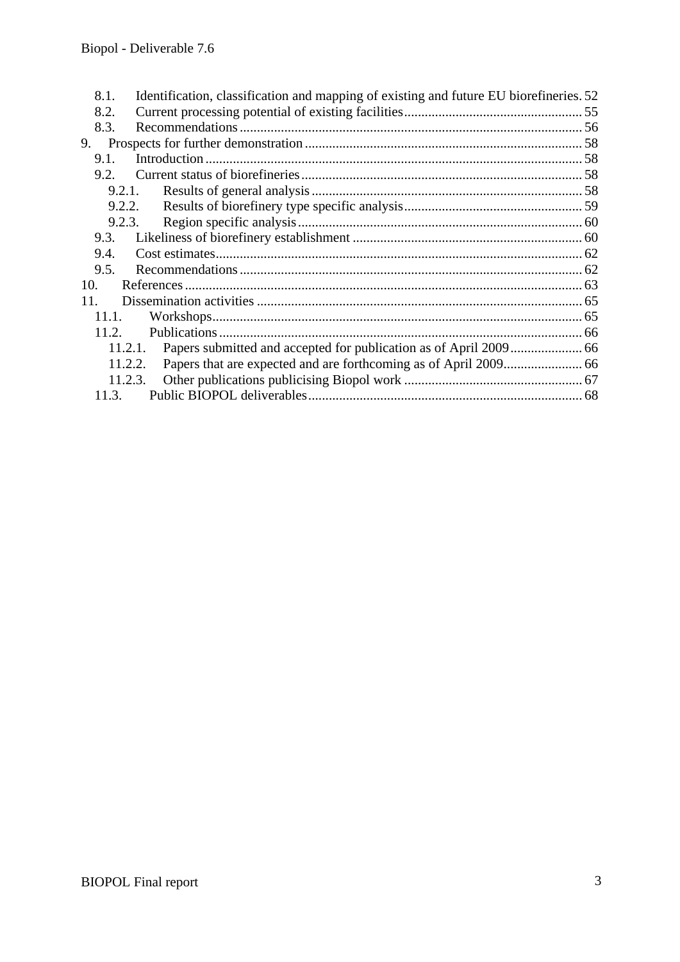| 8.1.    | Identification, classification and mapping of existing and future EU biorefineries. 52 |  |
|---------|----------------------------------------------------------------------------------------|--|
| 8.2.    |                                                                                        |  |
| 8.3.    |                                                                                        |  |
| 9.      |                                                                                        |  |
| $9.1$ . |                                                                                        |  |
| 9.2.    |                                                                                        |  |
|         | 9.2.1.                                                                                 |  |
|         | 9.2.2.                                                                                 |  |
|         | 9.2.3.                                                                                 |  |
| 9.3.    |                                                                                        |  |
| 9.4.    |                                                                                        |  |
| 9.5.    |                                                                                        |  |
| 10.     |                                                                                        |  |
| 11.     |                                                                                        |  |
| 11.1.   |                                                                                        |  |
| 11.2.   |                                                                                        |  |
| 11.2.1. |                                                                                        |  |
| 11.2.2. |                                                                                        |  |
|         | 11.2.3.                                                                                |  |
| 11.3.   |                                                                                        |  |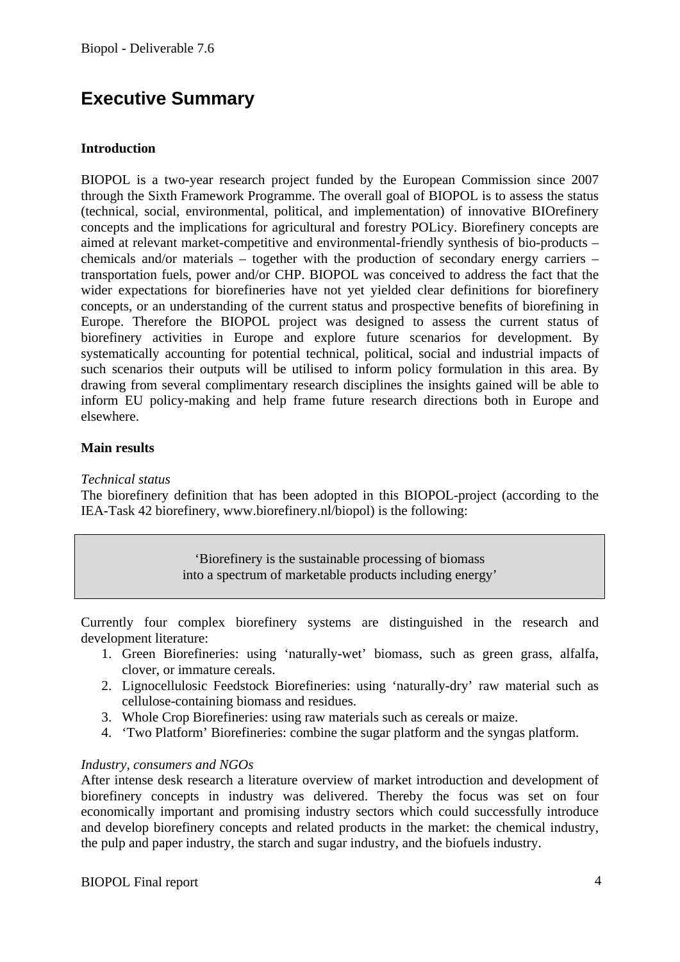# **Executive Summary**

#### **Introduction**

BIOPOL is a two-year research project funded by the European Commission since 2007 through the Sixth Framework Programme. The overall goal of BIOPOL is to assess the status (technical, social, environmental, political, and implementation) of innovative BIOrefinery concepts and the implications for agricultural and forestry POLicy. Biorefinery concepts are aimed at relevant market-competitive and environmental-friendly synthesis of bio-products – chemicals and/or materials – together with the production of secondary energy carriers – transportation fuels, power and/or CHP. BIOPOL was conceived to address the fact that the wider expectations for biorefineries have not yet yielded clear definitions for biorefinery concepts, or an understanding of the current status and prospective benefits of biorefining in Europe. Therefore the BIOPOL project was designed to assess the current status of biorefinery activities in Europe and explore future scenarios for development. By systematically accounting for potential technical, political, social and industrial impacts of such scenarios their outputs will be utilised to inform policy formulation in this area. By drawing from several complimentary research disciplines the insights gained will be able to inform EU policy-making and help frame future research directions both in Europe and elsewhere.

#### **Main results**

*Technical status* 

The biorefinery definition that has been adopted in this BIOPOL-project (according to the IEA-Task 42 biorefinery, www.biorefinery.nl/biopol) is the following:

> 'Biorefinery is the sustainable processing of biomass into a spectrum of marketable products including energy'

Currently four complex biorefinery systems are distinguished in the research and development literature:

- 1. Green Biorefineries: using 'naturally-wet' biomass, such as green grass, alfalfa, clover, or immature cereals.
- 2. Lignocellulosic Feedstock Biorefineries: using 'naturally-dry' raw material such as cellulose-containing biomass and residues.
- 3. Whole Crop Biorefineries: using raw materials such as cereals or maize.
- 4. 'Two Platform' Biorefineries: combine the sugar platform and the syngas platform.

#### *Industry, consumers and NGOs*

After intense desk research a literature overview of market introduction and development of biorefinery concepts in industry was delivered. Thereby the focus was set on four economically important and promising industry sectors which could successfully introduce and develop biorefinery concepts and related products in the market: the chemical industry, the pulp and paper industry, the starch and sugar industry, and the biofuels industry.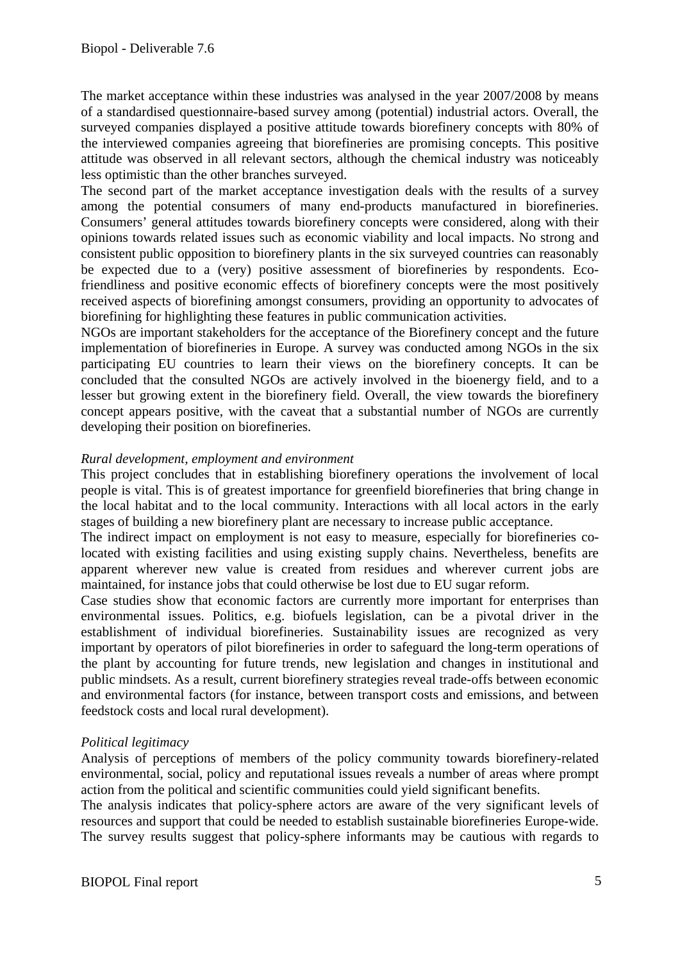The market acceptance within these industries was analysed in the year 2007/2008 by means of a standardised questionnaire-based survey among (potential) industrial actors. Overall, the surveyed companies displayed a positive attitude towards biorefinery concepts with 80% of the interviewed companies agreeing that biorefineries are promising concepts. This positive attitude was observed in all relevant sectors, although the chemical industry was noticeably less optimistic than the other branches surveyed.

The second part of the market acceptance investigation deals with the results of a survey among the potential consumers of many end-products manufactured in biorefineries. Consumers' general attitudes towards biorefinery concepts were considered, along with their opinions towards related issues such as economic viability and local impacts. No strong and consistent public opposition to biorefinery plants in the six surveyed countries can reasonably be expected due to a (very) positive assessment of biorefineries by respondents. Ecofriendliness and positive economic effects of biorefinery concepts were the most positively received aspects of biorefining amongst consumers, providing an opportunity to advocates of biorefining for highlighting these features in public communication activities.

NGOs are important stakeholders for the acceptance of the Biorefinery concept and the future implementation of biorefineries in Europe. A survey was conducted among NGOs in the six participating EU countries to learn their views on the biorefinery concepts. It can be concluded that the consulted NGOs are actively involved in the bioenergy field, and to a lesser but growing extent in the biorefinery field. Overall, the view towards the biorefinery concept appears positive, with the caveat that a substantial number of NGOs are currently developing their position on biorefineries.

#### *Rural development, employment and environment*

This project concludes that in establishing biorefinery operations the involvement of local people is vital. This is of greatest importance for greenfield biorefineries that bring change in the local habitat and to the local community. Interactions with all local actors in the early stages of building a new biorefinery plant are necessary to increase public acceptance.

The indirect impact on employment is not easy to measure, especially for biorefineries colocated with existing facilities and using existing supply chains. Nevertheless, benefits are apparent wherever new value is created from residues and wherever current jobs are maintained, for instance jobs that could otherwise be lost due to EU sugar reform.

Case studies show that economic factors are currently more important for enterprises than environmental issues. Politics, e.g. biofuels legislation, can be a pivotal driver in the establishment of individual biorefineries. Sustainability issues are recognized as very important by operators of pilot biorefineries in order to safeguard the long-term operations of the plant by accounting for future trends, new legislation and changes in institutional and public mindsets. As a result, current biorefinery strategies reveal trade-offs between economic and environmental factors (for instance, between transport costs and emissions, and between feedstock costs and local rural development).

#### *Political legitimacy*

Analysis of perceptions of members of the policy community towards biorefinery-related environmental, social, policy and reputational issues reveals a number of areas where prompt action from the political and scientific communities could yield significant benefits.

The analysis indicates that policy-sphere actors are aware of the very significant levels of resources and support that could be needed to establish sustainable biorefineries Europe-wide. The survey results suggest that policy-sphere informants may be cautious with regards to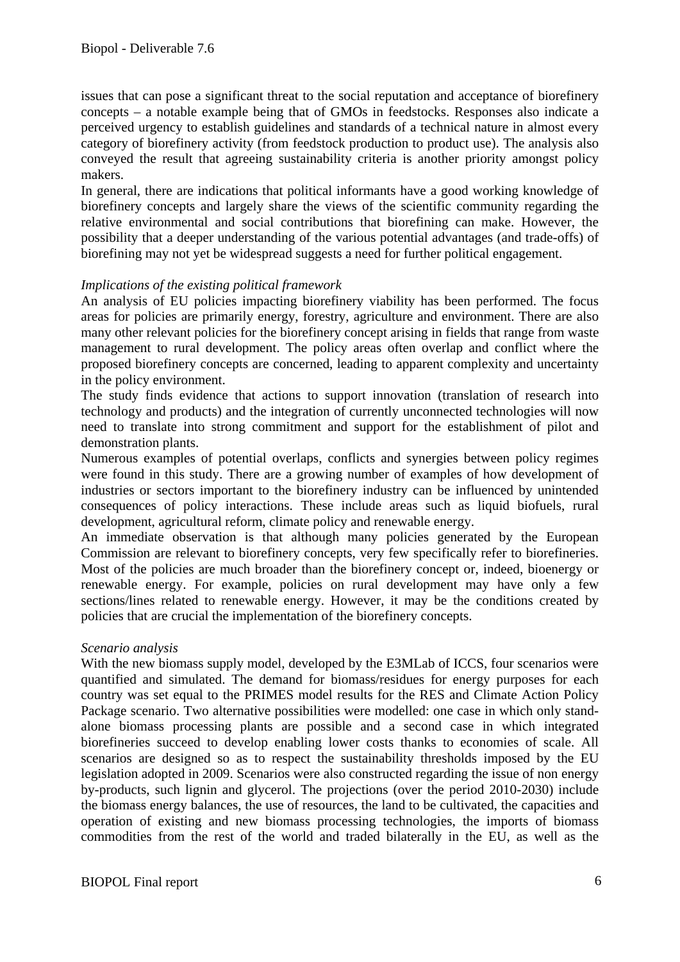issues that can pose a significant threat to the social reputation and acceptance of biorefinery concepts – a notable example being that of GMOs in feedstocks. Responses also indicate a perceived urgency to establish guidelines and standards of a technical nature in almost every category of biorefinery activity (from feedstock production to product use). The analysis also conveyed the result that agreeing sustainability criteria is another priority amongst policy makers.

In general, there are indications that political informants have a good working knowledge of biorefinery concepts and largely share the views of the scientific community regarding the relative environmental and social contributions that biorefining can make. However, the possibility that a deeper understanding of the various potential advantages (and trade-offs) of biorefining may not yet be widespread suggests a need for further political engagement.

#### *Implications of the existing political framework*

An analysis of EU policies impacting biorefinery viability has been performed. The focus areas for policies are primarily energy, forestry, agriculture and environment. There are also many other relevant policies for the biorefinery concept arising in fields that range from waste management to rural development. The policy areas often overlap and conflict where the proposed biorefinery concepts are concerned, leading to apparent complexity and uncertainty in the policy environment.

The study finds evidence that actions to support innovation (translation of research into technology and products) and the integration of currently unconnected technologies will now need to translate into strong commitment and support for the establishment of pilot and demonstration plants.

Numerous examples of potential overlaps, conflicts and synergies between policy regimes were found in this study. There are a growing number of examples of how development of industries or sectors important to the biorefinery industry can be influenced by unintended consequences of policy interactions. These include areas such as liquid biofuels, rural development, agricultural reform, climate policy and renewable energy.

An immediate observation is that although many policies generated by the European Commission are relevant to biorefinery concepts, very few specifically refer to biorefineries. Most of the policies are much broader than the biorefinery concept or, indeed, bioenergy or renewable energy. For example, policies on rural development may have only a few sections/lines related to renewable energy. However, it may be the conditions created by policies that are crucial the implementation of the biorefinery concepts.

#### *Scenario analysis*

With the new biomass supply model, developed by the E3MLab of ICCS, four scenarios were quantified and simulated. The demand for biomass/residues for energy purposes for each country was set equal to the PRIMES model results for the RES and Climate Action Policy Package scenario. Two alternative possibilities were modelled: one case in which only standalone biomass processing plants are possible and a second case in which integrated biorefineries succeed to develop enabling lower costs thanks to economies of scale. All scenarios are designed so as to respect the sustainability thresholds imposed by the EU legislation adopted in 2009. Scenarios were also constructed regarding the issue of non energy by-products, such lignin and glycerol. The projections (over the period 2010-2030) include the biomass energy balances, the use of resources, the land to be cultivated, the capacities and operation of existing and new biomass processing technologies, the imports of biomass commodities from the rest of the world and traded bilaterally in the EU, as well as the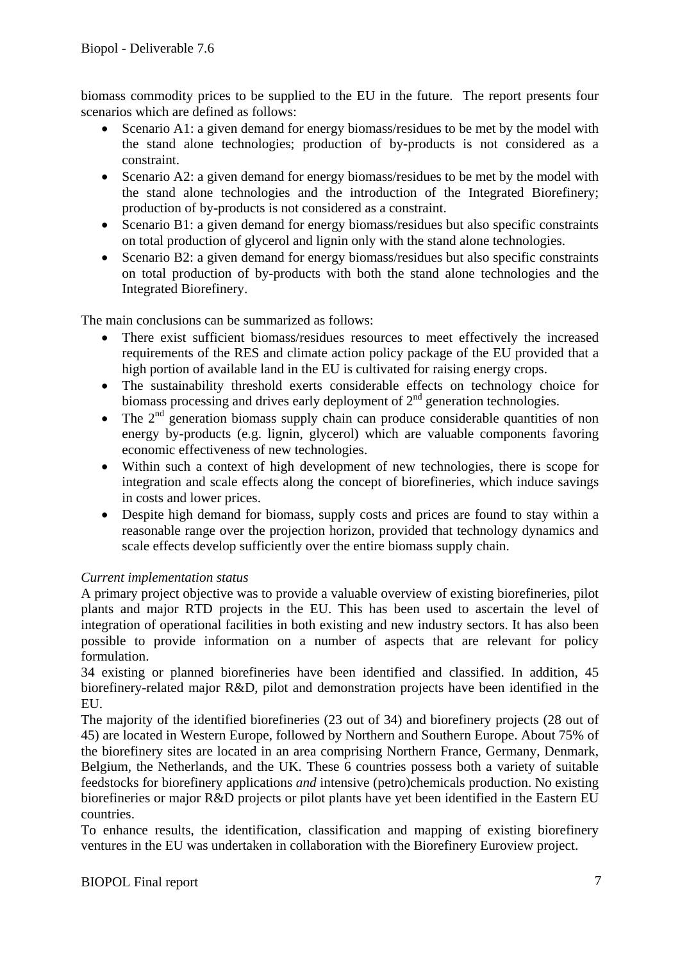biomass commodity prices to be supplied to the EU in the future. The report presents four scenarios which are defined as follows:

- Scenario A1: a given demand for energy biomass/residues to be met by the model with the stand alone technologies; production of by-products is not considered as a constraint.
- Scenario A2: a given demand for energy biomass/residues to be met by the model with the stand alone technologies and the introduction of the Integrated Biorefinery; production of by-products is not considered as a constraint.
- Scenario B1: a given demand for energy biomass/residues but also specific constraints on total production of glycerol and lignin only with the stand alone technologies.
- Scenario B2: a given demand for energy biomass/residues but also specific constraints on total production of by-products with both the stand alone technologies and the Integrated Biorefinery.

The main conclusions can be summarized as follows:

- There exist sufficient biomass/residues resources to meet effectively the increased requirements of the RES and climate action policy package of the EU provided that a high portion of available land in the EU is cultivated for raising energy crops.
- The sustainability threshold exerts considerable effects on technology choice for biomass processing and drives early deployment of  $2<sup>nd</sup>$  generation technologies.
- The  $2<sup>nd</sup>$  generation biomass supply chain can produce considerable quantities of non energy by-products (e.g. lignin, glycerol) which are valuable components favoring economic effectiveness of new technologies.
- Within such a context of high development of new technologies, there is scope for integration and scale effects along the concept of biorefineries, which induce savings in costs and lower prices.
- Despite high demand for biomass, supply costs and prices are found to stay within a reasonable range over the projection horizon, provided that technology dynamics and scale effects develop sufficiently over the entire biomass supply chain.

#### *Current implementation status*

A primary project objective was to provide a valuable overview of existing biorefineries, pilot plants and major RTD projects in the EU. This has been used to ascertain the level of integration of operational facilities in both existing and new industry sectors. It has also been possible to provide information on a number of aspects that are relevant for policy formulation.

34 existing or planned biorefineries have been identified and classified. In addition, 45 biorefinery-related major R&D, pilot and demonstration projects have been identified in the EU.

The majority of the identified biorefineries (23 out of 34) and biorefinery projects (28 out of 45) are located in Western Europe, followed by Northern and Southern Europe. About 75% of the biorefinery sites are located in an area comprising Northern France, Germany, Denmark, Belgium, the Netherlands, and the UK. These 6 countries possess both a variety of suitable feedstocks for biorefinery applications *and* intensive (petro)chemicals production. No existing biorefineries or major R&D projects or pilot plants have yet been identified in the Eastern EU countries.

To enhance results, the identification, classification and mapping of existing biorefinery ventures in the EU was undertaken in collaboration with the Biorefinery Euroview project.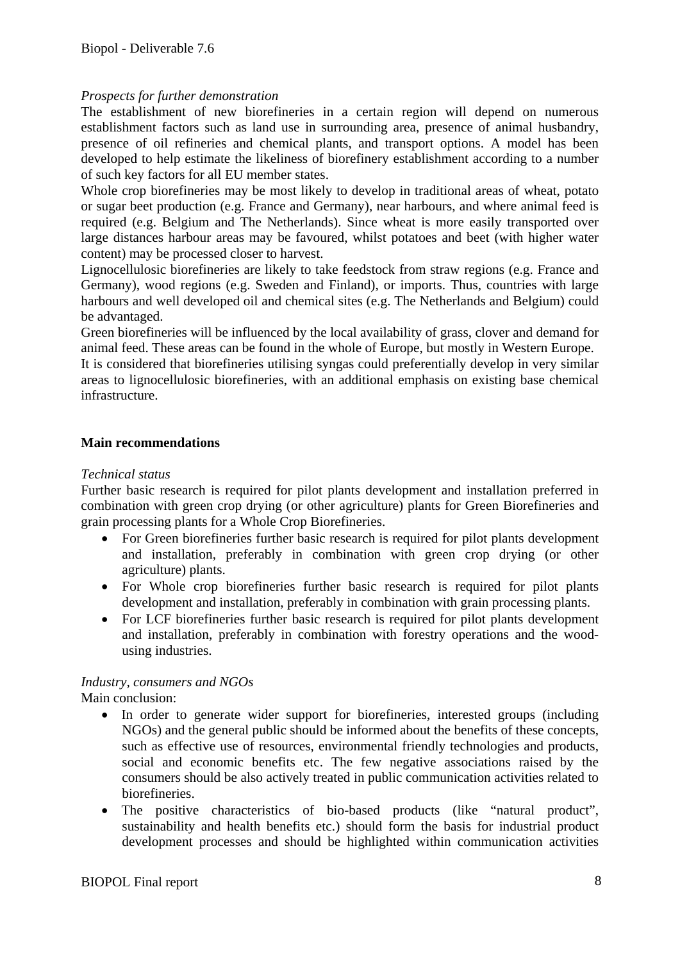#### *Prospects for further demonstration*

The establishment of new biorefineries in a certain region will depend on numerous establishment factors such as land use in surrounding area, presence of animal husbandry, presence of oil refineries and chemical plants, and transport options. A model has been developed to help estimate the likeliness of biorefinery establishment according to a number of such key factors for all EU member states.

Whole crop biorefineries may be most likely to develop in traditional areas of wheat, potato or sugar beet production (e.g. France and Germany), near harbours, and where animal feed is required (e.g. Belgium and The Netherlands). Since wheat is more easily transported over large distances harbour areas may be favoured, whilst potatoes and beet (with higher water content) may be processed closer to harvest.

Lignocellulosic biorefineries are likely to take feedstock from straw regions (e.g. France and Germany), wood regions (e.g. Sweden and Finland), or imports. Thus, countries with large harbours and well developed oil and chemical sites (e.g. The Netherlands and Belgium) could be advantaged.

Green biorefineries will be influenced by the local availability of grass, clover and demand for animal feed. These areas can be found in the whole of Europe, but mostly in Western Europe.

It is considered that biorefineries utilising syngas could preferentially develop in very similar areas to lignocellulosic biorefineries, with an additional emphasis on existing base chemical infrastructure.

#### **Main recommendations**

#### *Technical status*

Further basic research is required for pilot plants development and installation preferred in combination with green crop drying (or other agriculture) plants for Green Biorefineries and grain processing plants for a Whole Crop Biorefineries.

- For Green biorefineries further basic research is required for pilot plants development and installation, preferably in combination with green crop drying (or other agriculture) plants.
- For Whole crop biorefineries further basic research is required for pilot plants development and installation, preferably in combination with grain processing plants.
- For LCF biorefineries further basic research is required for pilot plants development and installation, preferably in combination with forestry operations and the woodusing industries.

#### *Industry, consumers and NGOs*

Main conclusion:

- In order to generate wider support for biorefineries, interested groups (including NGOs) and the general public should be informed about the benefits of these concepts, such as effective use of resources, environmental friendly technologies and products, social and economic benefits etc. The few negative associations raised by the consumers should be also actively treated in public communication activities related to biorefineries.
- The positive characteristics of bio-based products (like "natural product", sustainability and health benefits etc.) should form the basis for industrial product development processes and should be highlighted within communication activities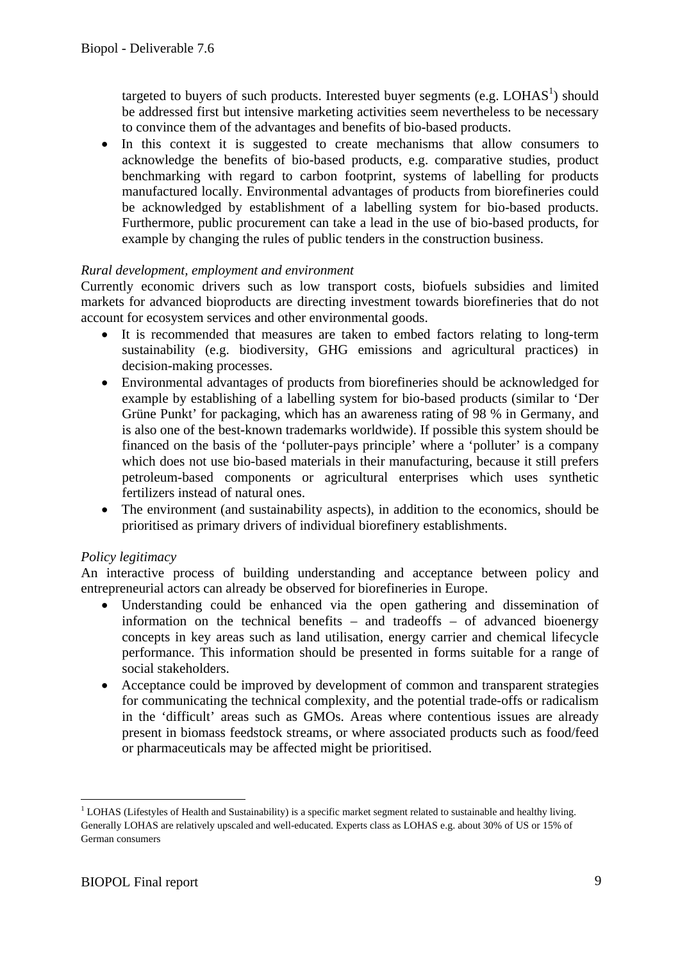targeted to buyers of such products. Interested buyer segments (e.g.  $LOHAS<sup>1</sup>$ ) should be addressed first but intensive marketing activities seem nevertheless to be necessary to convince them of the advantages and benefits of bio-based products.

• In this context it is suggested to create mechanisms that allow consumers to acknowledge the benefits of bio-based products, e.g. comparative studies, product benchmarking with regard to carbon footprint, systems of labelling for products manufactured locally. Environmental advantages of products from biorefineries could be acknowledged by establishment of a labelling system for bio-based products. Furthermore, public procurement can take a lead in the use of bio-based products, for example by changing the rules of public tenders in the construction business.

#### *Rural development, employment and environment*

Currently economic drivers such as low transport costs, biofuels subsidies and limited markets for advanced bioproducts are directing investment towards biorefineries that do not account for ecosystem services and other environmental goods.

- It is recommended that measures are taken to embed factors relating to long-term sustainability (e.g. biodiversity, GHG emissions and agricultural practices) in decision-making processes.
- Environmental advantages of products from biorefineries should be acknowledged for example by establishing of a labelling system for bio-based products (similar to 'Der Grüne Punkt' for packaging, which has an awareness rating of 98 % in Germany, and is also one of the best-known trademarks worldwide). If possible this system should be financed on the basis of the 'polluter-pays principle' where a 'polluter' is a company which does not use bio-based materials in their manufacturing, because it still prefers petroleum-based components or agricultural enterprises which uses synthetic fertilizers instead of natural ones.
- The environment (and sustainability aspects), in addition to the economics, should be prioritised as primary drivers of individual biorefinery establishments.

#### *Policy legitimacy*

An interactive process of building understanding and acceptance between policy and entrepreneurial actors can already be observed for biorefineries in Europe.

- Understanding could be enhanced via the open gathering and dissemination of information on the technical benefits – and tradeoffs – of advanced bioenergy concepts in key areas such as land utilisation, energy carrier and chemical lifecycle performance. This information should be presented in forms suitable for a range of social stakeholders.
- Acceptance could be improved by development of common and transparent strategies for communicating the technical complexity, and the potential trade-offs or radicalism in the 'difficult' areas such as GMOs. Areas where contentious issues are already present in biomass feedstock streams, or where associated products such as food/feed or pharmaceuticals may be affected might be prioritised.

<sup>1</sup> <sup>1</sup> LOHAS (Lifestyles of Health and Sustainability) is a specific market segment related to sustainable and healthy living. Generally LOHAS are relatively upscaled and well-educated. Experts class as LOHAS e.g. about 30% of US or 15% of German consumers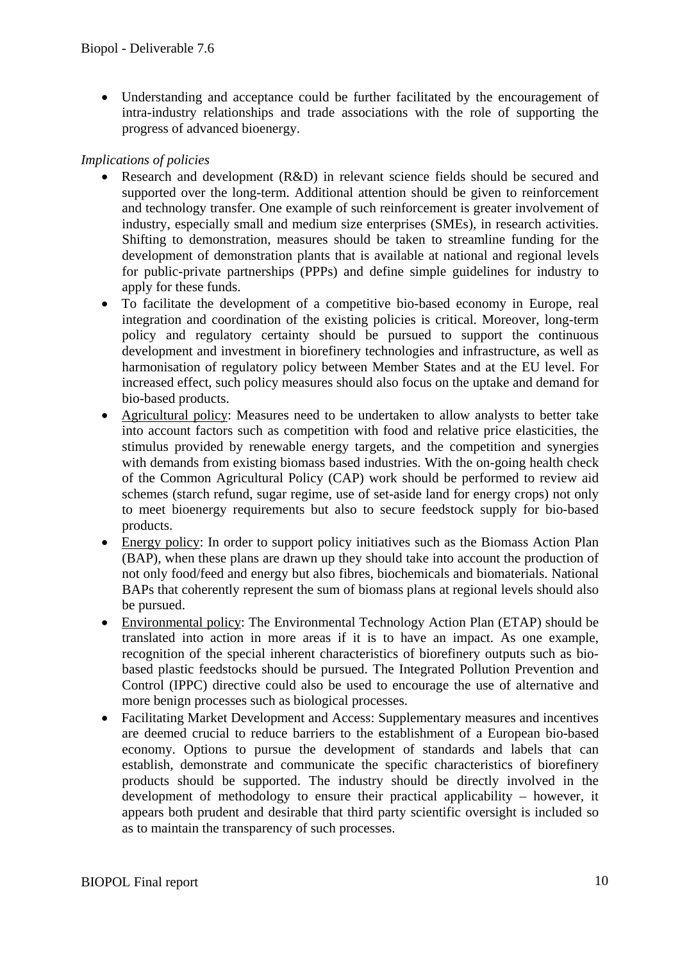• Understanding and acceptance could be further facilitated by the encouragement of intra-industry relationships and trade associations with the role of supporting the progress of advanced bioenergy.

#### *Implications of policies*

- Research and development (R&D) in relevant science fields should be secured and supported over the long-term. Additional attention should be given to reinforcement and technology transfer. One example of such reinforcement is greater involvement of industry, especially small and medium size enterprises (SMEs), in research activities. Shifting to demonstration, measures should be taken to streamline funding for the development of demonstration plants that is available at national and regional levels for public-private partnerships (PPPs) and define simple guidelines for industry to apply for these funds.
- To facilitate the development of a competitive bio-based economy in Europe, real integration and coordination of the existing policies is critical. Moreover, long-term policy and regulatory certainty should be pursued to support the continuous development and investment in biorefinery technologies and infrastructure, as well as harmonisation of regulatory policy between Member States and at the EU level. For increased effect, such policy measures should also focus on the uptake and demand for bio-based products.
- Agricultural policy: Measures need to be undertaken to allow analysts to better take into account factors such as competition with food and relative price elasticities, the stimulus provided by renewable energy targets, and the competition and synergies with demands from existing biomass based industries. With the on-going health check of the Common Agricultural Policy (CAP) work should be performed to review aid schemes (starch refund, sugar regime, use of set-aside land for energy crops) not only to meet bioenergy requirements but also to secure feedstock supply for bio-based products.
- Energy policy: In order to support policy initiatives such as the Biomass Action Plan (BAP), when these plans are drawn up they should take into account the production of not only food/feed and energy but also fibres, biochemicals and biomaterials. National BAPs that coherently represent the sum of biomass plans at regional levels should also be pursued.
- Environmental policy: The Environmental Technology Action Plan (ETAP) should be translated into action in more areas if it is to have an impact. As one example, recognition of the special inherent characteristics of biorefinery outputs such as biobased plastic feedstocks should be pursued. The Integrated Pollution Prevention and Control (IPPC) directive could also be used to encourage the use of alternative and more benign processes such as biological processes.
- Facilitating Market Development and Access: Supplementary measures and incentives are deemed crucial to reduce barriers to the establishment of a European bio-based economy. Options to pursue the development of standards and labels that can establish, demonstrate and communicate the specific characteristics of biorefinery products should be supported. The industry should be directly involved in the development of methodology to ensure their practical applicability – however, it appears both prudent and desirable that third party scientific oversight is included so as to maintain the transparency of such processes.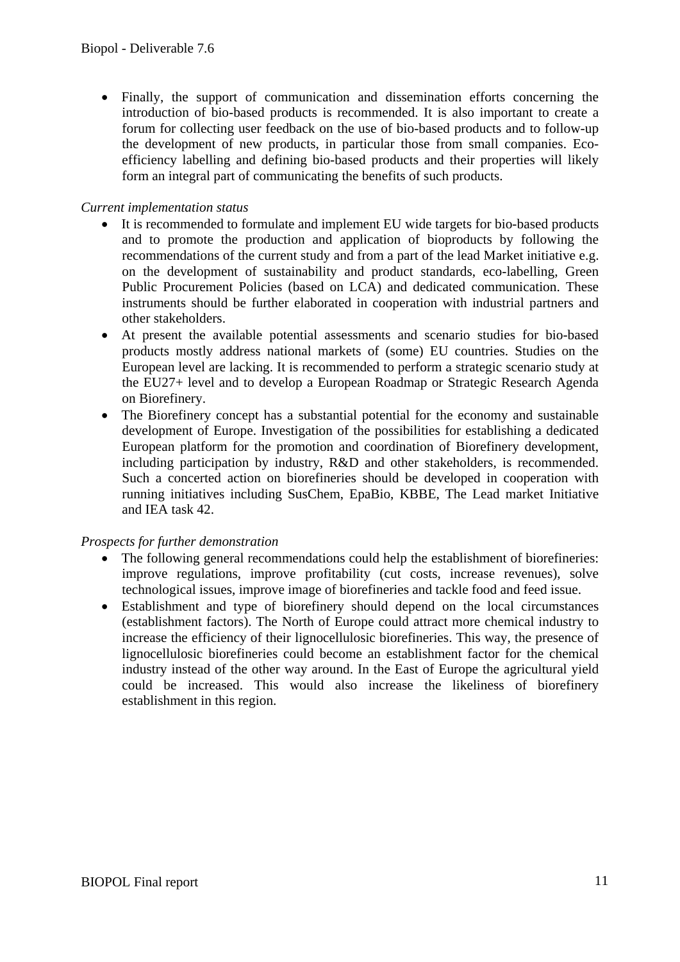• Finally, the support of communication and dissemination efforts concerning the introduction of bio-based products is recommended. It is also important to create a forum for collecting user feedback on the use of bio-based products and to follow-up the development of new products, in particular those from small companies. Ecoefficiency labelling and defining bio-based products and their properties will likely form an integral part of communicating the benefits of such products.

#### *Current implementation status*

- It is recommended to formulate and implement EU wide targets for bio-based products and to promote the production and application of bioproducts by following the recommendations of the current study and from a part of the lead Market initiative e.g. on the development of sustainability and product standards, eco-labelling, Green Public Procurement Policies (based on LCA) and dedicated communication. These instruments should be further elaborated in cooperation with industrial partners and other stakeholders.
- At present the available potential assessments and scenario studies for bio-based products mostly address national markets of (some) EU countries. Studies on the European level are lacking. It is recommended to perform a strategic scenario study at the EU27+ level and to develop a European Roadmap or Strategic Research Agenda on Biorefinery.
- The Biorefinery concept has a substantial potential for the economy and sustainable development of Europe. Investigation of the possibilities for establishing a dedicated European platform for the promotion and coordination of Biorefinery development, including participation by industry, R&D and other stakeholders, is recommended. Such a concerted action on biorefineries should be developed in cooperation with running initiatives including SusChem, EpaBio, KBBE, The Lead market Initiative and IEA task 42.

#### *Prospects for further demonstration*

- The following general recommendations could help the establishment of biorefineries: improve regulations, improve profitability (cut costs, increase revenues), solve technological issues, improve image of biorefineries and tackle food and feed issue.
- Establishment and type of biorefinery should depend on the local circumstances (establishment factors). The North of Europe could attract more chemical industry to increase the efficiency of their lignocellulosic biorefineries. This way, the presence of lignocellulosic biorefineries could become an establishment factor for the chemical industry instead of the other way around. In the East of Europe the agricultural yield could be increased. This would also increase the likeliness of biorefinery establishment in this region.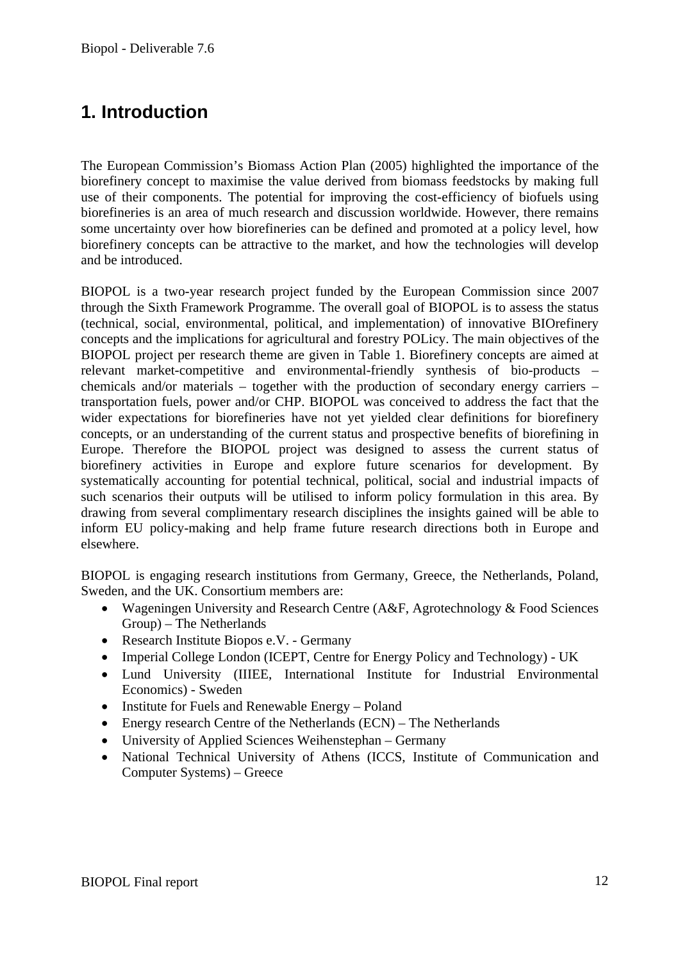# **1. Introduction**

The European Commission's Biomass Action Plan (2005) highlighted the importance of the biorefinery concept to maximise the value derived from biomass feedstocks by making full use of their components. The potential for improving the cost-efficiency of biofuels using biorefineries is an area of much research and discussion worldwide. However, there remains some uncertainty over how biorefineries can be defined and promoted at a policy level, how biorefinery concepts can be attractive to the market, and how the technologies will develop and be introduced.

BIOPOL is a two-year research project funded by the European Commission since 2007 through the Sixth Framework Programme. The overall goal of BIOPOL is to assess the status (technical, social, environmental, political, and implementation) of innovative BIOrefinery concepts and the implications for agricultural and forestry POLicy. The main objectives of the BIOPOL project per research theme are given in Table 1. Biorefinery concepts are aimed at relevant market-competitive and environmental-friendly synthesis of bio-products – chemicals and/or materials – together with the production of secondary energy carriers – transportation fuels, power and/or CHP. BIOPOL was conceived to address the fact that the wider expectations for biorefineries have not yet yielded clear definitions for biorefinery concepts, or an understanding of the current status and prospective benefits of biorefining in Europe. Therefore the BIOPOL project was designed to assess the current status of biorefinery activities in Europe and explore future scenarios for development. By systematically accounting for potential technical, political, social and industrial impacts of such scenarios their outputs will be utilised to inform policy formulation in this area. By drawing from several complimentary research disciplines the insights gained will be able to inform EU policy-making and help frame future research directions both in Europe and elsewhere.

BIOPOL is engaging research institutions from Germany, Greece, the Netherlands, Poland, Sweden, and the UK. Consortium members are:

- Wageningen University and Research Centre (A&F, Agrotechnology & Food Sciences Group) – The Netherlands
- Research Institute Biopos e.V. Germany
- Imperial College London (ICEPT, Centre for Energy Policy and Technology) UK
- Lund University (IIIEE, International Institute for Industrial Environmental Economics) - Sweden
- Institute for Fuels and Renewable Energy Poland
- Energy research Centre of the Netherlands (ECN) The Netherlands
- University of Applied Sciences Weihenstephan Germany
- National Technical University of Athens (ICCS, Institute of Communication and Computer Systems) – Greece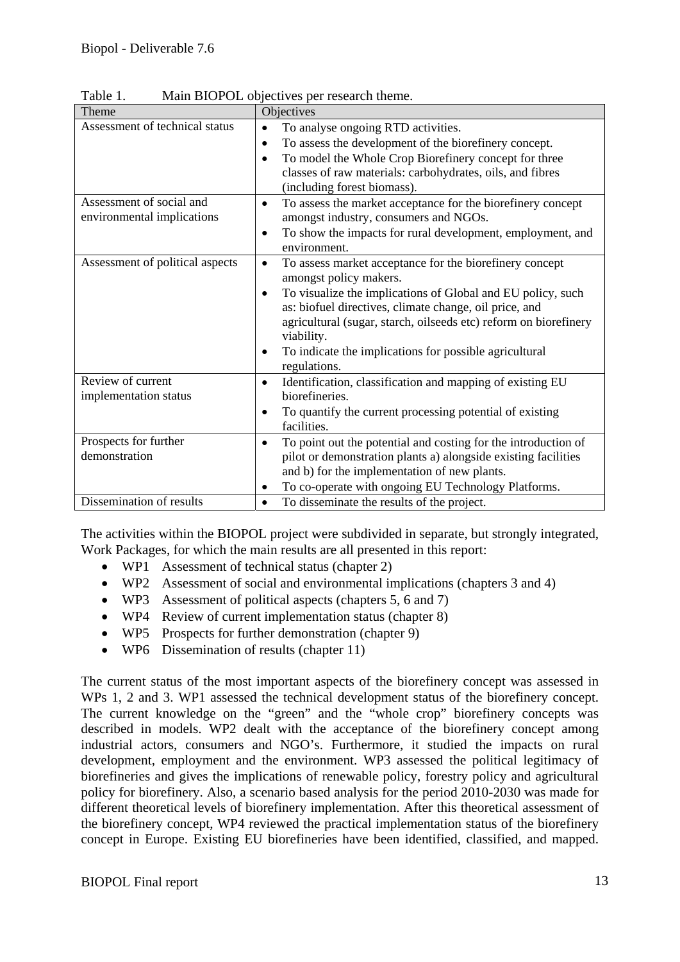| Theme                                                  | Objectives                                                                                                                                                                                                                                                                                                                                                                               |
|--------------------------------------------------------|------------------------------------------------------------------------------------------------------------------------------------------------------------------------------------------------------------------------------------------------------------------------------------------------------------------------------------------------------------------------------------------|
| Assessment of technical status                         | To analyse ongoing RTD activities.<br>$\bullet$<br>To assess the development of the biorefinery concept.<br>To model the Whole Crop Biorefinery concept for three<br>classes of raw materials: carbohydrates, oils, and fibres<br>(including forest biomass).                                                                                                                            |
| Assessment of social and<br>environmental implications | To assess the market acceptance for the biorefinery concept<br>$\bullet$<br>amongst industry, consumers and NGOs.<br>To show the impacts for rural development, employment, and<br>$\bullet$<br>environment.                                                                                                                                                                             |
| Assessment of political aspects                        | To assess market acceptance for the biorefinery concept<br>$\bullet$<br>amongst policy makers.<br>To visualize the implications of Global and EU policy, such<br>as: biofuel directives, climate change, oil price, and<br>agricultural (sugar, starch, oilseeds etc) reform on biorefinery<br>viability.<br>To indicate the implications for possible agricultural<br>٠<br>regulations. |
| Review of current<br>implementation status             | Identification, classification and mapping of existing EU<br>$\bullet$<br>biorefineries.<br>To quantify the current processing potential of existing<br>facilities.                                                                                                                                                                                                                      |
| Prospects for further<br>demonstration                 | To point out the potential and costing for the introduction of<br>$\bullet$<br>pilot or demonstration plants a) alongside existing facilities<br>and b) for the implementation of new plants.<br>To co-operate with ongoing EU Technology Platforms.                                                                                                                                     |
| Dissemination of results                               | To disseminate the results of the project.                                                                                                                                                                                                                                                                                                                                               |

Table 1. Main BIOPOL objectives per research theme.

The activities within the BIOPOL project were subdivided in separate, but strongly integrated, Work Packages, for which the main results are all presented in this report:

- WP1 Assessment of technical status (chapter 2)
- WP2 Assessment of social and environmental implications (chapters 3 and 4)
- WP3 Assessment of political aspects (chapters 5, 6 and 7)
- WP4 Review of current implementation status (chapter 8)
- WP5 Prospects for further demonstration (chapter 9)
- WP6 Dissemination of results (chapter 11)

The current status of the most important aspects of the biorefinery concept was assessed in WPs 1, 2 and 3. WP1 assessed the technical development status of the biorefinery concept. The current knowledge on the "green" and the "whole crop" biorefinery concepts was described in models. WP2 dealt with the acceptance of the biorefinery concept among industrial actors, consumers and NGO's. Furthermore, it studied the impacts on rural development, employment and the environment. WP3 assessed the political legitimacy of biorefineries and gives the implications of renewable policy, forestry policy and agricultural policy for biorefinery. Also, a scenario based analysis for the period 2010-2030 was made for different theoretical levels of biorefinery implementation. After this theoretical assessment of the biorefinery concept, WP4 reviewed the practical implementation status of the biorefinery concept in Europe. Existing EU biorefineries have been identified, classified, and mapped.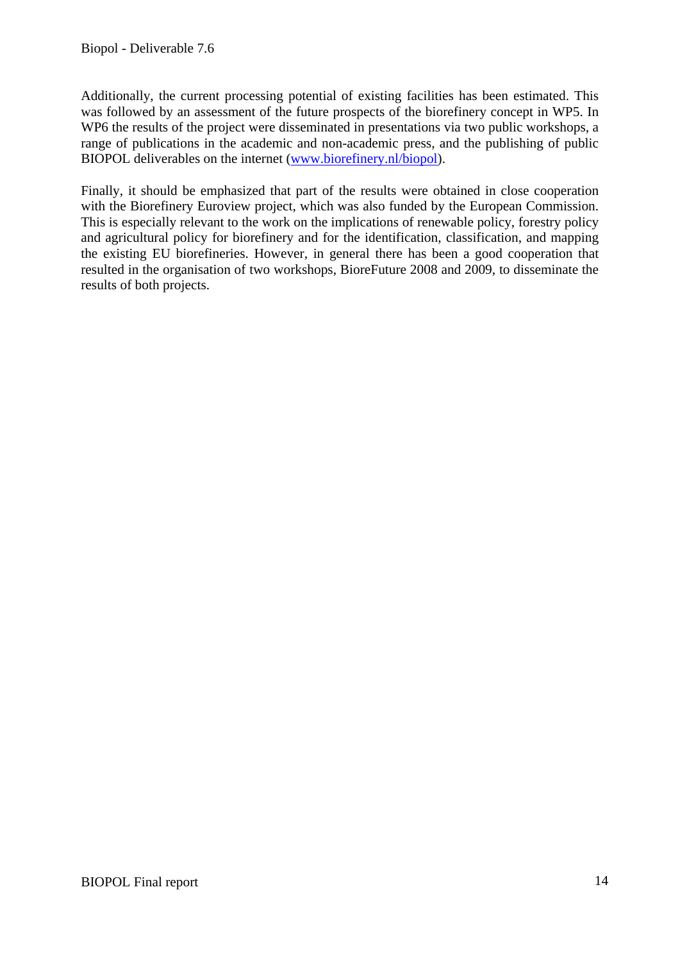Additionally, the current processing potential of existing facilities has been estimated. This was followed by an assessment of the future prospects of the biorefinery concept in WP5. In WP6 the results of the project were disseminated in presentations via two public workshops, a range of publications in the academic and non-academic press, and the publishing of public BIOPOL deliverables on the internet (www.biorefinery.nl/biopol).

Finally, it should be emphasized that part of the results were obtained in close cooperation with the Biorefinery Euroview project, which was also funded by the European Commission. This is especially relevant to the work on the implications of renewable policy, forestry policy and agricultural policy for biorefinery and for the identification, classification, and mapping the existing EU biorefineries. However, in general there has been a good cooperation that resulted in the organisation of two workshops, BioreFuture 2008 and 2009, to disseminate the results of both projects.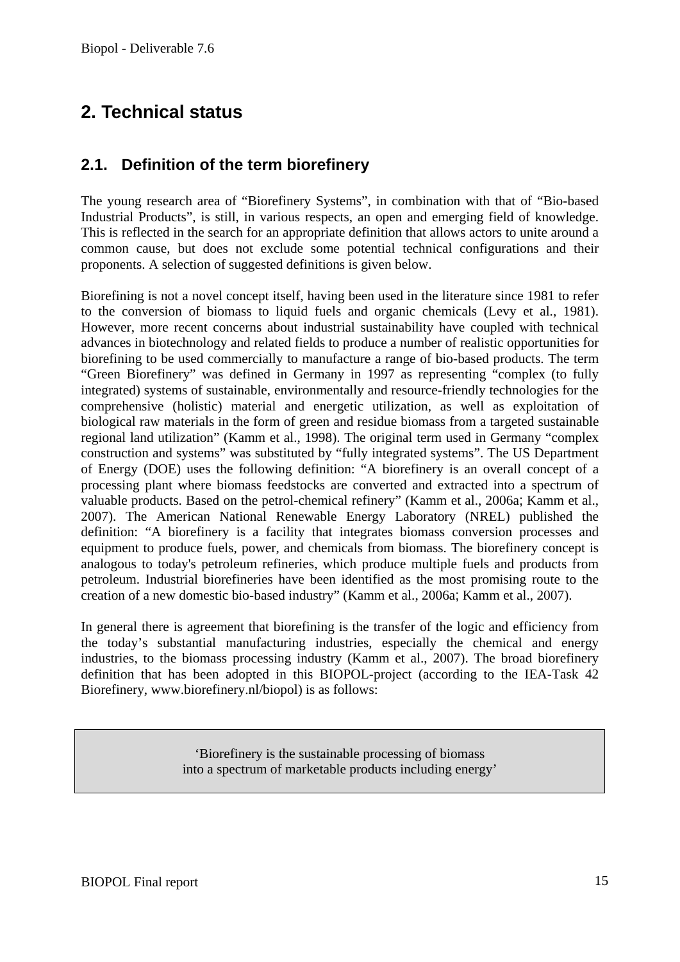# **2. Technical status**

### **2.1. Definition of the term biorefinery**

The young research area of "Biorefinery Systems", in combination with that of "Bio-based Industrial Products", is still, in various respects, an open and emerging field of knowledge. This is reflected in the search for an appropriate definition that allows actors to unite around a common cause, but does not exclude some potential technical configurations and their proponents. A selection of suggested definitions is given below.

Biorefining is not a novel concept itself, having been used in the literature since 1981 to refer to the conversion of biomass to liquid fuels and organic chemicals (Levy et al., 1981). However, more recent concerns about industrial sustainability have coupled with technical advances in biotechnology and related fields to produce a number of realistic opportunities for biorefining to be used commercially to manufacture a range of bio-based products. The term "Green Biorefinery" was defined in Germany in 1997 as representing "complex (to fully integrated) systems of sustainable, environmentally and resource-friendly technologies for the comprehensive (holistic) material and energetic utilization, as well as exploitation of biological raw materials in the form of green and residue biomass from a targeted sustainable regional land utilization" (Kamm et al., 1998). The original term used in Germany "complex construction and systems" was substituted by "fully integrated systems". The US Department of Energy (DOE) uses the following definition: "A biorefinery is an overall concept of a processing plant where biomass feedstocks are converted and extracted into a spectrum of valuable products. Based on the petrol-chemical refinery" (Kamm et al., 2006a; Kamm et al., 2007). The American National Renewable Energy Laboratory (NREL) published the definition: "A biorefinery is a facility that integrates biomass conversion processes and equipment to produce fuels, power, and chemicals from biomass. The biorefinery concept is analogous to today's petroleum refineries, which produce multiple fuels and products from petroleum. Industrial biorefineries have been identified as the most promising route to the creation of a new domestic bio-based industry" (Kamm et al., 2006a; Kamm et al., 2007).

In general there is agreement that biorefining is the transfer of the logic and efficiency from the today's substantial manufacturing industries, especially the chemical and energy industries, to the biomass processing industry (Kamm et al., 2007). The broad biorefinery definition that has been adopted in this BIOPOL-project (according to the IEA-Task 42 Biorefinery, www.biorefinery.nl/biopol) is as follows:

> 'Biorefinery is the sustainable processing of biomass into a spectrum of marketable products including energy'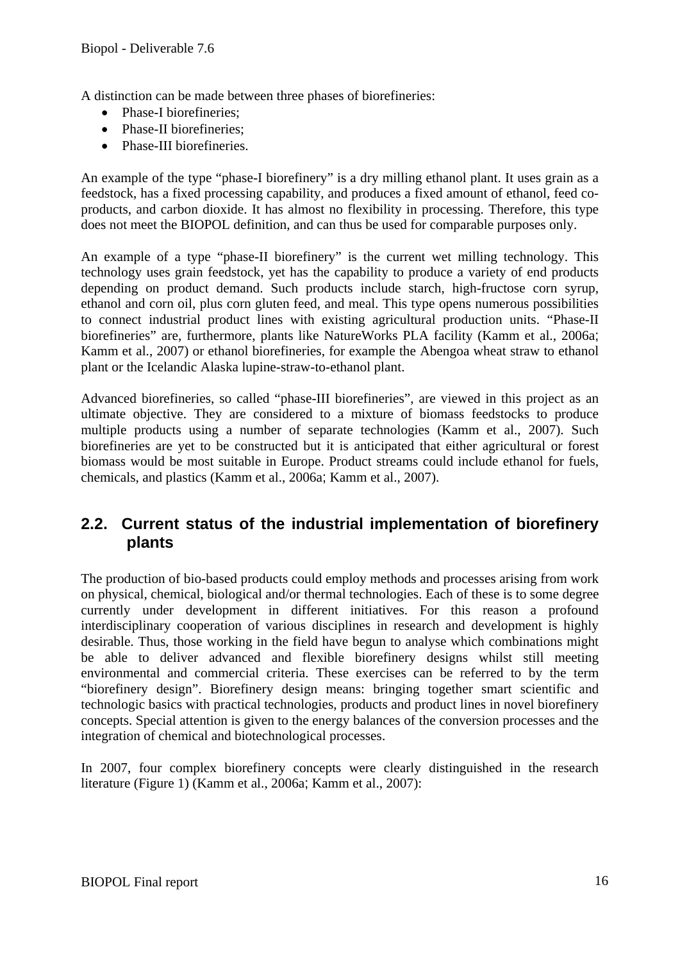A distinction can be made between three phases of biorefineries:

- Phase-I biorefineries:
- Phase-II biorefineries;
- Phase-III biorefineries.

An example of the type "phase-I biorefinery" is a dry milling ethanol plant. It uses grain as a feedstock, has a fixed processing capability, and produces a fixed amount of ethanol, feed coproducts, and carbon dioxide. It has almost no flexibility in processing. Therefore, this type does not meet the BIOPOL definition, and can thus be used for comparable purposes only.

An example of a type "phase-II biorefinery" is the current wet milling technology. This technology uses grain feedstock, yet has the capability to produce a variety of end products depending on product demand. Such products include starch, high-fructose corn syrup, ethanol and corn oil, plus corn gluten feed, and meal. This type opens numerous possibilities to connect industrial product lines with existing agricultural production units. "Phase-II biorefineries" are, furthermore, plants like NatureWorks PLA facility (Kamm et al., 2006a; Kamm et al., 2007) or ethanol biorefineries, for example the Abengoa wheat straw to ethanol plant or the Icelandic Alaska lupine-straw-to-ethanol plant.

Advanced biorefineries, so called "phase-III biorefineries", are viewed in this project as an ultimate objective. They are considered to a mixture of biomass feedstocks to produce multiple products using a number of separate technologies (Kamm et al., 2007). Such biorefineries are yet to be constructed but it is anticipated that either agricultural or forest biomass would be most suitable in Europe. Product streams could include ethanol for fuels, chemicals, and plastics (Kamm et al., 2006a; Kamm et al., 2007).

### **2.2. Current status of the industrial implementation of biorefinery plants**

The production of bio-based products could employ methods and processes arising from work on physical, chemical, biological and/or thermal technologies. Each of these is to some degree currently under development in different initiatives. For this reason a profound interdisciplinary cooperation of various disciplines in research and development is highly desirable. Thus, those working in the field have begun to analyse which combinations might be able to deliver advanced and flexible biorefinery designs whilst still meeting environmental and commercial criteria. These exercises can be referred to by the term "biorefinery design". Biorefinery design means: bringing together smart scientific and technologic basics with practical technologies, products and product lines in novel biorefinery concepts. Special attention is given to the energy balances of the conversion processes and the integration of chemical and biotechnological processes.

In 2007, four complex biorefinery concepts were clearly distinguished in the research literature (Figure 1) (Kamm et al., 2006a; Kamm et al., 2007):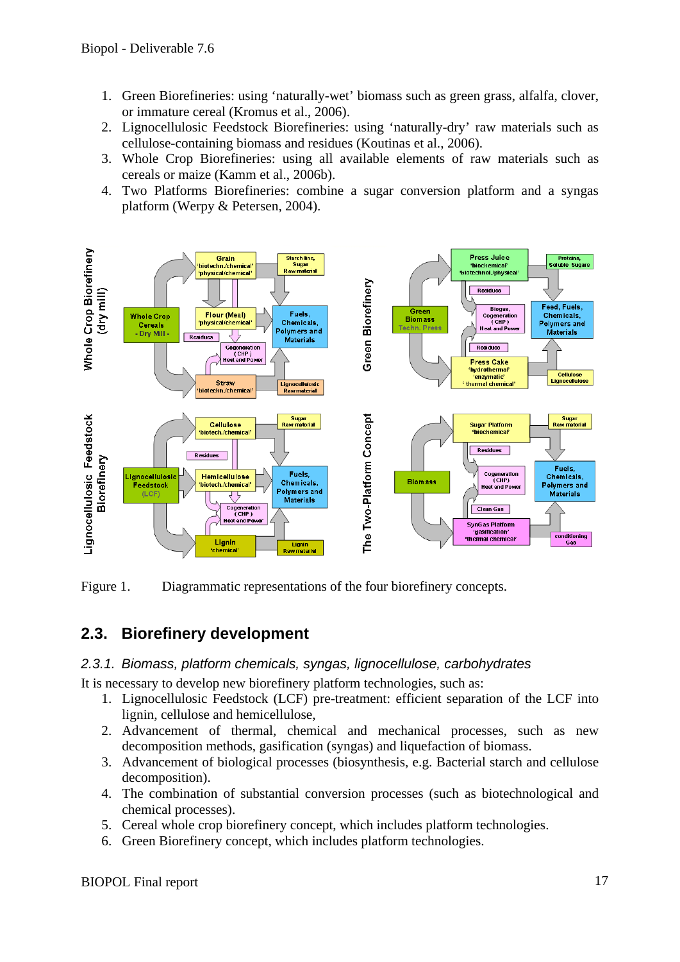- 1. Green Biorefineries: using 'naturally-wet' biomass such as green grass, alfalfa, clover, or immature cereal (Kromus et al., 2006).
- 2. Lignocellulosic Feedstock Biorefineries: using 'naturally-dry' raw materials such as cellulose-containing biomass and residues (Koutinas et al., 2006).
- 3. Whole Crop Biorefineries: using all available elements of raw materials such as cereals or maize (Kamm et al., 2006b).
- 4. Two Platforms Biorefineries: combine a sugar conversion platform and a syngas platform (Werpy & Petersen, 2004).



Figure 1. Diagrammatic representations of the four biorefinery concepts.

### **2.3. Biorefinery development**

#### *2.3.1. Biomass, platform chemicals, syngas, lignocellulose, carbohydrates*

It is necessary to develop new biorefinery platform technologies, such as:

- 1. Lignocellulosic Feedstock (LCF) pre-treatment: efficient separation of the LCF into lignin, cellulose and hemicellulose,
- 2. Advancement of thermal, chemical and mechanical processes, such as new decomposition methods, gasification (syngas) and liquefaction of biomass.
- 3. Advancement of biological processes (biosynthesis, e.g. Bacterial starch and cellulose decomposition).
- 4. The combination of substantial conversion processes (such as biotechnological and chemical processes).
- 5. Cereal whole crop biorefinery concept, which includes platform technologies.
- 6. Green Biorefinery concept, which includes platform technologies.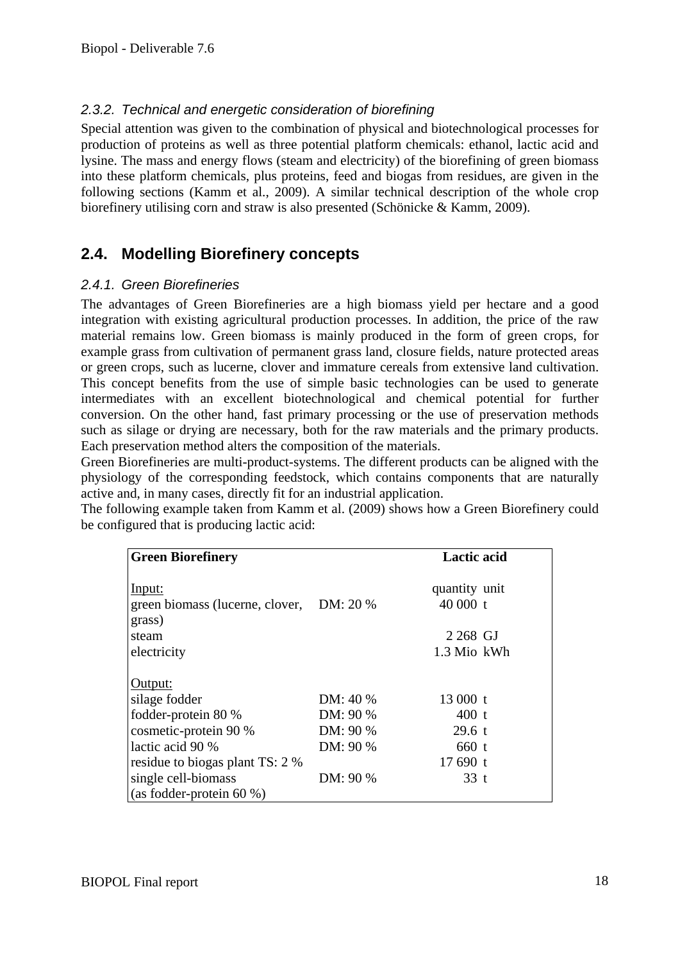### *2.3.2. Technical and energetic consideration of biorefining*

Special attention was given to the combination of physical and biotechnological processes for production of proteins as well as three potential platform chemicals: ethanol, lactic acid and lysine. The mass and energy flows (steam and electricity) of the biorefining of green biomass into these platform chemicals, plus proteins, feed and biogas from residues, are given in the following sections (Kamm et al., 2009). A similar technical description of the whole crop biorefinery utilising corn and straw is also presented (Schönicke & Kamm, 2009).

### **2.4. Modelling Biorefinery concepts**

#### *2.4.1. Green Biorefineries*

The advantages of Green Biorefineries are a high biomass yield per hectare and a good integration with existing agricultural production processes. In addition, the price of the raw material remains low. Green biomass is mainly produced in the form of green crops, for example grass from cultivation of permanent grass land, closure fields, nature protected areas or green crops, such as lucerne, clover and immature cereals from extensive land cultivation. This concept benefits from the use of simple basic technologies can be used to generate intermediates with an excellent biotechnological and chemical potential for further conversion. On the other hand, fast primary processing or the use of preservation methods such as silage or drying are necessary, both for the raw materials and the primary products. Each preservation method alters the composition of the materials.

Green Biorefineries are multi-product-systems. The different products can be aligned with the physiology of the corresponding feedstock, which contains components that are naturally active and, in many cases, directly fit for an industrial application.

The following example taken from Kamm et al. (2009) shows how a Green Biorefinery could be configured that is producing lactic acid:

| <b>Green Biorefinery</b>                  |          | <b>Lactic acid</b> |  |
|-------------------------------------------|----------|--------------------|--|
| <u>Input:</u>                             |          | quantity unit      |  |
| green biomass (lucerne, clover, DM: 20 %) |          | $40000$ t          |  |
| grass)                                    |          |                    |  |
| steam                                     |          | 2 268 GJ           |  |
| electricity                               |          | 1.3 Mio kWh        |  |
| Output:                                   |          |                    |  |
| silage fodder                             | DM: 40 % | 13000 t            |  |
| fodder-protein 80 %                       | DM: 90 % | $400$ t            |  |
| cosmetic-protein 90 %                     | DM: 90 % | 29.6 t             |  |
| lactic acid 90 %                          | DM: 90 % | $660$ t            |  |
| residue to biogas plant TS: 2 %           |          | 17690 t            |  |
| single cell-biomass                       | DM: 90 % | $33$ t             |  |
| (as fodder-protein 60 $\%$ )              |          |                    |  |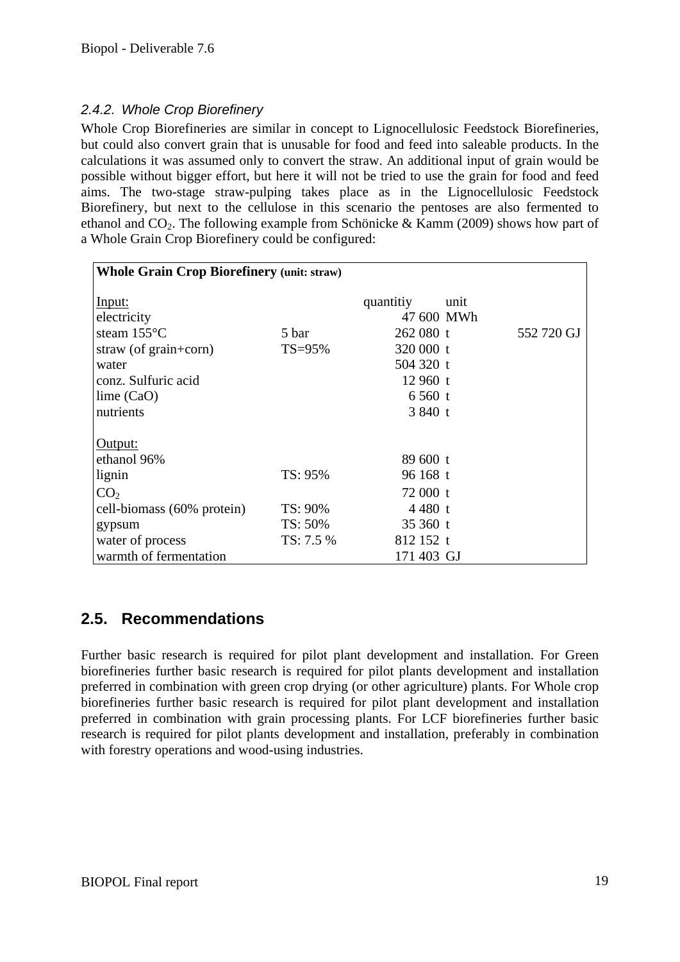#### *2.4.2. Whole Crop Biorefinery*

Whole Crop Biorefineries are similar in concept to Lignocellulosic Feedstock Biorefineries, but could also convert grain that is unusable for food and feed into saleable products. In the calculations it was assumed only to convert the straw. An additional input of grain would be possible without bigger effort, but here it will not be tried to use the grain for food and feed aims. The two-stage straw-pulping takes place as in the Lignocellulosic Feedstock Biorefinery, but next to the cellulose in this scenario the pentoses are also fermented to ethanol and  $CO_2$ . The following example from Schönicke & Kamm (2009) shows how part of a Whole Grain Crop Biorefinery could be configured:

| <b>Whole Grain Crop Biorefinery (unit: straw)</b> |           |            |      |            |
|---------------------------------------------------|-----------|------------|------|------------|
| Input:                                            |           | quantitiy  | unit |            |
| electricity                                       |           | 47 600 MWh |      |            |
| steam $155^{\circ}$ C                             | 5 bar     | $262080$ t |      | 552 720 GJ |
| straw (of $grain + corr$ )                        | $TS=95%$  | 320 000 t  |      |            |
| water                                             |           | 504 320 t  |      |            |
| conz. Sulfuric acid                               |           | $12960$ t  |      |            |
| lime $(CaO)$                                      |           | 6560 t     |      |            |
| nutrients                                         |           | 3840 t     |      |            |
|                                                   |           |            |      |            |
| Output:<br>ethanol 96%                            |           | 89 600 t   |      |            |
|                                                   |           |            |      |            |
| lignin                                            | TS: 95%   | $96168$ t  |      |            |
| CO <sub>2</sub>                                   |           | 72 000 t   |      |            |
| cell-biomass (60% protein)                        | TS: 90%   | 4480 t     |      |            |
| gypsum                                            | TS: 50%   | 35 360 $t$ |      |            |
| water of process                                  | TS: 7.5 % | 812 152 t  |      |            |
| warmth of fermentation                            |           | 171 403 GJ |      |            |

### **2.5. Recommendations**

Further basic research is required for pilot plant development and installation. For Green biorefineries further basic research is required for pilot plants development and installation preferred in combination with green crop drying (or other agriculture) plants. For Whole crop biorefineries further basic research is required for pilot plant development and installation preferred in combination with grain processing plants. For LCF biorefineries further basic research is required for pilot plants development and installation, preferably in combination with forestry operations and wood-using industries.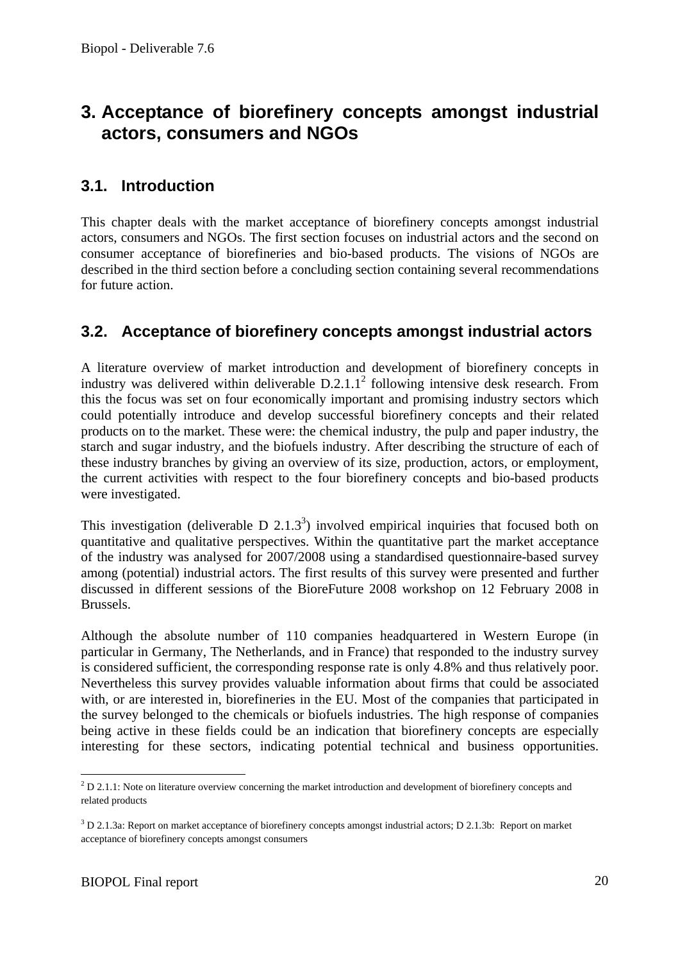## **3. Acceptance of biorefinery concepts amongst industrial actors, consumers and NGOs**

### **3.1. Introduction**

This chapter deals with the market acceptance of biorefinery concepts amongst industrial actors, consumers and NGOs. The first section focuses on industrial actors and the second on consumer acceptance of biorefineries and bio-based products. The visions of NGOs are described in the third section before a concluding section containing several recommendations for future action.

### **3.2. Acceptance of biorefinery concepts amongst industrial actors**

A literature overview of market introduction and development of biorefinery concepts in industry was delivered within deliverable  $D.2.1.1<sup>2</sup>$  following intensive desk research. From this the focus was set on four economically important and promising industry sectors which could potentially introduce and develop successful biorefinery concepts and their related products on to the market. These were: the chemical industry, the pulp and paper industry, the starch and sugar industry, and the biofuels industry. After describing the structure of each of these industry branches by giving an overview of its size, production, actors, or employment, the current activities with respect to the four biorefinery concepts and bio-based products were investigated.

This investigation (deliverable  $D$  2.1.3<sup>3</sup>) involved empirical inquiries that focused both on quantitative and qualitative perspectives. Within the quantitative part the market acceptance of the industry was analysed for 2007/2008 using a standardised questionnaire-based survey among (potential) industrial actors. The first results of this survey were presented and further discussed in different sessions of the BioreFuture 2008 workshop on 12 February 2008 in Brussels.

Although the absolute number of 110 companies headquartered in Western Europe (in particular in Germany, The Netherlands, and in France) that responded to the industry survey is considered sufficient, the corresponding response rate is only 4.8% and thus relatively poor. Nevertheless this survey provides valuable information about firms that could be associated with, or are interested in, biorefineries in the EU. Most of the companies that participated in the survey belonged to the chemicals or biofuels industries. The high response of companies being active in these fields could be an indication that biorefinery concepts are especially interesting for these sectors, indicating potential technical and business opportunities.

1

 $2$  D 2.1.1: Note on literature overview concerning the market introduction and development of biorefinery concepts and related products

 $3$  D 2.1.3a: Report on market acceptance of biorefinery concepts amongst industrial actors; D 2.1.3b: Report on market acceptance of biorefinery concepts amongst consumers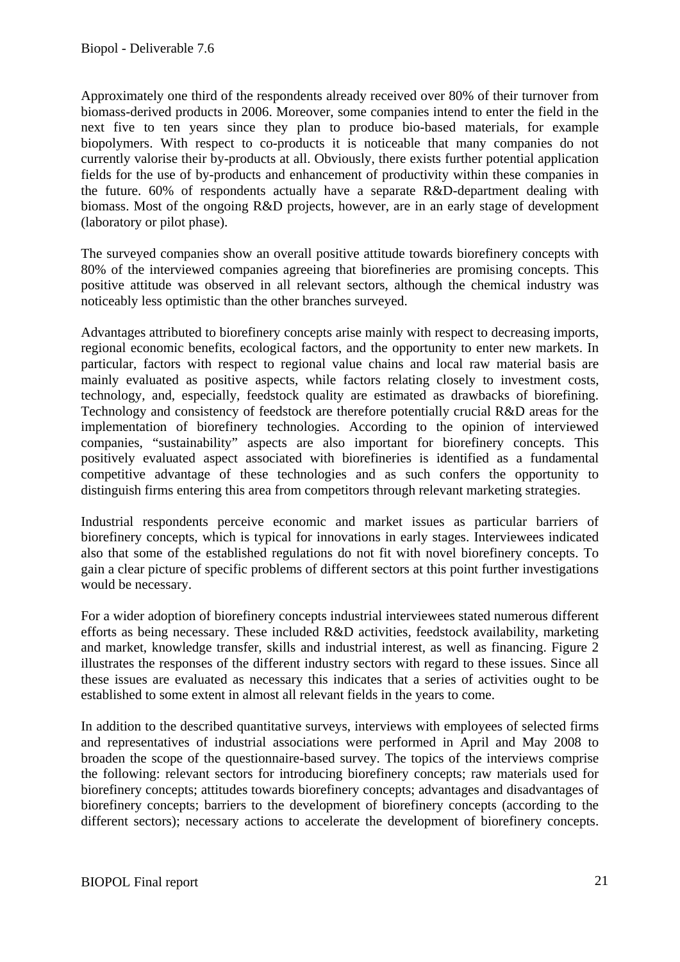Approximately one third of the respondents already received over 80% of their turnover from biomass-derived products in 2006. Moreover, some companies intend to enter the field in the next five to ten years since they plan to produce bio-based materials, for example biopolymers. With respect to co-products it is noticeable that many companies do not currently valorise their by-products at all. Obviously, there exists further potential application fields for the use of by-products and enhancement of productivity within these companies in the future. 60% of respondents actually have a separate R&D-department dealing with biomass. Most of the ongoing R&D projects, however, are in an early stage of development (laboratory or pilot phase).

The surveyed companies show an overall positive attitude towards biorefinery concepts with 80% of the interviewed companies agreeing that biorefineries are promising concepts. This positive attitude was observed in all relevant sectors, although the chemical industry was noticeably less optimistic than the other branches surveyed.

Advantages attributed to biorefinery concepts arise mainly with respect to decreasing imports, regional economic benefits, ecological factors, and the opportunity to enter new markets. In particular, factors with respect to regional value chains and local raw material basis are mainly evaluated as positive aspects, while factors relating closely to investment costs, technology, and, especially, feedstock quality are estimated as drawbacks of biorefining. Technology and consistency of feedstock are therefore potentially crucial R&D areas for the implementation of biorefinery technologies. According to the opinion of interviewed companies, "sustainability" aspects are also important for biorefinery concepts. This positively evaluated aspect associated with biorefineries is identified as a fundamental competitive advantage of these technologies and as such confers the opportunity to distinguish firms entering this area from competitors through relevant marketing strategies.

Industrial respondents perceive economic and market issues as particular barriers of biorefinery concepts, which is typical for innovations in early stages. Interviewees indicated also that some of the established regulations do not fit with novel biorefinery concepts. To gain a clear picture of specific problems of different sectors at this point further investigations would be necessary.

For a wider adoption of biorefinery concepts industrial interviewees stated numerous different efforts as being necessary. These included R&D activities, feedstock availability, marketing and market, knowledge transfer, skills and industrial interest, as well as financing. Figure 2 illustrates the responses of the different industry sectors with regard to these issues. Since all these issues are evaluated as necessary this indicates that a series of activities ought to be established to some extent in almost all relevant fields in the years to come.

In addition to the described quantitative surveys, interviews with employees of selected firms and representatives of industrial associations were performed in April and May 2008 to broaden the scope of the questionnaire-based survey. The topics of the interviews comprise the following: relevant sectors for introducing biorefinery concepts; raw materials used for biorefinery concepts; attitudes towards biorefinery concepts; advantages and disadvantages of biorefinery concepts; barriers to the development of biorefinery concepts (according to the different sectors); necessary actions to accelerate the development of biorefinery concepts.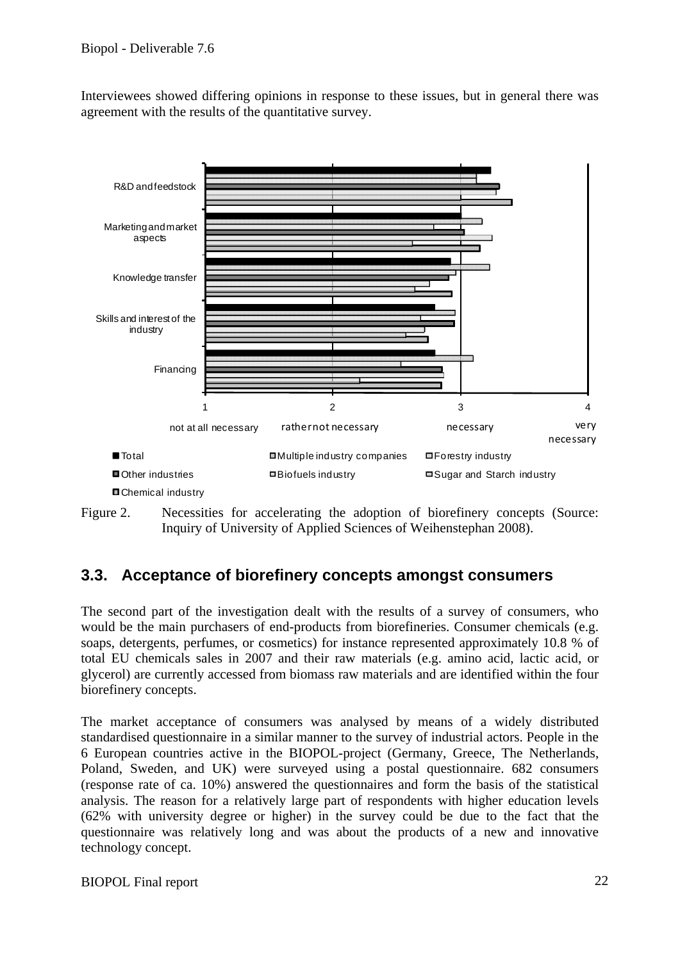Interviewees showed differing opinions in response to these issues, but in general there was agreement with the results of the quantitative survey.





### **3.3. Acceptance of biorefinery concepts amongst consumers**

The second part of the investigation dealt with the results of a survey of consumers, who would be the main purchasers of end-products from biorefineries. Consumer chemicals (e.g. soaps, detergents, perfumes, or cosmetics) for instance represented approximately 10.8 % of total EU chemicals sales in 2007 and their raw materials (e.g. amino acid, lactic acid, or glycerol) are currently accessed from biomass raw materials and are identified within the four biorefinery concepts.

The market acceptance of consumers was analysed by means of a widely distributed standardised questionnaire in a similar manner to the survey of industrial actors. People in the 6 European countries active in the BIOPOL-project (Germany, Greece, The Netherlands, Poland, Sweden, and UK) were surveyed using a postal questionnaire. 682 consumers (response rate of ca. 10%) answered the questionnaires and form the basis of the statistical analysis. The reason for a relatively large part of respondents with higher education levels (62% with university degree or higher) in the survey could be due to the fact that the questionnaire was relatively long and was about the products of a new and innovative technology concept.

#### BIOPOL Final report 22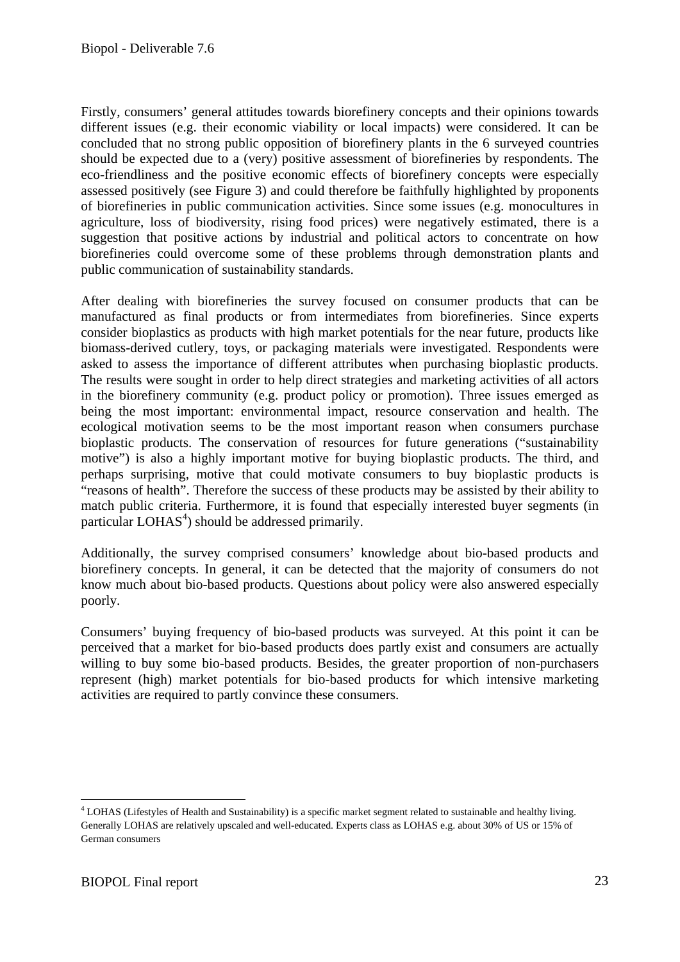Firstly, consumers' general attitudes towards biorefinery concepts and their opinions towards different issues (e.g. their economic viability or local impacts) were considered. It can be concluded that no strong public opposition of biorefinery plants in the 6 surveyed countries should be expected due to a (very) positive assessment of biorefineries by respondents. The eco-friendliness and the positive economic effects of biorefinery concepts were especially assessed positively (see Figure 3) and could therefore be faithfully highlighted by proponents of biorefineries in public communication activities. Since some issues (e.g. monocultures in agriculture, loss of biodiversity, rising food prices) were negatively estimated, there is a suggestion that positive actions by industrial and political actors to concentrate on how biorefineries could overcome some of these problems through demonstration plants and public communication of sustainability standards.

After dealing with biorefineries the survey focused on consumer products that can be manufactured as final products or from intermediates from biorefineries. Since experts consider bioplastics as products with high market potentials for the near future, products like biomass-derived cutlery, toys, or packaging materials were investigated. Respondents were asked to assess the importance of different attributes when purchasing bioplastic products. The results were sought in order to help direct strategies and marketing activities of all actors in the biorefinery community (e.g. product policy or promotion). Three issues emerged as being the most important: environmental impact, resource conservation and health. The ecological motivation seems to be the most important reason when consumers purchase bioplastic products. The conservation of resources for future generations ("sustainability motive") is also a highly important motive for buying bioplastic products. The third, and perhaps surprising, motive that could motivate consumers to buy bioplastic products is "reasons of health". Therefore the success of these products may be assisted by their ability to match public criteria. Furthermore, it is found that especially interested buyer segments (in particular  $LOHAS<sup>4</sup>$ ) should be addressed primarily.

Additionally, the survey comprised consumers' knowledge about bio-based products and biorefinery concepts. In general, it can be detected that the majority of consumers do not know much about bio-based products. Questions about policy were also answered especially poorly.

Consumers' buying frequency of bio-based products was surveyed. At this point it can be perceived that a market for bio-based products does partly exist and consumers are actually willing to buy some bio-based products. Besides, the greater proportion of non-purchasers represent (high) market potentials for bio-based products for which intensive marketing activities are required to partly convince these consumers.

<sup>1</sup> <sup>4</sup> LOHAS (Lifestyles of Health and Sustainability) is a specific market segment related to sustainable and healthy living. Generally LOHAS are relatively upscaled and well-educated. Experts class as LOHAS e.g. about 30% of US or 15% of German consumers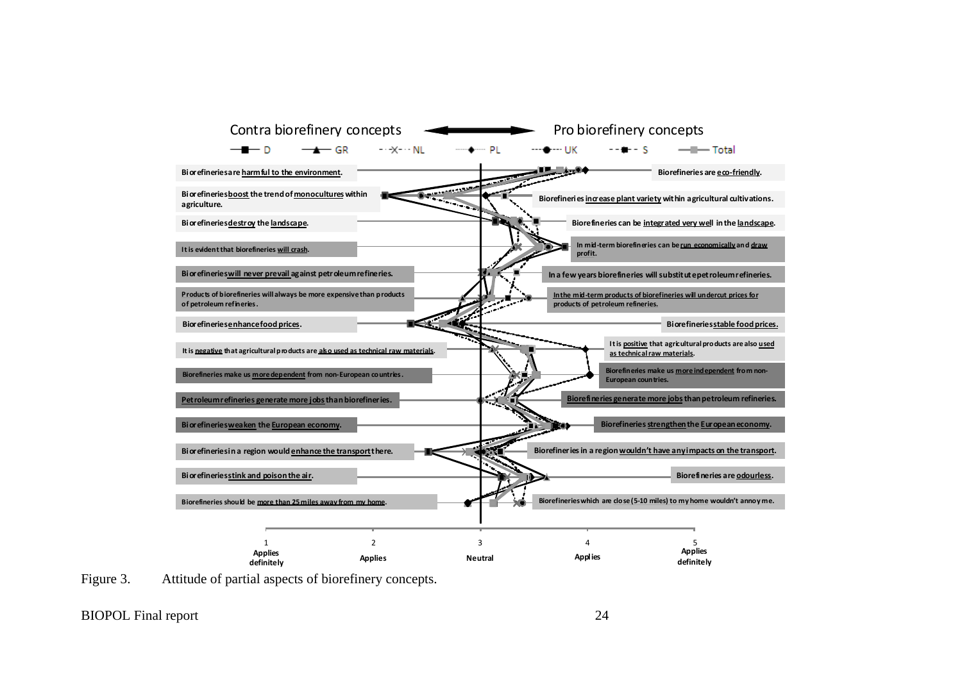



BIOPOL Final report 24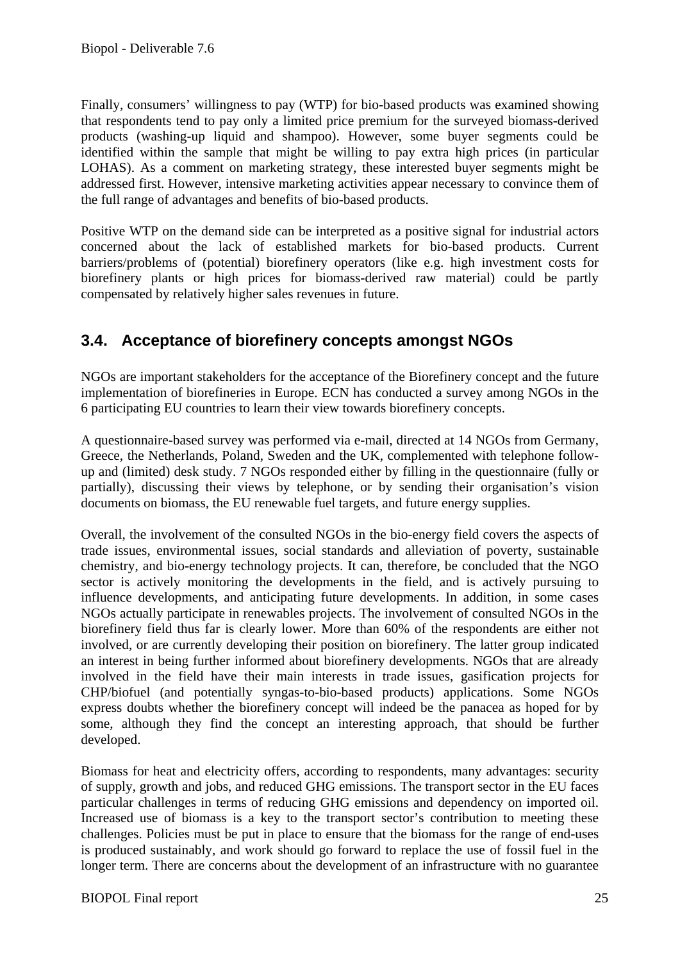Finally, consumers' willingness to pay (WTP) for bio-based products was examined showing that respondents tend to pay only a limited price premium for the surveyed biomass-derived products (washing-up liquid and shampoo). However, some buyer segments could be identified within the sample that might be willing to pay extra high prices (in particular LOHAS). As a comment on marketing strategy, these interested buyer segments might be addressed first. However, intensive marketing activities appear necessary to convince them of the full range of advantages and benefits of bio-based products.

Positive WTP on the demand side can be interpreted as a positive signal for industrial actors concerned about the lack of established markets for bio-based products. Current barriers/problems of (potential) biorefinery operators (like e.g. high investment costs for biorefinery plants or high prices for biomass-derived raw material) could be partly compensated by relatively higher sales revenues in future.

### **3.4. Acceptance of biorefinery concepts amongst NGOs**

NGOs are important stakeholders for the acceptance of the Biorefinery concept and the future implementation of biorefineries in Europe. ECN has conducted a survey among NGOs in the 6 participating EU countries to learn their view towards biorefinery concepts.

A questionnaire-based survey was performed via e-mail, directed at 14 NGOs from Germany, Greece, the Netherlands, Poland, Sweden and the UK, complemented with telephone followup and (limited) desk study. 7 NGOs responded either by filling in the questionnaire (fully or partially), discussing their views by telephone, or by sending their organisation's vision documents on biomass, the EU renewable fuel targets, and future energy supplies.

Overall, the involvement of the consulted NGOs in the bio-energy field covers the aspects of trade issues, environmental issues, social standards and alleviation of poverty, sustainable chemistry, and bio-energy technology projects. It can, therefore, be concluded that the NGO sector is actively monitoring the developments in the field, and is actively pursuing to influence developments, and anticipating future developments. In addition, in some cases NGOs actually participate in renewables projects. The involvement of consulted NGOs in the biorefinery field thus far is clearly lower. More than 60% of the respondents are either not involved, or are currently developing their position on biorefinery. The latter group indicated an interest in being further informed about biorefinery developments. NGOs that are already involved in the field have their main interests in trade issues, gasification projects for CHP/biofuel (and potentially syngas-to-bio-based products) applications. Some NGOs express doubts whether the biorefinery concept will indeed be the panacea as hoped for by some, although they find the concept an interesting approach, that should be further developed.

Biomass for heat and electricity offers, according to respondents, many advantages: security of supply, growth and jobs, and reduced GHG emissions. The transport sector in the EU faces particular challenges in terms of reducing GHG emissions and dependency on imported oil. Increased use of biomass is a key to the transport sector's contribution to meeting these challenges. Policies must be put in place to ensure that the biomass for the range of end-uses is produced sustainably, and work should go forward to replace the use of fossil fuel in the longer term. There are concerns about the development of an infrastructure with no guarantee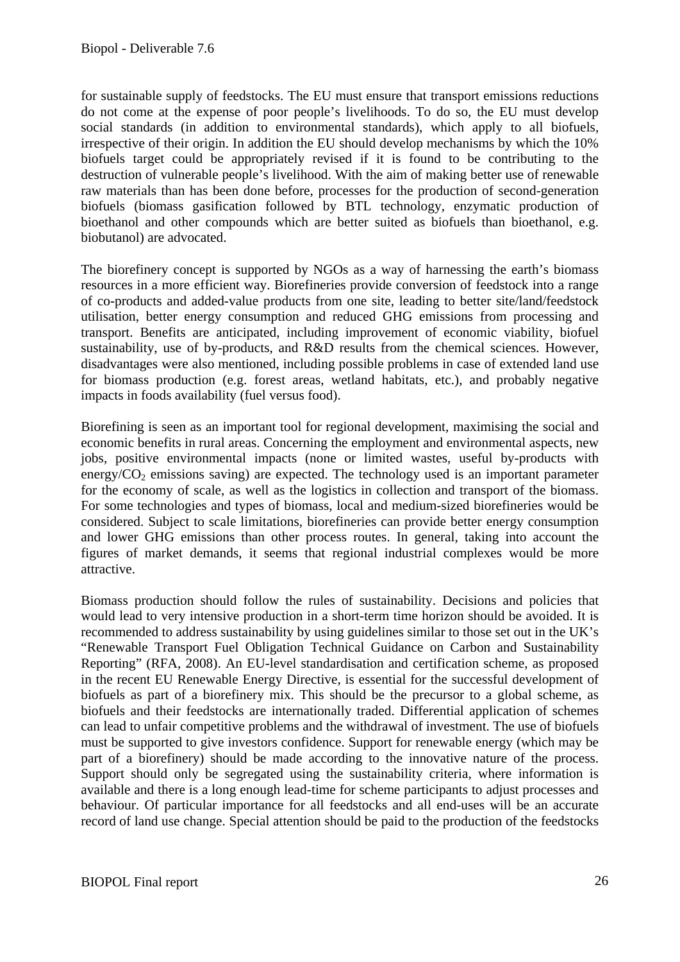for sustainable supply of feedstocks. The EU must ensure that transport emissions reductions do not come at the expense of poor people's livelihoods. To do so, the EU must develop social standards (in addition to environmental standards), which apply to all biofuels, irrespective of their origin. In addition the EU should develop mechanisms by which the 10% biofuels target could be appropriately revised if it is found to be contributing to the destruction of vulnerable people's livelihood. With the aim of making better use of renewable raw materials than has been done before, processes for the production of second-generation biofuels (biomass gasification followed by BTL technology, enzymatic production of bioethanol and other compounds which are better suited as biofuels than bioethanol, e.g. biobutanol) are advocated.

The biorefinery concept is supported by NGOs as a way of harnessing the earth's biomass resources in a more efficient way. Biorefineries provide conversion of feedstock into a range of co-products and added-value products from one site, leading to better site/land/feedstock utilisation, better energy consumption and reduced GHG emissions from processing and transport. Benefits are anticipated, including improvement of economic viability, biofuel sustainability, use of by-products, and R&D results from the chemical sciences. However, disadvantages were also mentioned, including possible problems in case of extended land use for biomass production (e.g. forest areas, wetland habitats, etc.), and probably negative impacts in foods availability (fuel versus food).

Biorefining is seen as an important tool for regional development, maximising the social and economic benefits in rural areas. Concerning the employment and environmental aspects, new jobs, positive environmental impacts (none or limited wastes, useful by-products with energy/ $CO<sub>2</sub>$  emissions saving) are expected. The technology used is an important parameter for the economy of scale, as well as the logistics in collection and transport of the biomass. For some technologies and types of biomass, local and medium-sized biorefineries would be considered. Subject to scale limitations, biorefineries can provide better energy consumption and lower GHG emissions than other process routes. In general, taking into account the figures of market demands, it seems that regional industrial complexes would be more attractive.

Biomass production should follow the rules of sustainability. Decisions and policies that would lead to very intensive production in a short-term time horizon should be avoided. It is recommended to address sustainability by using guidelines similar to those set out in the UK's "Renewable Transport Fuel Obligation Technical Guidance on Carbon and Sustainability Reporting" (RFA, 2008). An EU-level standardisation and certification scheme, as proposed in the recent EU Renewable Energy Directive, is essential for the successful development of biofuels as part of a biorefinery mix. This should be the precursor to a global scheme, as biofuels and their feedstocks are internationally traded. Differential application of schemes can lead to unfair competitive problems and the withdrawal of investment. The use of biofuels must be supported to give investors confidence. Support for renewable energy (which may be part of a biorefinery) should be made according to the innovative nature of the process. Support should only be segregated using the sustainability criteria, where information is available and there is a long enough lead-time for scheme participants to adjust processes and behaviour. Of particular importance for all feedstocks and all end-uses will be an accurate record of land use change. Special attention should be paid to the production of the feedstocks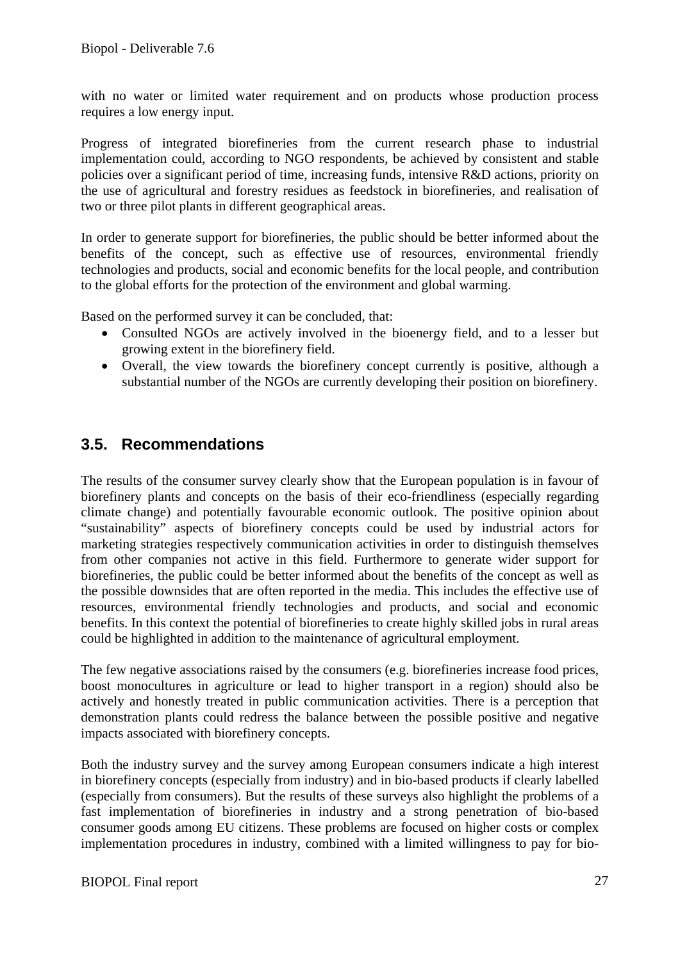with no water or limited water requirement and on products whose production process requires a low energy input.

Progress of integrated biorefineries from the current research phase to industrial implementation could, according to NGO respondents, be achieved by consistent and stable policies over a significant period of time, increasing funds, intensive R&D actions, priority on the use of agricultural and forestry residues as feedstock in biorefineries, and realisation of two or three pilot plants in different geographical areas.

In order to generate support for biorefineries, the public should be better informed about the benefits of the concept, such as effective use of resources, environmental friendly technologies and products, social and economic benefits for the local people, and contribution to the global efforts for the protection of the environment and global warming.

Based on the performed survey it can be concluded, that:

- Consulted NGOs are actively involved in the bioenergy field, and to a lesser but growing extent in the biorefinery field.
- Overall, the view towards the biorefinery concept currently is positive, although a substantial number of the NGOs are currently developing their position on biorefinery.

### **3.5. Recommendations**

The results of the consumer survey clearly show that the European population is in favour of biorefinery plants and concepts on the basis of their eco-friendliness (especially regarding climate change) and potentially favourable economic outlook. The positive opinion about "sustainability" aspects of biorefinery concepts could be used by industrial actors for marketing strategies respectively communication activities in order to distinguish themselves from other companies not active in this field. Furthermore to generate wider support for biorefineries, the public could be better informed about the benefits of the concept as well as the possible downsides that are often reported in the media. This includes the effective use of resources, environmental friendly technologies and products, and social and economic benefits. In this context the potential of biorefineries to create highly skilled jobs in rural areas could be highlighted in addition to the maintenance of agricultural employment.

The few negative associations raised by the consumers (e.g. biorefineries increase food prices, boost monocultures in agriculture or lead to higher transport in a region) should also be actively and honestly treated in public communication activities. There is a perception that demonstration plants could redress the balance between the possible positive and negative impacts associated with biorefinery concepts.

Both the industry survey and the survey among European consumers indicate a high interest in biorefinery concepts (especially from industry) and in bio-based products if clearly labelled (especially from consumers). But the results of these surveys also highlight the problems of a fast implementation of biorefineries in industry and a strong penetration of bio-based consumer goods among EU citizens. These problems are focused on higher costs or complex implementation procedures in industry, combined with a limited willingness to pay for bio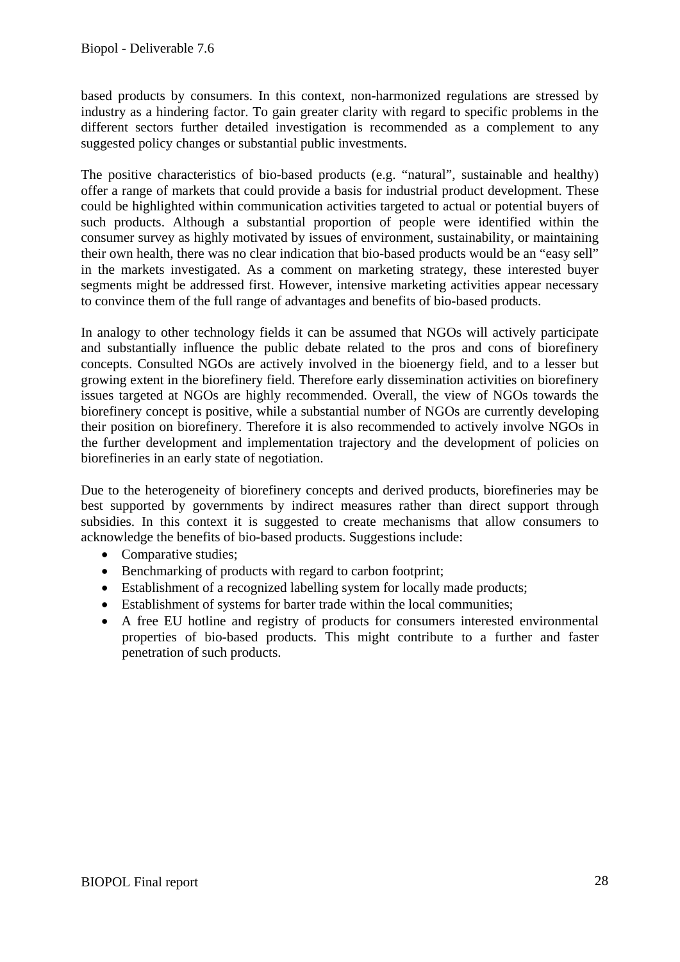based products by consumers. In this context, non-harmonized regulations are stressed by industry as a hindering factor. To gain greater clarity with regard to specific problems in the different sectors further detailed investigation is recommended as a complement to any suggested policy changes or substantial public investments.

The positive characteristics of bio-based products (e.g. "natural", sustainable and healthy) offer a range of markets that could provide a basis for industrial product development. These could be highlighted within communication activities targeted to actual or potential buyers of such products. Although a substantial proportion of people were identified within the consumer survey as highly motivated by issues of environment, sustainability, or maintaining their own health, there was no clear indication that bio-based products would be an "easy sell" in the markets investigated. As a comment on marketing strategy, these interested buyer segments might be addressed first. However, intensive marketing activities appear necessary to convince them of the full range of advantages and benefits of bio-based products.

In analogy to other technology fields it can be assumed that NGOs will actively participate and substantially influence the public debate related to the pros and cons of biorefinery concepts. Consulted NGOs are actively involved in the bioenergy field, and to a lesser but growing extent in the biorefinery field. Therefore early dissemination activities on biorefinery issues targeted at NGOs are highly recommended. Overall, the view of NGOs towards the biorefinery concept is positive, while a substantial number of NGOs are currently developing their position on biorefinery. Therefore it is also recommended to actively involve NGOs in the further development and implementation trajectory and the development of policies on biorefineries in an early state of negotiation.

Due to the heterogeneity of biorefinery concepts and derived products, biorefineries may be best supported by governments by indirect measures rather than direct support through subsidies. In this context it is suggested to create mechanisms that allow consumers to acknowledge the benefits of bio-based products. Suggestions include:

- Comparative studies;
- Benchmarking of products with regard to carbon footprint;
- Establishment of a recognized labelling system for locally made products;
- Establishment of systems for barter trade within the local communities;
- A free EU hotline and registry of products for consumers interested environmental properties of bio-based products. This might contribute to a further and faster penetration of such products.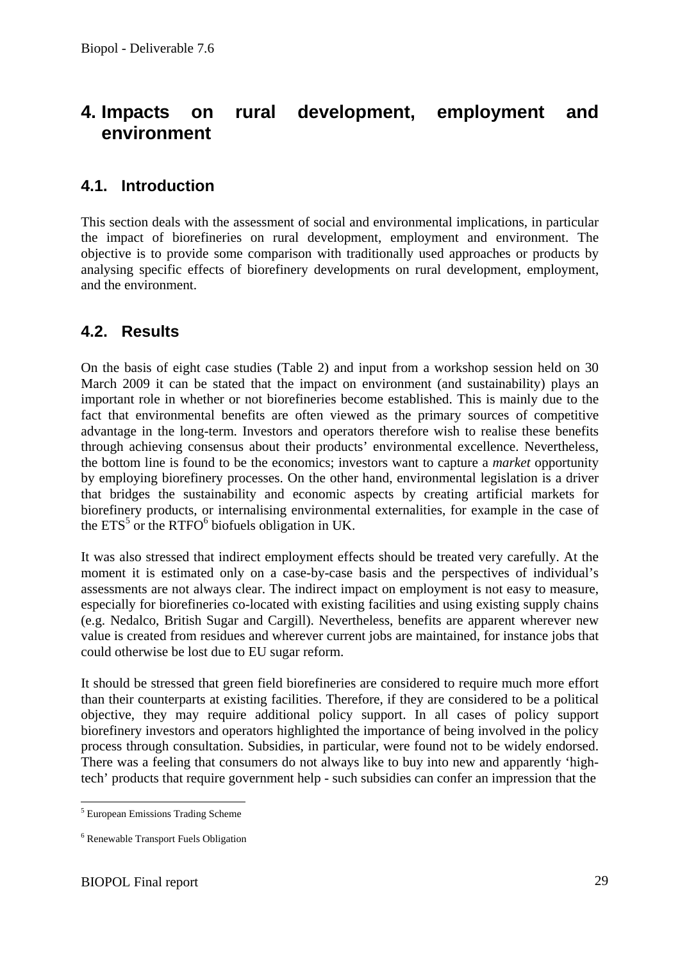# **4. Impacts on rural development, employment and environment**

### **4.1. Introduction**

This section deals with the assessment of social and environmental implications, in particular the impact of biorefineries on rural development, employment and environment. The objective is to provide some comparison with traditionally used approaches or products by analysing specific effects of biorefinery developments on rural development, employment, and the environment.

### **4.2. Results**

On the basis of eight case studies (Table 2) and input from a workshop session held on 30 March 2009 it can be stated that the impact on environment (and sustainability) plays an important role in whether or not biorefineries become established. This is mainly due to the fact that environmental benefits are often viewed as the primary sources of competitive advantage in the long-term. Investors and operators therefore wish to realise these benefits through achieving consensus about their products' environmental excellence. Nevertheless, the bottom line is found to be the economics; investors want to capture a *market* opportunity by employing biorefinery processes. On the other hand, environmental legislation is a driver that bridges the sustainability and economic aspects by creating artificial markets for biorefinery products, or internalising environmental externalities, for example in the case of the  $ETS<sup>5</sup>$  or the RTFO<sup>6</sup> biofuels obligation in UK.

It was also stressed that indirect employment effects should be treated very carefully. At the moment it is estimated only on a case-by-case basis and the perspectives of individual's assessments are not always clear. The indirect impact on employment is not easy to measure, especially for biorefineries co-located with existing facilities and using existing supply chains (e.g. Nedalco, British Sugar and Cargill). Nevertheless, benefits are apparent wherever new value is created from residues and wherever current jobs are maintained, for instance jobs that could otherwise be lost due to EU sugar reform.

It should be stressed that green field biorefineries are considered to require much more effort than their counterparts at existing facilities. Therefore, if they are considered to be a political objective, they may require additional policy support. In all cases of policy support biorefinery investors and operators highlighted the importance of being involved in the policy process through consultation. Subsidies, in particular, were found not to be widely endorsed. There was a feeling that consumers do not always like to buy into new and apparently 'hightech' products that require government help - such subsidies can confer an impression that the

 5 European Emissions Trading Scheme

<sup>6</sup> Renewable Transport Fuels Obligation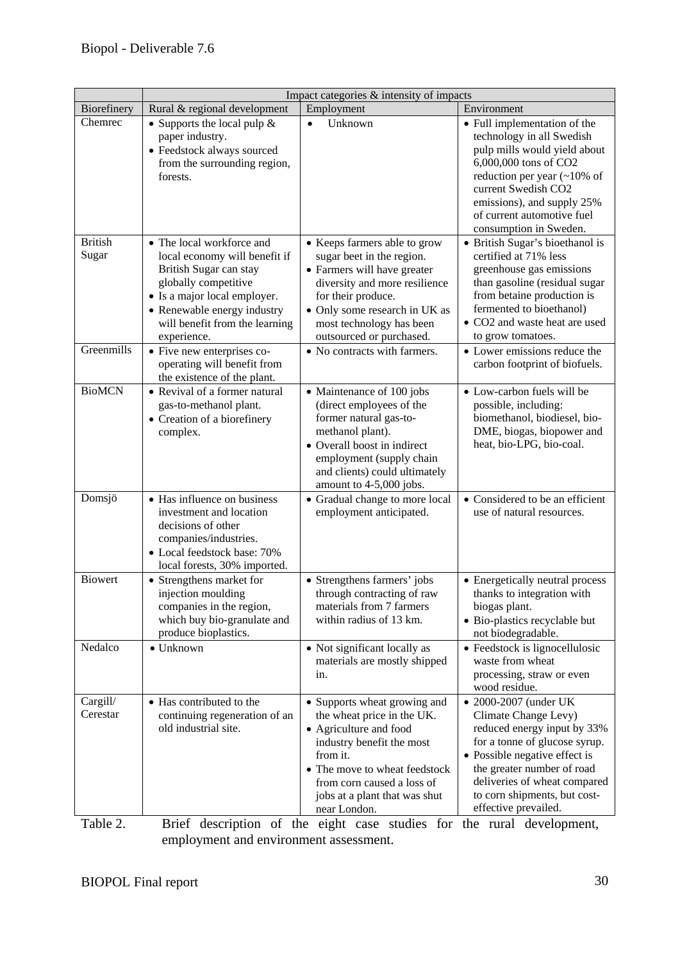|                         |                                                                                                                                                                                                                              | Impact categories & intensity of impacts                                                                                                                                                                                                      |                                                                                                                                                                                                                                                                      |
|-------------------------|------------------------------------------------------------------------------------------------------------------------------------------------------------------------------------------------------------------------------|-----------------------------------------------------------------------------------------------------------------------------------------------------------------------------------------------------------------------------------------------|----------------------------------------------------------------------------------------------------------------------------------------------------------------------------------------------------------------------------------------------------------------------|
| Biorefinery             | Rural & regional development                                                                                                                                                                                                 | Employment                                                                                                                                                                                                                                    | Environment                                                                                                                                                                                                                                                          |
| Chemrec                 | • Supports the local pulp $\&$<br>paper industry.<br>• Feedstock always sourced<br>from the surrounding region,<br>forests.                                                                                                  | Unknown<br>$\bullet$                                                                                                                                                                                                                          | • Full implementation of the<br>technology in all Swedish<br>pulp mills would yield about<br>6,000,000 tons of CO2<br>reduction per year $($ ~10% of<br>current Swedish CO2<br>emissions), and supply 25%<br>of current automotive fuel<br>consumption in Sweden.    |
| <b>British</b><br>Sugar | • The local workforce and<br>local economy will benefit if<br>British Sugar can stay<br>globally competitive<br>• Is a major local employer.<br>• Renewable energy industry<br>will benefit from the learning<br>experience. | • Keeps farmers able to grow<br>sugar beet in the region.<br>• Farmers will have greater<br>diversity and more resilience<br>for their produce.<br>• Only some research in UK as<br>most technology has been<br>outsourced or purchased.      | • British Sugar's bioethanol is<br>certified at 71% less<br>greenhouse gas emissions<br>than gasoline (residual sugar<br>from betaine production is<br>fermented to bioethanol)<br>• CO2 and waste heat are used<br>to grow tomatoes.                                |
| Greenmills              | • Five new enterprises co-<br>operating will benefit from<br>the existence of the plant.                                                                                                                                     | • No contracts with farmers.                                                                                                                                                                                                                  | • Lower emissions reduce the<br>carbon footprint of biofuels.                                                                                                                                                                                                        |
| <b>BioMCN</b>           | • Revival of a former natural<br>gas-to-methanol plant.<br>• Creation of a biorefinery<br>complex.                                                                                                                           | • Maintenance of 100 jobs<br>(direct employees of the<br>former natural gas-to-<br>methanol plant).<br>• Overall boost in indirect<br>employment (supply chain<br>and clients) could ultimately<br>amount to 4-5,000 jobs.                    | • Low-carbon fuels will be<br>possible, including:<br>biomethanol, biodiesel, bio-<br>DME, biogas, biopower and<br>heat, bio-LPG, bio-coal.                                                                                                                          |
| Domsjö                  | • Has influence on business<br>investment and location<br>decisions of other<br>companies/industries.<br>• Local feedstock base: 70%<br>local forests, 30% imported.                                                         | • Gradual change to more local<br>employment anticipated.                                                                                                                                                                                     | • Considered to be an efficient<br>use of natural resources.                                                                                                                                                                                                         |
| <b>Biowert</b>          | • Strengthens market for<br>injection moulding<br>companies in the region,<br>which buy bio-granulate and<br>produce bioplastics.                                                                                            | • Strengthens farmers' jobs<br>through contracting of raw<br>materials from 7 farmers<br>within radius of 13 km.                                                                                                                              | • Energetically neutral process<br>thanks to integration with<br>biogas plant.<br>· Bio-plastics recyclable but<br>not biodegradable.                                                                                                                                |
| Nedalco                 | • Unknown                                                                                                                                                                                                                    | • Not significant locally as<br>materials are mostly shipped<br>in.                                                                                                                                                                           | • Feedstock is lignocellulosic<br>waste from wheat<br>processing, straw or even<br>wood residue.                                                                                                                                                                     |
| Cargill/<br>Cerestar    | • Has contributed to the<br>continuing regeneration of an<br>old industrial site.                                                                                                                                            | • Supports wheat growing and<br>the wheat price in the UK.<br>• Agriculture and food<br>industry benefit the most<br>from it.<br>• The move to wheat feedstock<br>from corn caused a loss of<br>jobs at a plant that was shut<br>near London. | • 2000-2007 (under UK<br>Climate Change Levy)<br>reduced energy input by 33%<br>for a tonne of glucose syrup.<br>• Possible negative effect is<br>the greater number of road<br>deliveries of wheat compared<br>to corn shipments, but cost-<br>effective prevailed. |

Table 2. Brief description of the eight case studies for the rural development, employment and environment assessment.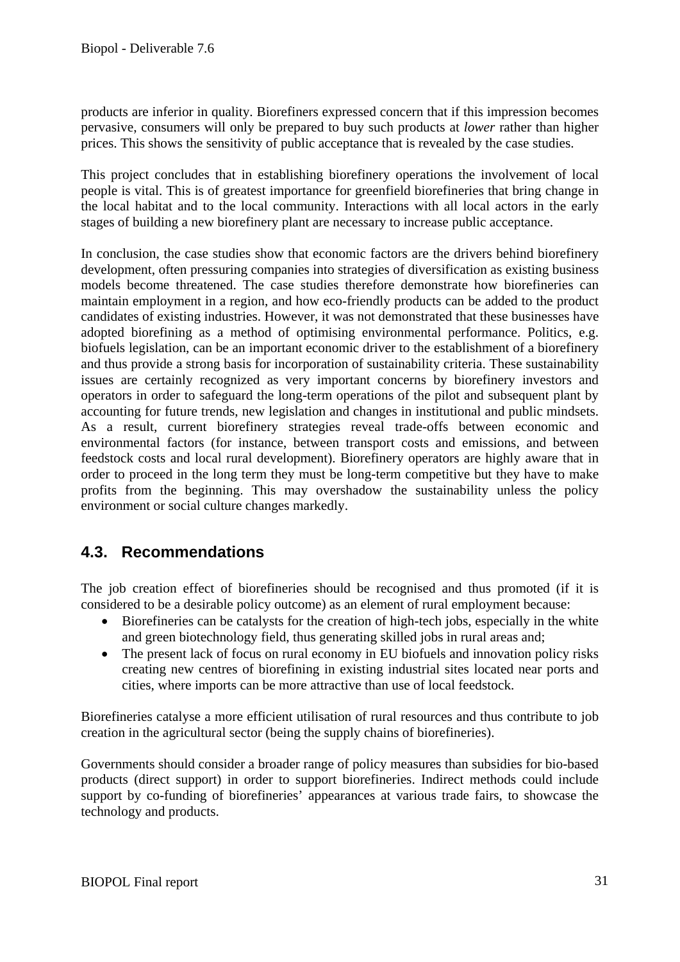products are inferior in quality. Biorefiners expressed concern that if this impression becomes pervasive, consumers will only be prepared to buy such products at *lower* rather than higher prices. This shows the sensitivity of public acceptance that is revealed by the case studies.

This project concludes that in establishing biorefinery operations the involvement of local people is vital. This is of greatest importance for greenfield biorefineries that bring change in the local habitat and to the local community. Interactions with all local actors in the early stages of building a new biorefinery plant are necessary to increase public acceptance.

In conclusion, the case studies show that economic factors are the drivers behind biorefinery development, often pressuring companies into strategies of diversification as existing business models become threatened. The case studies therefore demonstrate how biorefineries can maintain employment in a region, and how eco-friendly products can be added to the product candidates of existing industries. However, it was not demonstrated that these businesses have adopted biorefining as a method of optimising environmental performance. Politics, e.g. biofuels legislation, can be an important economic driver to the establishment of a biorefinery and thus provide a strong basis for incorporation of sustainability criteria. These sustainability issues are certainly recognized as very important concerns by biorefinery investors and operators in order to safeguard the long-term operations of the pilot and subsequent plant by accounting for future trends, new legislation and changes in institutional and public mindsets. As a result, current biorefinery strategies reveal trade-offs between economic and environmental factors (for instance, between transport costs and emissions, and between feedstock costs and local rural development). Biorefinery operators are highly aware that in order to proceed in the long term they must be long-term competitive but they have to make profits from the beginning. This may overshadow the sustainability unless the policy environment or social culture changes markedly.

### **4.3. Recommendations**

The job creation effect of biorefineries should be recognised and thus promoted (if it is considered to be a desirable policy outcome) as an element of rural employment because:

- Biorefineries can be catalysts for the creation of high-tech jobs, especially in the white and green biotechnology field, thus generating skilled jobs in rural areas and;
- The present lack of focus on rural economy in EU biofuels and innovation policy risks creating new centres of biorefining in existing industrial sites located near ports and cities, where imports can be more attractive than use of local feedstock.

Biorefineries catalyse a more efficient utilisation of rural resources and thus contribute to job creation in the agricultural sector (being the supply chains of biorefineries).

Governments should consider a broader range of policy measures than subsidies for bio-based products (direct support) in order to support biorefineries. Indirect methods could include support by co-funding of biorefineries' appearances at various trade fairs, to showcase the technology and products.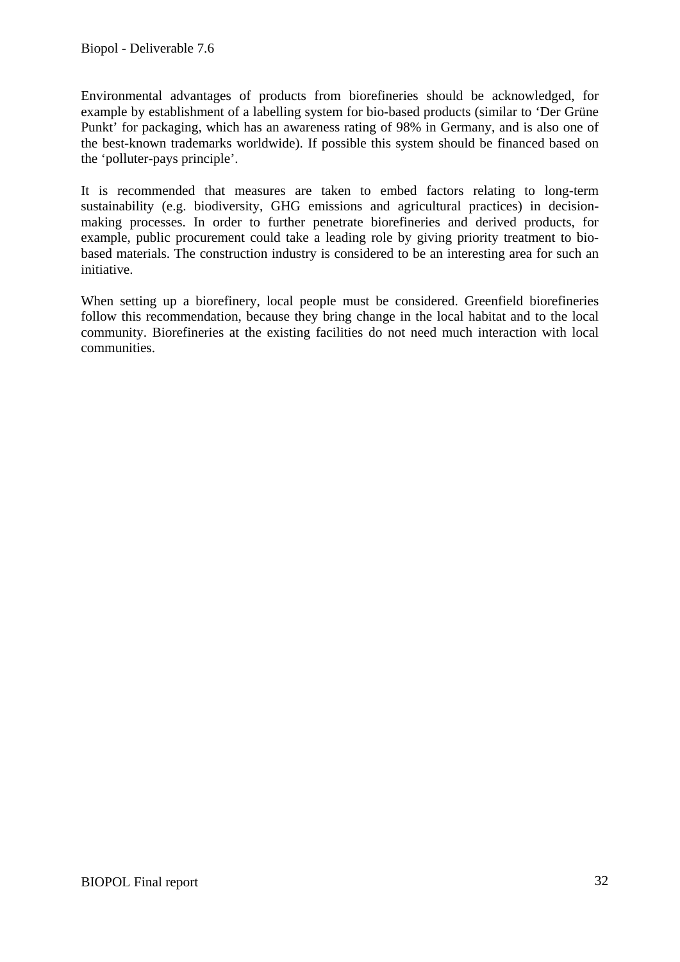Environmental advantages of products from biorefineries should be acknowledged, for example by establishment of a labelling system for bio-based products (similar to 'Der Grüne Punkt' for packaging, which has an awareness rating of 98% in Germany, and is also one of the best-known trademarks worldwide). If possible this system should be financed based on the 'polluter-pays principle'.

It is recommended that measures are taken to embed factors relating to long-term sustainability (e.g. biodiversity, GHG emissions and agricultural practices) in decisionmaking processes. In order to further penetrate biorefineries and derived products, for example, public procurement could take a leading role by giving priority treatment to biobased materials. The construction industry is considered to be an interesting area for such an initiative.

When setting up a biorefinery, local people must be considered. Greenfield biorefineries follow this recommendation, because they bring change in the local habitat and to the local community. Biorefineries at the existing facilities do not need much interaction with local communities.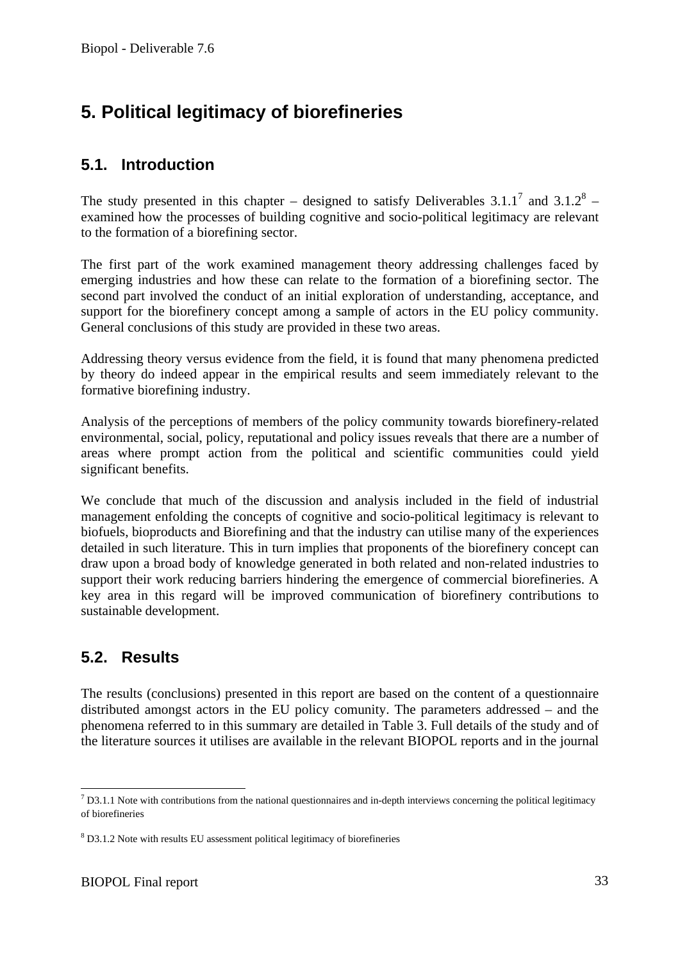# **5. Political legitimacy of biorefineries**

### **5.1. Introduction**

The study presented in this chapter – designed to satisfy Deliverables 3.1.1<sup>7</sup> and 3.1.2<sup>8</sup> – examined how the processes of building cognitive and socio-political legitimacy are relevant to the formation of a biorefining sector.

The first part of the work examined management theory addressing challenges faced by emerging industries and how these can relate to the formation of a biorefining sector. The second part involved the conduct of an initial exploration of understanding, acceptance, and support for the biorefinery concept among a sample of actors in the EU policy community. General conclusions of this study are provided in these two areas.

Addressing theory versus evidence from the field, it is found that many phenomena predicted by theory do indeed appear in the empirical results and seem immediately relevant to the formative biorefining industry.

Analysis of the perceptions of members of the policy community towards biorefinery-related environmental, social, policy, reputational and policy issues reveals that there are a number of areas where prompt action from the political and scientific communities could yield significant benefits.

We conclude that much of the discussion and analysis included in the field of industrial management enfolding the concepts of cognitive and socio-political legitimacy is relevant to biofuels, bioproducts and Biorefining and that the industry can utilise many of the experiences detailed in such literature. This in turn implies that proponents of the biorefinery concept can draw upon a broad body of knowledge generated in both related and non-related industries to support their work reducing barriers hindering the emergence of commercial biorefineries. A key area in this regard will be improved communication of biorefinery contributions to sustainable development.

### **5.2. Results**

1

The results (conclusions) presented in this report are based on the content of a questionnaire distributed amongst actors in the EU policy comunity. The parameters addressed – and the phenomena referred to in this summary are detailed in Table 3. Full details of the study and of the literature sources it utilises are available in the relevant BIOPOL reports and in the journal

 $<sup>7</sup>$  D3.1.1 Note with contributions from the national questionnaires and in-depth interviews concerning the political legitimacy</sup> of biorefineries

<sup>&</sup>lt;sup>8</sup> D3.1.2 Note with results EU assessment political legitimacy of biorefineries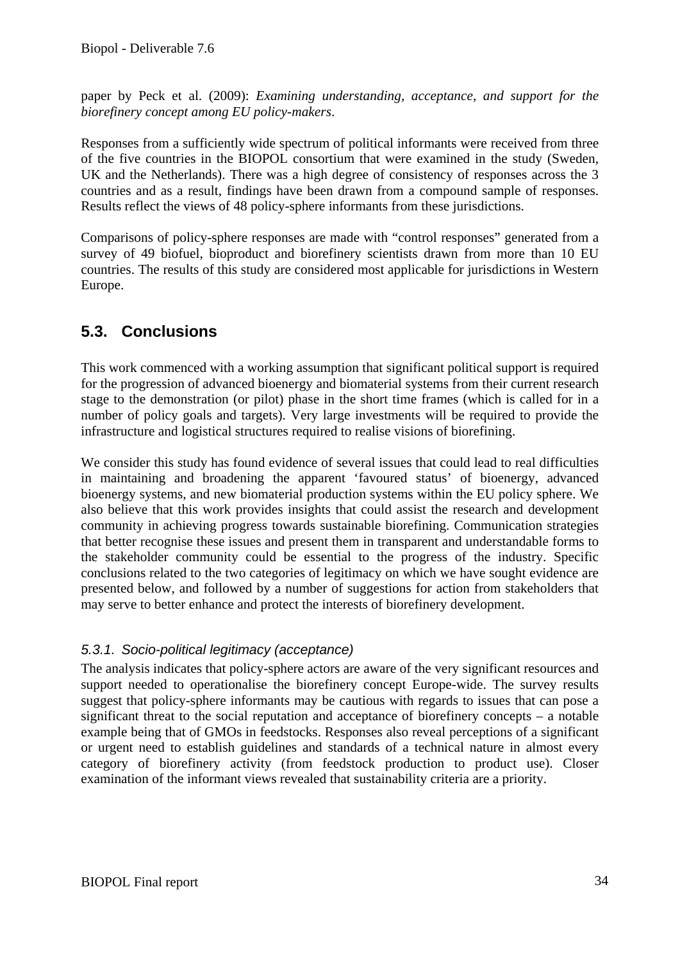paper by Peck et al. (2009): *Examining understanding, acceptance, and support for the biorefinery concept among EU policy-makers*.

Responses from a sufficiently wide spectrum of political informants were received from three of the five countries in the BIOPOL consortium that were examined in the study (Sweden, UK and the Netherlands). There was a high degree of consistency of responses across the 3 countries and as a result, findings have been drawn from a compound sample of responses. Results reflect the views of 48 policy-sphere informants from these jurisdictions.

Comparisons of policy-sphere responses are made with "control responses" generated from a survey of 49 biofuel, bioproduct and biorefinery scientists drawn from more than 10 EU countries. The results of this study are considered most applicable for jurisdictions in Western Europe.

### **5.3. Conclusions**

This work commenced with a working assumption that significant political support is required for the progression of advanced bioenergy and biomaterial systems from their current research stage to the demonstration (or pilot) phase in the short time frames (which is called for in a number of policy goals and targets). Very large investments will be required to provide the infrastructure and logistical structures required to realise visions of biorefining.

We consider this study has found evidence of several issues that could lead to real difficulties in maintaining and broadening the apparent 'favoured status' of bioenergy, advanced bioenergy systems, and new biomaterial production systems within the EU policy sphere. We also believe that this work provides insights that could assist the research and development community in achieving progress towards sustainable biorefining. Communication strategies that better recognise these issues and present them in transparent and understandable forms to the stakeholder community could be essential to the progress of the industry. Specific conclusions related to the two categories of legitimacy on which we have sought evidence are presented below, and followed by a number of suggestions for action from stakeholders that may serve to better enhance and protect the interests of biorefinery development.

#### *5.3.1. Socio-political legitimacy (acceptance)*

The analysis indicates that policy-sphere actors are aware of the very significant resources and support needed to operationalise the biorefinery concept Europe-wide. The survey results suggest that policy-sphere informants may be cautious with regards to issues that can pose a significant threat to the social reputation and acceptance of biorefinery concepts – a notable example being that of GMOs in feedstocks. Responses also reveal perceptions of a significant or urgent need to establish guidelines and standards of a technical nature in almost every category of biorefinery activity (from feedstock production to product use). Closer examination of the informant views revealed that sustainability criteria are a priority.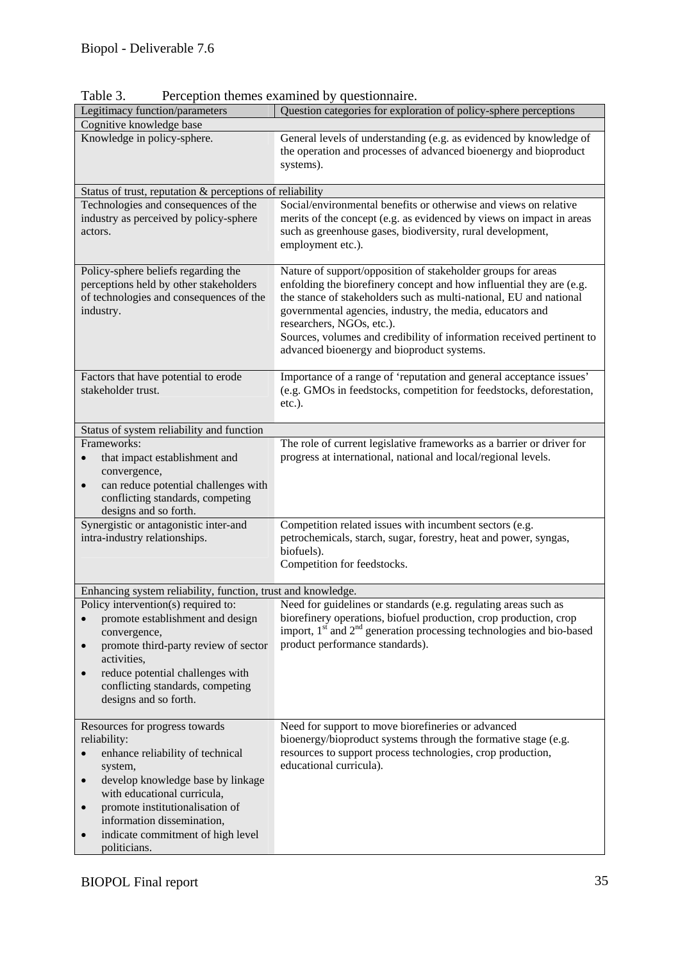| Legitimacy function/parameters<br>Cognitive knowledge base                                                                                                                                                                                                                                                                     | Question categories for exploration of policy-sphere perceptions                                                                                                                                                                                                                                                                                                                                                            |
|--------------------------------------------------------------------------------------------------------------------------------------------------------------------------------------------------------------------------------------------------------------------------------------------------------------------------------|-----------------------------------------------------------------------------------------------------------------------------------------------------------------------------------------------------------------------------------------------------------------------------------------------------------------------------------------------------------------------------------------------------------------------------|
| Knowledge in policy-sphere.                                                                                                                                                                                                                                                                                                    | General levels of understanding (e.g. as evidenced by knowledge of<br>the operation and processes of advanced bioenergy and bioproduct<br>systems).                                                                                                                                                                                                                                                                         |
| Status of trust, reputation & perceptions of reliability                                                                                                                                                                                                                                                                       |                                                                                                                                                                                                                                                                                                                                                                                                                             |
| Technologies and consequences of the<br>industry as perceived by policy-sphere<br>actors.                                                                                                                                                                                                                                      | Social/environmental benefits or otherwise and views on relative<br>merits of the concept (e.g. as evidenced by views on impact in areas<br>such as greenhouse gases, biodiversity, rural development,<br>employment etc.).                                                                                                                                                                                                 |
| Policy-sphere beliefs regarding the<br>perceptions held by other stakeholders<br>of technologies and consequences of the<br>industry.                                                                                                                                                                                          | Nature of support/opposition of stakeholder groups for areas<br>enfolding the biorefinery concept and how influential they are (e.g.<br>the stance of stakeholders such as multi-national, EU and national<br>governmental agencies, industry, the media, educators and<br>researchers, NGOs, etc.).<br>Sources, volumes and credibility of information received pertinent to<br>advanced bioenergy and bioproduct systems. |
| Factors that have potential to erode<br>stakeholder trust.                                                                                                                                                                                                                                                                     | Importance of a range of 'reputation and general acceptance issues'<br>(e.g. GMOs in feedstocks, competition for feedstocks, deforestation,<br>etc.).                                                                                                                                                                                                                                                                       |
| Status of system reliability and function                                                                                                                                                                                                                                                                                      |                                                                                                                                                                                                                                                                                                                                                                                                                             |
| Frameworks:<br>that impact establishment and<br>convergence,<br>can reduce potential challenges with<br>$\bullet$<br>conflicting standards, competing<br>designs and so forth.                                                                                                                                                 | The role of current legislative frameworks as a barrier or driver for<br>progress at international, national and local/regional levels.                                                                                                                                                                                                                                                                                     |
| Synergistic or antagonistic inter-and<br>intra-industry relationships.                                                                                                                                                                                                                                                         | Competition related issues with incumbent sectors (e.g.<br>petrochemicals, starch, sugar, forestry, heat and power, syngas,<br>biofuels).<br>Competition for feedstocks.                                                                                                                                                                                                                                                    |
| Enhancing system reliability, function, trust and knowledge.                                                                                                                                                                                                                                                                   |                                                                                                                                                                                                                                                                                                                                                                                                                             |
| Policy intervention(s) required to:<br>promote establishment and design<br>convergence,<br>promote third-party review of sector<br>$\bullet$<br>activities,<br>reduce potential challenges with<br>$\bullet$<br>conflicting standards, competing<br>designs and so forth.                                                      | Need for guidelines or standards (e.g. regulating areas such as<br>biorefinery operations, biofuel production, crop production, crop<br>import, $1st$ and $2nd$ generation processing technologies and bio-based<br>product performance standards).                                                                                                                                                                         |
| Resources for progress towards<br>reliability:<br>enhance reliability of technical<br>system,<br>develop knowledge base by linkage<br>$\bullet$<br>with educational curricula,<br>promote institutionalisation of<br>$\bullet$<br>information dissemination,<br>indicate commitment of high level<br>$\bullet$<br>politicians. | Need for support to move biorefineries or advanced<br>bioenergy/bioproduct systems through the formative stage (e.g.<br>resources to support process technologies, crop production,<br>educational curricula).                                                                                                                                                                                                              |

Table 3. Perception themes examined by questionnaire.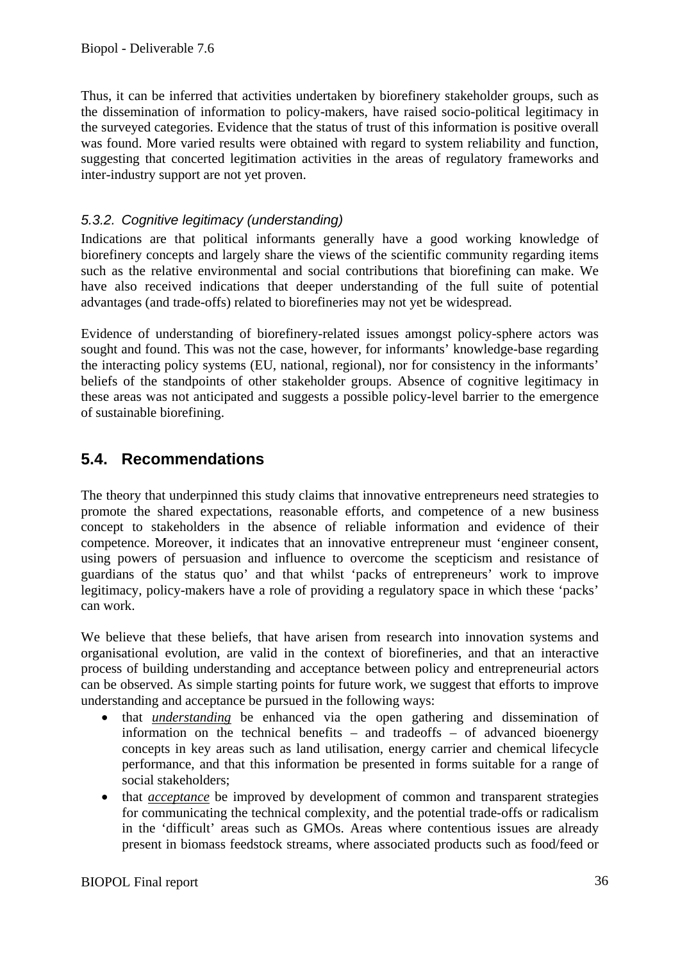Thus, it can be inferred that activities undertaken by biorefinery stakeholder groups, such as the dissemination of information to policy-makers, have raised socio-political legitimacy in the surveyed categories. Evidence that the status of trust of this information is positive overall was found. More varied results were obtained with regard to system reliability and function, suggesting that concerted legitimation activities in the areas of regulatory frameworks and inter-industry support are not yet proven.

### *5.3.2. Cognitive legitimacy (understanding)*

Indications are that political informants generally have a good working knowledge of biorefinery concepts and largely share the views of the scientific community regarding items such as the relative environmental and social contributions that biorefining can make. We have also received indications that deeper understanding of the full suite of potential advantages (and trade-offs) related to biorefineries may not yet be widespread.

Evidence of understanding of biorefinery-related issues amongst policy-sphere actors was sought and found. This was not the case, however, for informants' knowledge-base regarding the interacting policy systems (EU, national, regional), nor for consistency in the informants' beliefs of the standpoints of other stakeholder groups. Absence of cognitive legitimacy in these areas was not anticipated and suggests a possible policy-level barrier to the emergence of sustainable biorefining.

### **5.4. Recommendations**

The theory that underpinned this study claims that innovative entrepreneurs need strategies to promote the shared expectations, reasonable efforts, and competence of a new business concept to stakeholders in the absence of reliable information and evidence of their competence. Moreover, it indicates that an innovative entrepreneur must 'engineer consent, using powers of persuasion and influence to overcome the scepticism and resistance of guardians of the status quo' and that whilst 'packs of entrepreneurs' work to improve legitimacy, policy-makers have a role of providing a regulatory space in which these 'packs' can work.

We believe that these beliefs, that have arisen from research into innovation systems and organisational evolution, are valid in the context of biorefineries, and that an interactive process of building understanding and acceptance between policy and entrepreneurial actors can be observed. As simple starting points for future work, we suggest that efforts to improve understanding and acceptance be pursued in the following ways:

- that *understanding* be enhanced via the open gathering and dissemination of information on the technical benefits – and tradeoffs – of advanced bioenergy concepts in key areas such as land utilisation, energy carrier and chemical lifecycle performance, and that this information be presented in forms suitable for a range of social stakeholders;
- that *acceptance* be improved by development of common and transparent strategies for communicating the technical complexity, and the potential trade-offs or radicalism in the 'difficult' areas such as GMOs. Areas where contentious issues are already present in biomass feedstock streams, where associated products such as food/feed or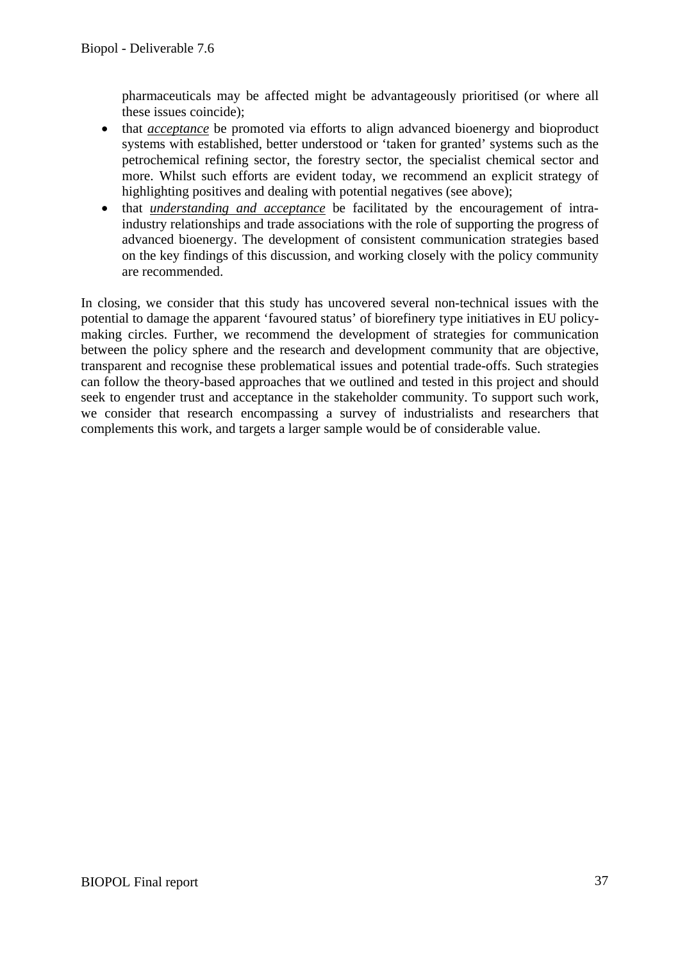pharmaceuticals may be affected might be advantageously prioritised (or where all these issues coincide);

- that *acceptance* be promoted via efforts to align advanced bioenergy and bioproduct systems with established, better understood or 'taken for granted' systems such as the petrochemical refining sector, the forestry sector, the specialist chemical sector and more. Whilst such efforts are evident today, we recommend an explicit strategy of highlighting positives and dealing with potential negatives (see above);
- that *understanding and acceptance* be facilitated by the encouragement of intraindustry relationships and trade associations with the role of supporting the progress of advanced bioenergy. The development of consistent communication strategies based on the key findings of this discussion, and working closely with the policy community are recommended.

In closing, we consider that this study has uncovered several non-technical issues with the potential to damage the apparent 'favoured status' of biorefinery type initiatives in EU policymaking circles. Further, we recommend the development of strategies for communication between the policy sphere and the research and development community that are objective, transparent and recognise these problematical issues and potential trade-offs. Such strategies can follow the theory-based approaches that we outlined and tested in this project and should seek to engender trust and acceptance in the stakeholder community. To support such work, we consider that research encompassing a survey of industrialists and researchers that complements this work, and targets a larger sample would be of considerable value.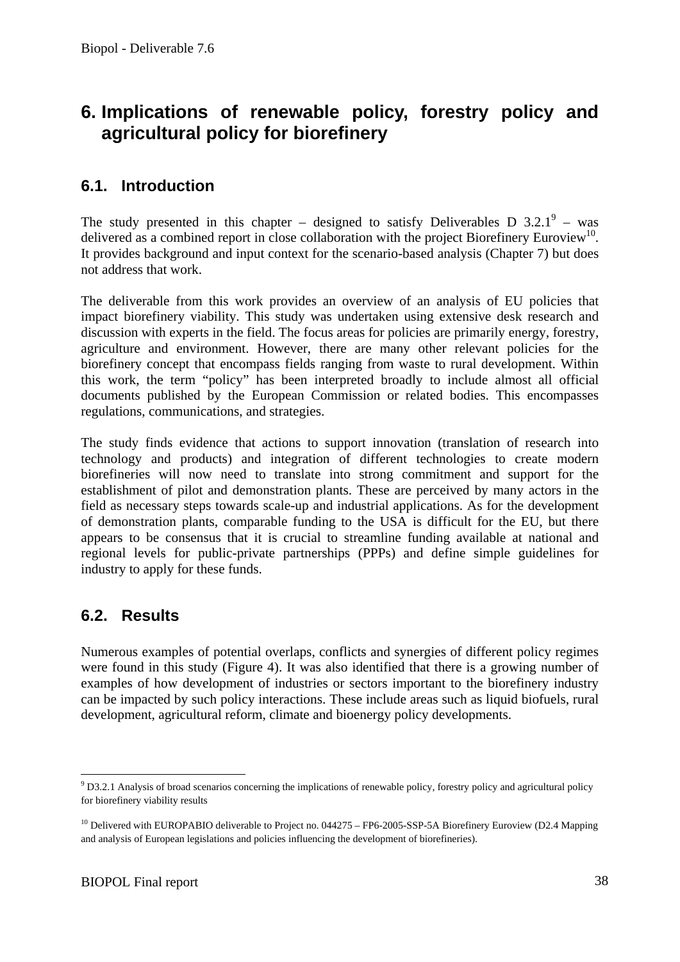# **6. Implications of renewable policy, forestry policy and agricultural policy for biorefinery**

### **6.1. Introduction**

The study presented in this chapter – designed to satisfy Deliverables D  $3.2.1^9$  – was delivered as a combined report in close collaboration with the project Biorefinery Euroview<sup>10</sup>. It provides background and input context for the scenario-based analysis (Chapter 7) but does not address that work.

The deliverable from this work provides an overview of an analysis of EU policies that impact biorefinery viability. This study was undertaken using extensive desk research and discussion with experts in the field. The focus areas for policies are primarily energy, forestry, agriculture and environment. However, there are many other relevant policies for the biorefinery concept that encompass fields ranging from waste to rural development. Within this work, the term "policy" has been interpreted broadly to include almost all official documents published by the European Commission or related bodies. This encompasses regulations, communications, and strategies.

The study finds evidence that actions to support innovation (translation of research into technology and products) and integration of different technologies to create modern biorefineries will now need to translate into strong commitment and support for the establishment of pilot and demonstration plants. These are perceived by many actors in the field as necessary steps towards scale-up and industrial applications. As for the development of demonstration plants, comparable funding to the USA is difficult for the EU, but there appears to be consensus that it is crucial to streamline funding available at national and regional levels for public-private partnerships (PPPs) and define simple guidelines for industry to apply for these funds.

### **6.2. Results**

Numerous examples of potential overlaps, conflicts and synergies of different policy regimes were found in this study (Figure 4). It was also identified that there is a growing number of examples of how development of industries or sectors important to the biorefinery industry can be impacted by such policy interactions. These include areas such as liquid biofuels, rural development, agricultural reform, climate and bioenergy policy developments.

1

<sup>&</sup>lt;sup>9</sup> D3.2.1 Analysis of broad scenarios concerning the implications of renewable policy, forestry policy and agricultural policy for biorefinery viability results

 $10$  Delivered with EUROPABIO deliverable to Project no. 044275 – FP6-2005-SSP-5A Biorefinery Euroview (D2.4 Mapping and analysis of European legislations and policies influencing the development of biorefineries).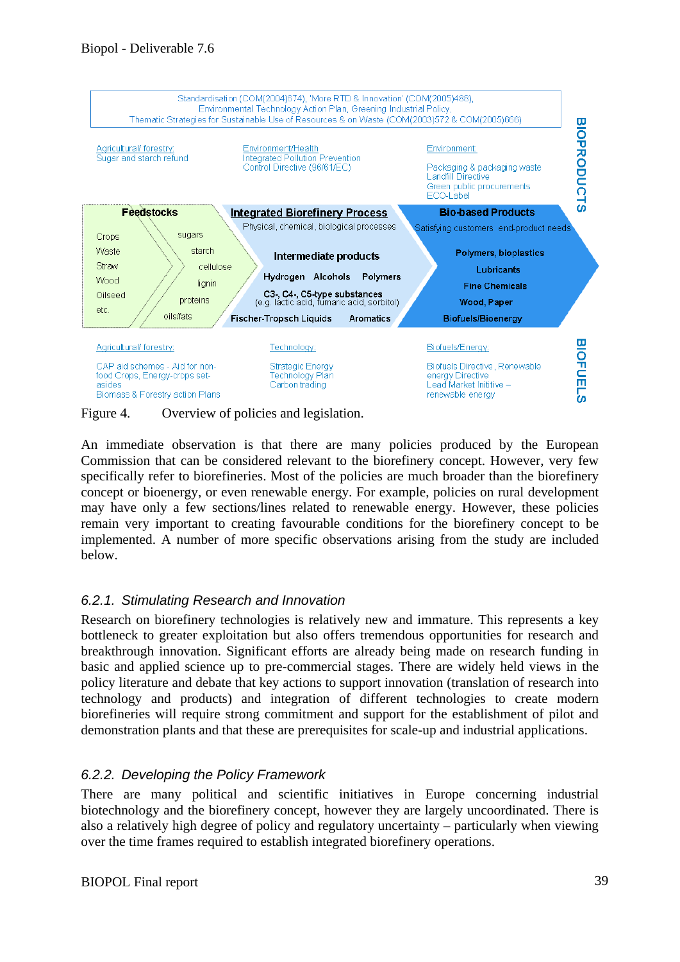

Figure 4. Overview of policies and legislation.

An immediate observation is that there are many policies produced by the European Commission that can be considered relevant to the biorefinery concept. However, very few specifically refer to biorefineries. Most of the policies are much broader than the biorefinery concept or bioenergy, or even renewable energy. For example, policies on rural development may have only a few sections/lines related to renewable energy. However, these policies remain very important to creating favourable conditions for the biorefinery concept to be implemented. A number of more specific observations arising from the study are included below.

#### *6.2.1. Stimulating Research and Innovation*

Research on biorefinery technologies is relatively new and immature. This represents a key bottleneck to greater exploitation but also offers tremendous opportunities for research and breakthrough innovation. Significant efforts are already being made on research funding in basic and applied science up to pre-commercial stages. There are widely held views in the policy literature and debate that key actions to support innovation (translation of research into technology and products) and integration of different technologies to create modern biorefineries will require strong commitment and support for the establishment of pilot and demonstration plants and that these are prerequisites for scale-up and industrial applications.

#### *6.2.2. Developing the Policy Framework*

There are many political and scientific initiatives in Europe concerning industrial biotechnology and the biorefinery concept, however they are largely uncoordinated. There is also a relatively high degree of policy and regulatory uncertainty – particularly when viewing over the time frames required to establish integrated biorefinery operations.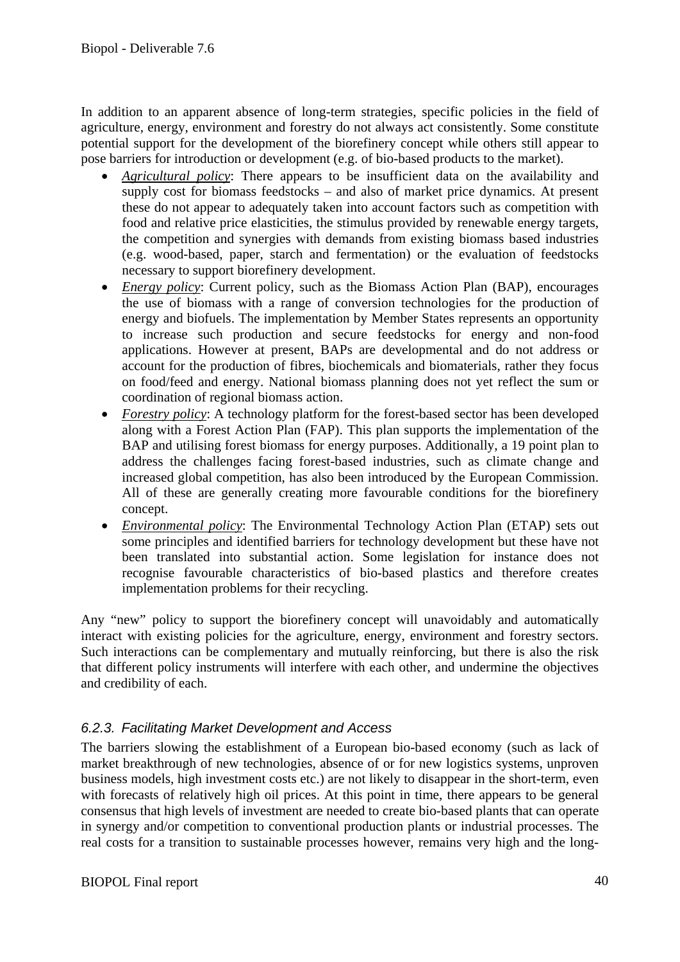In addition to an apparent absence of long-term strategies, specific policies in the field of agriculture, energy, environment and forestry do not always act consistently. Some constitute potential support for the development of the biorefinery concept while others still appear to pose barriers for introduction or development (e.g. of bio-based products to the market).

- *Agricultural policy*: There appears to be insufficient data on the availability and supply cost for biomass feedstocks – and also of market price dynamics. At present these do not appear to adequately taken into account factors such as competition with food and relative price elasticities, the stimulus provided by renewable energy targets, the competition and synergies with demands from existing biomass based industries (e.g. wood-based, paper, starch and fermentation) or the evaluation of feedstocks necessary to support biorefinery development.
- *Energy policy*: Current policy, such as the Biomass Action Plan (BAP), encourages the use of biomass with a range of conversion technologies for the production of energy and biofuels. The implementation by Member States represents an opportunity to increase such production and secure feedstocks for energy and non-food applications. However at present, BAPs are developmental and do not address or account for the production of fibres, biochemicals and biomaterials, rather they focus on food/feed and energy. National biomass planning does not yet reflect the sum or coordination of regional biomass action.
- *Forestry policy*: A technology platform for the forest-based sector has been developed along with a Forest Action Plan (FAP). This plan supports the implementation of the BAP and utilising forest biomass for energy purposes. Additionally, a 19 point plan to address the challenges facing forest-based industries, such as climate change and increased global competition, has also been introduced by the European Commission. All of these are generally creating more favourable conditions for the biorefinery concept.
- *Environmental policy*: The Environmental Technology Action Plan (ETAP) sets out some principles and identified barriers for technology development but these have not been translated into substantial action. Some legislation for instance does not recognise favourable characteristics of bio-based plastics and therefore creates implementation problems for their recycling.

Any "new" policy to support the biorefinery concept will unavoidably and automatically interact with existing policies for the agriculture, energy, environment and forestry sectors. Such interactions can be complementary and mutually reinforcing, but there is also the risk that different policy instruments will interfere with each other, and undermine the objectives and credibility of each.

#### *6.2.3. Facilitating Market Development and Access*

The barriers slowing the establishment of a European bio-based economy (such as lack of market breakthrough of new technologies, absence of or for new logistics systems, unproven business models, high investment costs etc.) are not likely to disappear in the short-term, even with forecasts of relatively high oil prices. At this point in time, there appears to be general consensus that high levels of investment are needed to create bio-based plants that can operate in synergy and/or competition to conventional production plants or industrial processes. The real costs for a transition to sustainable processes however, remains very high and the long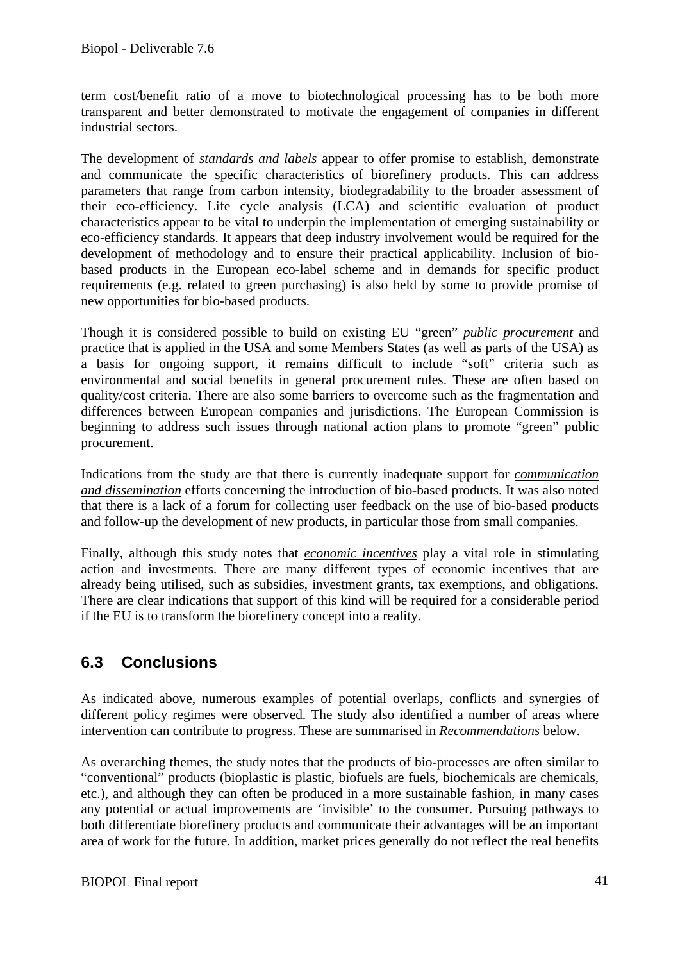term cost/benefit ratio of a move to biotechnological processing has to be both more transparent and better demonstrated to motivate the engagement of companies in different industrial sectors.

The development of *standards and labels* appear to offer promise to establish, demonstrate and communicate the specific characteristics of biorefinery products. This can address parameters that range from carbon intensity, biodegradability to the broader assessment of their eco-efficiency. Life cycle analysis (LCA) and scientific evaluation of product characteristics appear to be vital to underpin the implementation of emerging sustainability or eco-efficiency standards. It appears that deep industry involvement would be required for the development of methodology and to ensure their practical applicability. Inclusion of biobased products in the European eco-label scheme and in demands for specific product requirements (e.g. related to green purchasing) is also held by some to provide promise of new opportunities for bio-based products.

Though it is considered possible to build on existing EU "green" *public procurement* and practice that is applied in the USA and some Members States (as well as parts of the USA) as a basis for ongoing support, it remains difficult to include "soft" criteria such as environmental and social benefits in general procurement rules. These are often based on quality/cost criteria. There are also some barriers to overcome such as the fragmentation and differences between European companies and jurisdictions. The European Commission is beginning to address such issues through national action plans to promote "green" public procurement.

Indications from the study are that there is currently inadequate support for *communication and dissemination* efforts concerning the introduction of bio-based products. It was also noted that there is a lack of a forum for collecting user feedback on the use of bio-based products and follow-up the development of new products, in particular those from small companies.

Finally, although this study notes that *economic incentives* play a vital role in stimulating action and investments. There are many different types of economic incentives that are already being utilised, such as subsidies, investment grants, tax exemptions, and obligations. There are clear indications that support of this kind will be required for a considerable period if the EU is to transform the biorefinery concept into a reality.

### **6.3 Conclusions**

As indicated above, numerous examples of potential overlaps, conflicts and synergies of different policy regimes were observed. The study also identified a number of areas where intervention can contribute to progress. These are summarised in *Recommendations* below.

As overarching themes, the study notes that the products of bio-processes are often similar to "conventional" products (bioplastic is plastic, biofuels are fuels, biochemicals are chemicals, etc.), and although they can often be produced in a more sustainable fashion, in many cases any potential or actual improvements are 'invisible' to the consumer. Pursuing pathways to both differentiate biorefinery products and communicate their advantages will be an important area of work for the future. In addition, market prices generally do not reflect the real benefits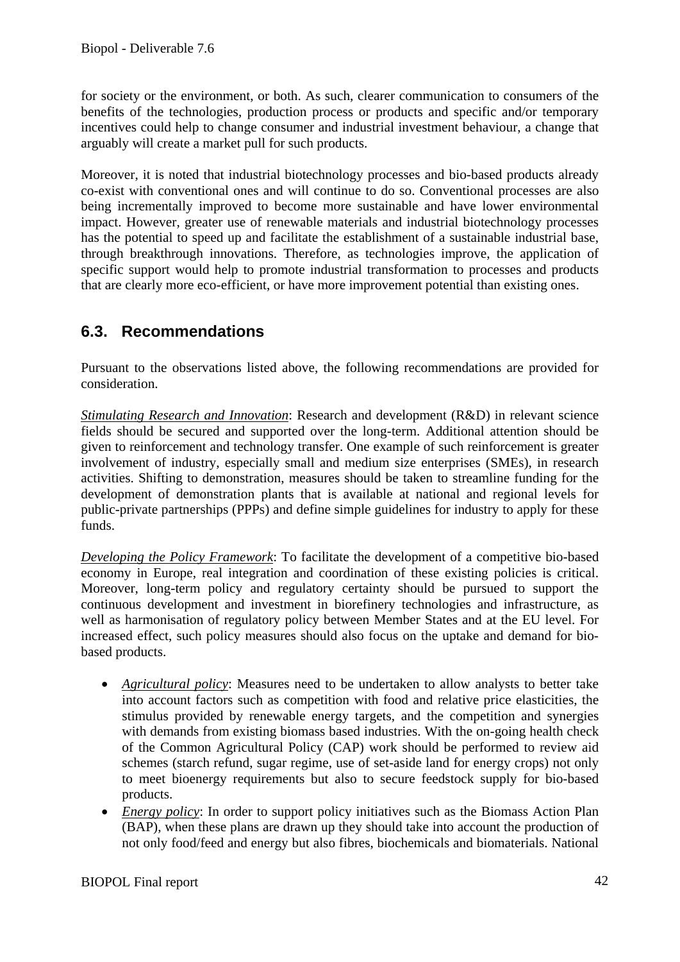for society or the environment, or both. As such, clearer communication to consumers of the benefits of the technologies, production process or products and specific and/or temporary incentives could help to change consumer and industrial investment behaviour, a change that arguably will create a market pull for such products.

Moreover, it is noted that industrial biotechnology processes and bio-based products already co-exist with conventional ones and will continue to do so. Conventional processes are also being incrementally improved to become more sustainable and have lower environmental impact. However, greater use of renewable materials and industrial biotechnology processes has the potential to speed up and facilitate the establishment of a sustainable industrial base, through breakthrough innovations. Therefore, as technologies improve, the application of specific support would help to promote industrial transformation to processes and products that are clearly more eco-efficient, or have more improvement potential than existing ones.

### **6.3. Recommendations**

Pursuant to the observations listed above, the following recommendations are provided for consideration.

*Stimulating Research and Innovation*: Research and development (R&D) in relevant science fields should be secured and supported over the long-term. Additional attention should be given to reinforcement and technology transfer. One example of such reinforcement is greater involvement of industry, especially small and medium size enterprises (SMEs), in research activities. Shifting to demonstration, measures should be taken to streamline funding for the development of demonstration plants that is available at national and regional levels for public-private partnerships (PPPs) and define simple guidelines for industry to apply for these funds.

*Developing the Policy Framework*: To facilitate the development of a competitive bio-based economy in Europe, real integration and coordination of these existing policies is critical. Moreover, long-term policy and regulatory certainty should be pursued to support the continuous development and investment in biorefinery technologies and infrastructure, as well as harmonisation of regulatory policy between Member States and at the EU level. For increased effect, such policy measures should also focus on the uptake and demand for biobased products.

- *Agricultural policy*: Measures need to be undertaken to allow analysts to better take into account factors such as competition with food and relative price elasticities, the stimulus provided by renewable energy targets, and the competition and synergies with demands from existing biomass based industries. With the on-going health check of the Common Agricultural Policy (CAP) work should be performed to review aid schemes (starch refund, sugar regime, use of set-aside land for energy crops) not only to meet bioenergy requirements but also to secure feedstock supply for bio-based products.
- *Energy policy*: In order to support policy initiatives such as the Biomass Action Plan (BAP), when these plans are drawn up they should take into account the production of not only food/feed and energy but also fibres, biochemicals and biomaterials. National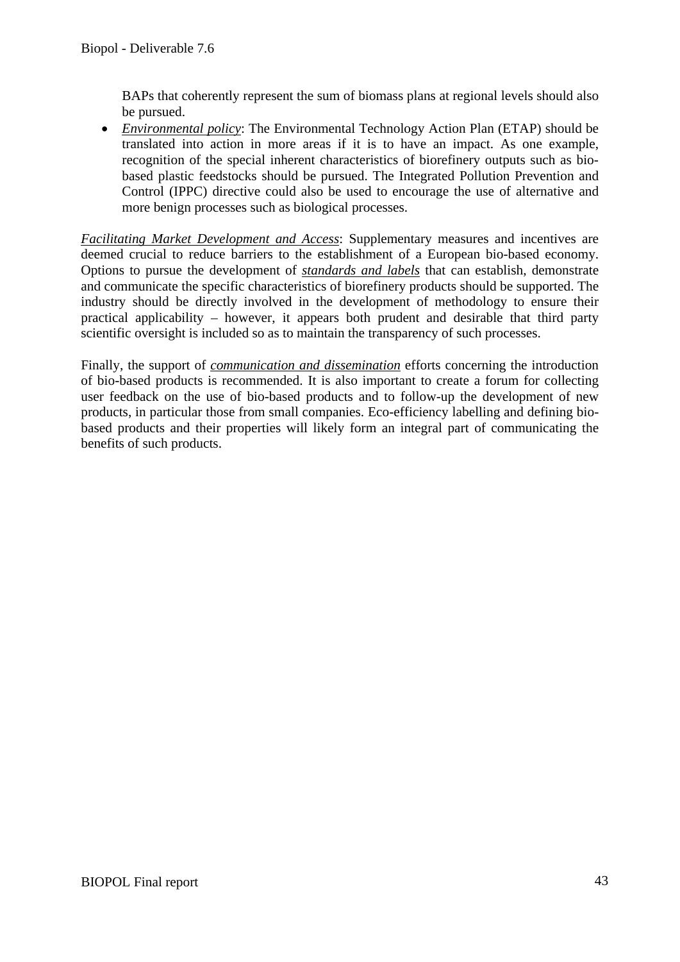BAPs that coherently represent the sum of biomass plans at regional levels should also be pursued.

• *Environmental policy*: The Environmental Technology Action Plan (ETAP) should be translated into action in more areas if it is to have an impact. As one example, recognition of the special inherent characteristics of biorefinery outputs such as biobased plastic feedstocks should be pursued. The Integrated Pollution Prevention and Control (IPPC) directive could also be used to encourage the use of alternative and more benign processes such as biological processes.

*Facilitating Market Development and Access*: Supplementary measures and incentives are deemed crucial to reduce barriers to the establishment of a European bio-based economy. Options to pursue the development of *standards and labels* that can establish, demonstrate and communicate the specific characteristics of biorefinery products should be supported. The industry should be directly involved in the development of methodology to ensure their practical applicability – however, it appears both prudent and desirable that third party scientific oversight is included so as to maintain the transparency of such processes.

Finally, the support of *communication and dissemination* efforts concerning the introduction of bio-based products is recommended. It is also important to create a forum for collecting user feedback on the use of bio-based products and to follow-up the development of new products, in particular those from small companies. Eco-efficiency labelling and defining biobased products and their properties will likely form an integral part of communicating the benefits of such products.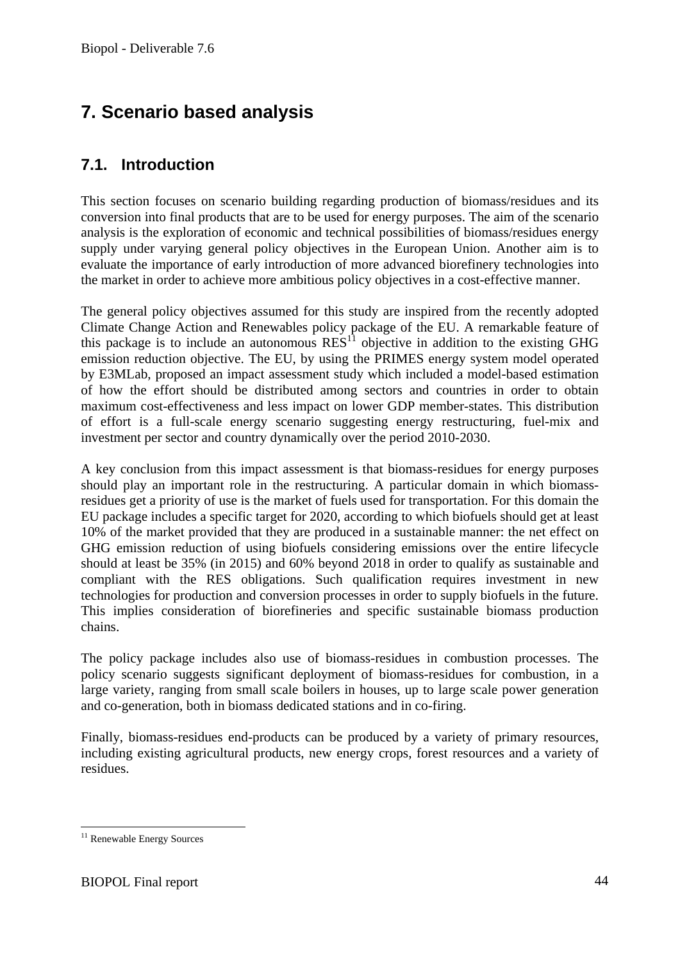# **7. Scenario based analysis**

### **7.1. Introduction**

This section focuses on scenario building regarding production of biomass/residues and its conversion into final products that are to be used for energy purposes. The aim of the scenario analysis is the exploration of economic and technical possibilities of biomass/residues energy supply under varying general policy objectives in the European Union. Another aim is to evaluate the importance of early introduction of more advanced biorefinery technologies into the market in order to achieve more ambitious policy objectives in a cost-effective manner.

The general policy objectives assumed for this study are inspired from the recently adopted Climate Change Action and Renewables policy package of the EU. A remarkable feature of this package is to include an autonomous  $RES<sup>11</sup>$  objective in addition to the existing GHG emission reduction objective. The EU, by using the PRIMES energy system model operated by E3MLab, proposed an impact assessment study which included a model-based estimation of how the effort should be distributed among sectors and countries in order to obtain maximum cost-effectiveness and less impact on lower GDP member-states. This distribution of effort is a full-scale energy scenario suggesting energy restructuring, fuel-mix and investment per sector and country dynamically over the period 2010-2030.

A key conclusion from this impact assessment is that biomass-residues for energy purposes should play an important role in the restructuring. A particular domain in which biomassresidues get a priority of use is the market of fuels used for transportation. For this domain the EU package includes a specific target for 2020, according to which biofuels should get at least 10% of the market provided that they are produced in a sustainable manner: the net effect on GHG emission reduction of using biofuels considering emissions over the entire lifecycle should at least be 35% (in 2015) and 60% beyond 2018 in order to qualify as sustainable and compliant with the RES obligations. Such qualification requires investment in new technologies for production and conversion processes in order to supply biofuels in the future. This implies consideration of biorefineries and specific sustainable biomass production chains.

The policy package includes also use of biomass-residues in combustion processes. The policy scenario suggests significant deployment of biomass-residues for combustion, in a large variety, ranging from small scale boilers in houses, up to large scale power generation and co-generation, both in biomass dedicated stations and in co-firing.

Finally, biomass-residues end-products can be produced by a variety of primary resources, including existing agricultural products, new energy crops, forest resources and a variety of residues.

<sup>1</sup> <sup>11</sup> Renewable Energy Sources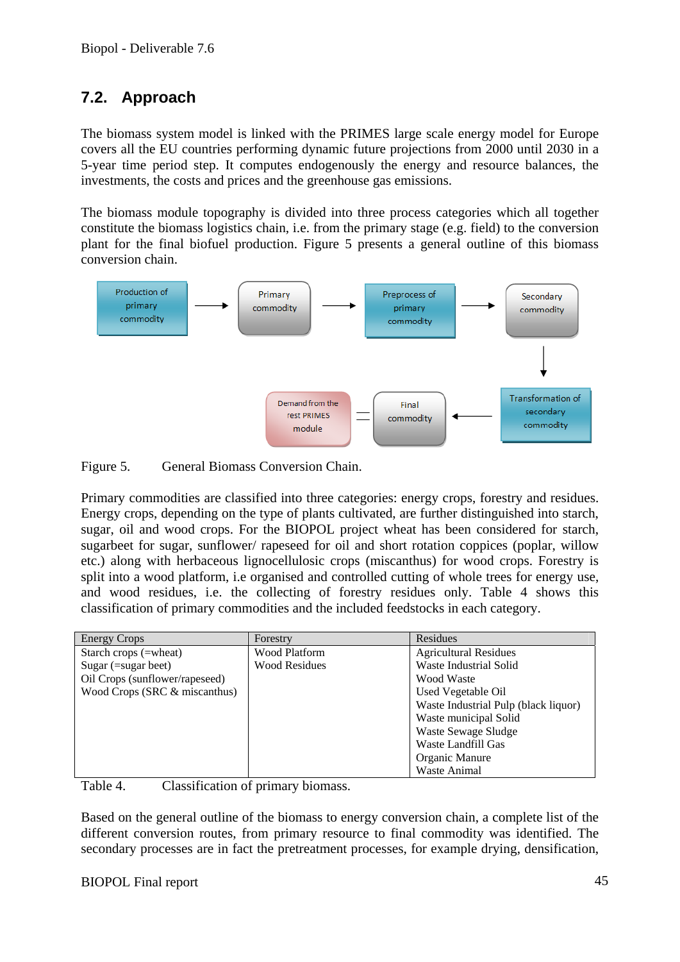## **7.2. Approach**

The biomass system model is linked with the PRIMES large scale energy model for Europe covers all the EU countries performing dynamic future projections from 2000 until 2030 in a 5-year time period step. It computes endogenously the energy and resource balances, the investments, the costs and prices and the greenhouse gas emissions.

The biomass module topography is divided into three process categories which all together constitute the biomass logistics chain, i.e. from the primary stage (e.g. field) to the conversion plant for the final biofuel production. Figure 5 presents a general outline of this biomass conversion chain.



Figure 5. General Biomass Conversion Chain.

Primary commodities are classified into three categories: energy crops, forestry and residues. Energy crops, depending on the type of plants cultivated, are further distinguished into starch, sugar, oil and wood crops. For the BIOPOL project wheat has been considered for starch, sugarbeet for sugar, sunflower/ rapeseed for oil and short rotation coppices (poplar, willow etc.) along with herbaceous lignocellulosic crops (miscanthus) for wood crops. Forestry is split into a wood platform, i.e organised and controlled cutting of whole trees for energy use, and wood residues, i.e. the collecting of forestry residues only. Table 4 shows this classification of primary commodities and the included feedstocks in each category.

| <b>Energy Crops</b>            | Forestry             | Residues                             |
|--------------------------------|----------------------|--------------------------------------|
| Starch crops (=wheat)          | <b>Wood Platform</b> | <b>Agricultural Residues</b>         |
| Sugar $($ =sugar beet $)$      | <b>Wood Residues</b> | Waste Industrial Solid               |
| Oil Crops (sunflower/rapeseed) |                      | Wood Waste                           |
| Wood Crops (SRC & miscanthus)  |                      | Used Vegetable Oil                   |
|                                |                      | Waste Industrial Pulp (black liquor) |
|                                |                      | Waste municipal Solid                |
|                                |                      | Waste Sewage Sludge                  |
|                                |                      | Waste Landfill Gas                   |
|                                |                      | Organic Manure                       |
|                                |                      | Waste Animal                         |

Table 4. Classification of primary biomass.

Based on the general outline of the biomass to energy conversion chain, a complete list of the different conversion routes, from primary resource to final commodity was identified. The secondary processes are in fact the pretreatment processes, for example drying, densification,

#### BIOPOL Final report 45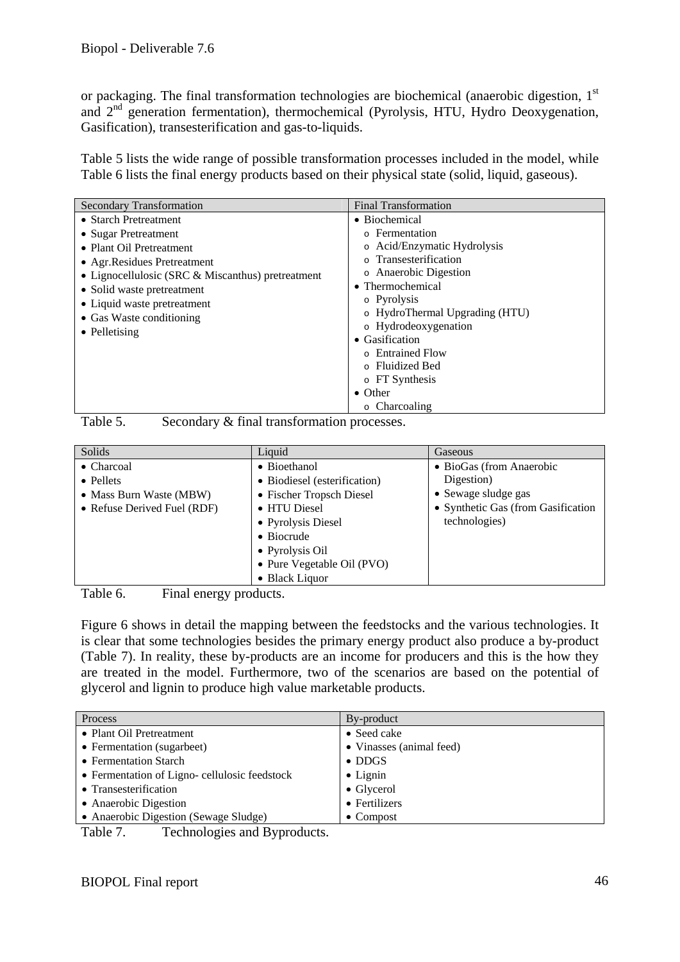or packaging. The final transformation technologies are biochemical (anaerobic digestion, 1<sup>st</sup> and 2nd generation fermentation), thermochemical (Pyrolysis, HTU, Hydro Deoxygenation, Gasification), transesterification and gas-to-liquids.

Table 5 lists the wide range of possible transformation processes included in the model, while Table 6 lists the final energy products based on their physical state (solid, liquid, gaseous).

| <b>Secondary Transformation</b>                                                                                                                                                                                                                                          | <b>Final Transformation</b>                                                                                                                                                                                                     |
|--------------------------------------------------------------------------------------------------------------------------------------------------------------------------------------------------------------------------------------------------------------------------|---------------------------------------------------------------------------------------------------------------------------------------------------------------------------------------------------------------------------------|
| • Starch Pretreatment<br>• Sugar Pretreatment<br>• Plant Oil Pretreatment<br>• Agr. Residues Pretreatment<br>• Lignocellulosic (SRC & Miscanthus) pretreatment<br>• Solid waste pretreatment<br>• Liquid waste pretreatment<br>• Gas Waste conditioning<br>• Pelletising | • Biochemical<br>o Fermentation<br>o Acid/Enzymatic Hydrolysis<br>o Transesterification<br>• Anaerobic Digestion<br>• Thermochemical<br>o Pyrolysis<br>o HydroThermal Upgrading (HTU)<br>o Hydrodeoxygenation<br>• Gasification |
|                                                                                                                                                                                                                                                                          | ○ Entrained Flow                                                                                                                                                                                                                |
|                                                                                                                                                                                                                                                                          | ○ Fluidized Bed<br>o FT Synthesis                                                                                                                                                                                               |
|                                                                                                                                                                                                                                                                          | $\bullet$ Other<br>$\circ$ Charcoaling                                                                                                                                                                                          |

Table 5. Secondary & final transformation processes.

| Solids                      | Liquid                       | Gaseous                            |
|-----------------------------|------------------------------|------------------------------------|
| • Charcoal                  | • Bioethanol                 | • BioGas (from Anaerobic           |
| • Pellets                   | • Biodiesel (esterification) | Digestion)                         |
| • Mass Burn Waste (MBW)     | • Fischer Tropsch Diesel     | • Sewage sludge gas                |
| • Refuse Derived Fuel (RDF) | • HTU Diesel                 | • Synthetic Gas (from Gasification |
|                             | • Pyrolysis Diesel           | technologies)                      |
|                             | • Biocrude                   |                                    |
|                             | • Pyrolysis Oil              |                                    |
|                             | • Pure Vegetable Oil (PVO)   |                                    |
|                             | • Black Liquor               |                                    |

Table 6. Final energy products.

Figure 6 shows in detail the mapping between the feedstocks and the various technologies. It is clear that some technologies besides the primary energy product also produce a by-product (Table 7). In reality, these by-products are an income for producers and this is the how they are treated in the model. Furthermore, two of the scenarios are based on the potential of glycerol and lignin to produce high value marketable products.

| Process                                      | By-product               |  |
|----------------------------------------------|--------------------------|--|
| • Plant Oil Pretreatment                     | • Seed cake              |  |
| • Fermentation (sugarbeet)                   | • Vinasses (animal feed) |  |
| • Fermentation Starch                        | $\bullet$ DDGS           |  |
| • Fermentation of Ligno-cellulosic feedstock | $\bullet$ Lignin         |  |
| • Transesterification                        | $\bullet$ Glycerol       |  |
| • Anaerobic Digestion                        | • Fertilizers            |  |
| • Anaerobic Digestion (Sewage Sludge)        | $\bullet$ Compost        |  |
| Toohnologies and Drugoducts<br>$T_0 h l_0$ 7 |                          |  |

Table 7. Technologies and Byproducts.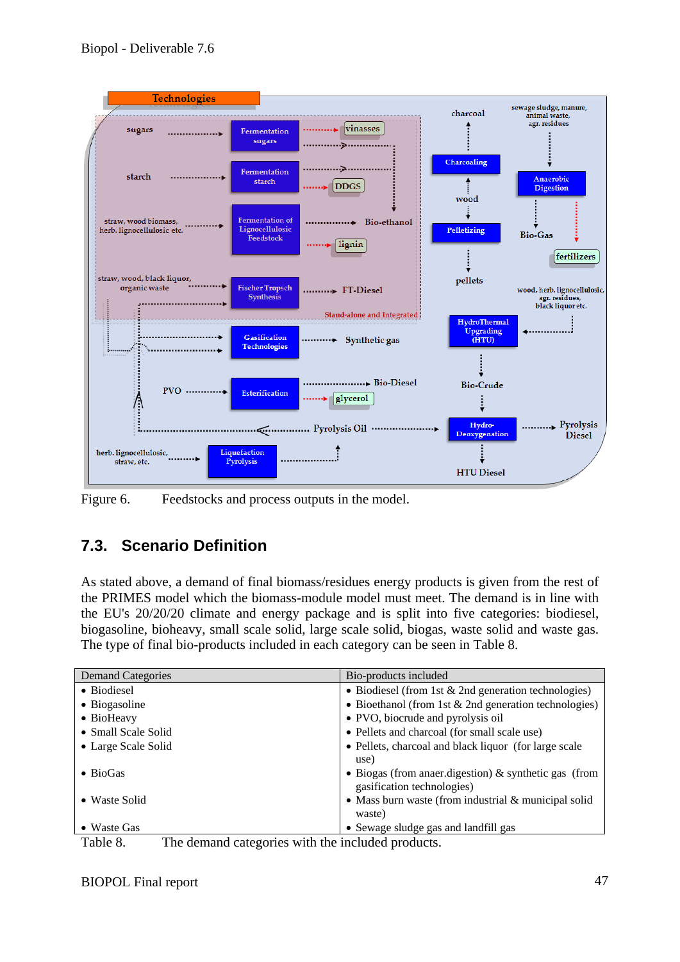

Figure 6. Feedstocks and process outputs in the model.

# **7.3. Scenario Definition**

As stated above, a demand of final biomass/residues energy products is given from the rest of the PRIMES model which the biomass-module model must meet. The demand is in line with the EU's 20/20/20 climate and energy package and is split into five categories: biodiesel, biogasoline, bioheavy, small scale solid, large scale solid, biogas, waste solid and waste gas. The type of final bio-products included in each category can be seen in Table 8.

| <b>Demand Categories</b> | Bio-products included                                    |
|--------------------------|----------------------------------------------------------|
| • Biodiesel              | • Biodiesel (from 1st $& 2nd$ generation technologies)   |
| • Biogasoline            | • Bioethanol (from 1st $& 2nd$ generation technologies)  |
| • BioHeavy               | • PVO, biocrude and pyrolysis oil                        |
| • Small Scale Solid      | • Pellets and charcoal (for small scale use)             |
| • Large Scale Solid      | • Pellets, charcoal and black liquor (for large scale    |
|                          | use)                                                     |
| $\bullet$ BioGas         | • Biogas (from anaer digestion) $\&$ synthetic gas (from |
|                          | gasification technologies)                               |
| • Waste Solid            | • Mass burn waste (from industrial $&$ municipal solid   |
|                          | waste)                                                   |
| $\bullet$ Waste Gas      | • Sewage sludge gas and landfill gas                     |

Table 8. The demand categories with the included products.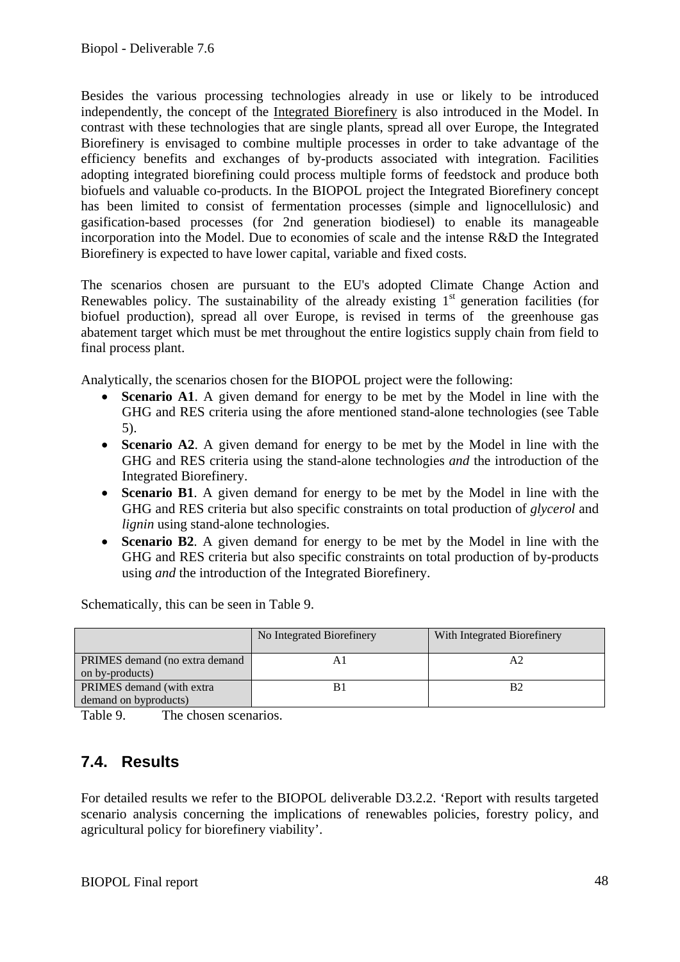Besides the various processing technologies already in use or likely to be introduced independently, the concept of the Integrated Biorefinery is also introduced in the Model. In contrast with these technologies that are single plants, spread all over Europe, the Integrated Biorefinery is envisaged to combine multiple processes in order to take advantage of the efficiency benefits and exchanges of by-products associated with integration. Facilities adopting integrated biorefining could process multiple forms of feedstock and produce both biofuels and valuable co-products. In the BIOPOL project the Integrated Biorefinery concept has been limited to consist of fermentation processes (simple and lignocellulosic) and gasification-based processes (for 2nd generation biodiesel) to enable its manageable incorporation into the Model. Due to economies of scale and the intense R&D the Integrated Biorefinery is expected to have lower capital, variable and fixed costs.

The scenarios chosen are pursuant to the EU's adopted Climate Change Action and Renewables policy. The sustainability of the already existing  $1<sup>st</sup>$  generation facilities (for biofuel production), spread all over Europe, is revised in terms of the greenhouse gas abatement target which must be met throughout the entire logistics supply chain from field to final process plant.

Analytically, the scenarios chosen for the BIOPOL project were the following:

- **Scenario A1**. A given demand for energy to be met by the Model in line with the GHG and RES criteria using the afore mentioned stand-alone technologies (see Table 5).
- **Scenario A2**. A given demand for energy to be met by the Model in line with the GHG and RES criteria using the stand-alone technologies *and* the introduction of the Integrated Biorefinery.
- **Scenario B1**. A given demand for energy to be met by the Model in line with the GHG and RES criteria but also specific constraints on total production of *glycerol* and *lignin* using stand-alone technologies.
- **Scenario B2**. A given demand for energy to be met by the Model in line with the GHG and RES criteria but also specific constraints on total production of by-products using *and* the introduction of the Integrated Biorefinery.

Schematically, this can be seen in Table 9.

|                                                    | No Integrated Biorefinery | With Integrated Biorefinery |
|----------------------------------------------------|---------------------------|-----------------------------|
| PRIMES demand (no extra demand)<br>on by-products) |                           | A2                          |
| PRIMES demand (with extra<br>demand on byproducts) |                           | B2                          |

Table 9. The chosen scenarios.

### **7.4. Results**

For detailed results we refer to the BIOPOL deliverable D3.2.2. 'Report with results targeted scenario analysis concerning the implications of renewables policies, forestry policy, and agricultural policy for biorefinery viability'.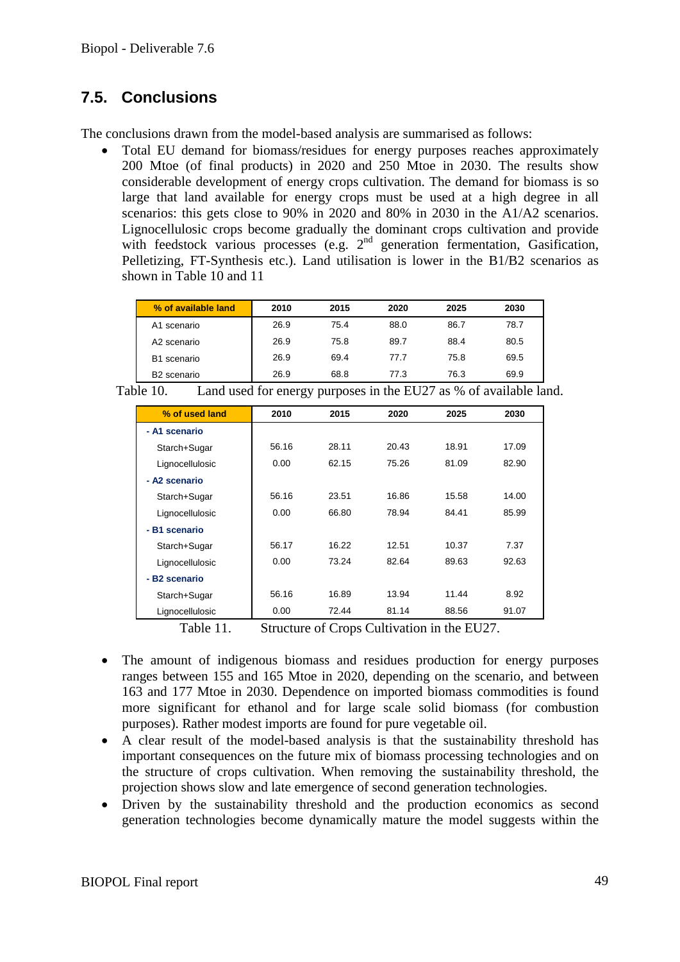### **7.5. Conclusions**

The conclusions drawn from the model-based analysis are summarised as follows:

• Total EU demand for biomass/residues for energy purposes reaches approximately 200 Mtoe (of final products) in 2020 and 250 Mtoe in 2030. The results show considerable development of energy crops cultivation. The demand for biomass is so large that land available for energy crops must be used at a high degree in all scenarios: this gets close to 90% in 2020 and 80% in 2030 in the A1/A2 scenarios. Lignocellulosic crops become gradually the dominant crops cultivation and provide with feedstock various processes (e.g.  $2<sup>nd</sup>$  generation fermentation, Gasification, Pelletizing, FT-Synthesis etc.). Land utilisation is lower in the B1/B2 scenarios as shown in Table 10 and 11

| % of available land     | 2010 | 2015 | 2020 | 2025 | 2030 |
|-------------------------|------|------|------|------|------|
| A1 scenario             | 26.9 | 75.4 | 88.0 | 86.7 | 78.7 |
| A2 scenario             | 26.9 | 75.8 | 89.7 | 88.4 | 80.5 |
| B1 scenario             | 26.9 | 69.4 | 77.7 | 75.8 | 69.5 |
| B <sub>2</sub> scenario | 26.9 | 68.8 | 77.3 | 76.3 | 69.9 |

| Table 10. | Land used for energy purposes in the EU27 as % of available land. |  |  |
|-----------|-------------------------------------------------------------------|--|--|
|-----------|-------------------------------------------------------------------|--|--|

| % of used land  | 2010  | 2015  | 2020  | 2025  | 2030  |
|-----------------|-------|-------|-------|-------|-------|
| - A1 scenario   |       |       |       |       |       |
| Starch+Sugar    | 56.16 | 28.11 | 20.43 | 18.91 | 17.09 |
| Lignocellulosic | 0.00  | 62.15 | 75.26 | 81.09 | 82.90 |
| - A2 scenario   |       |       |       |       |       |
| Starch+Sugar    | 56.16 | 23.51 | 16.86 | 15.58 | 14.00 |
| Lignocellulosic | 0.00  | 66.80 | 78.94 | 84.41 | 85.99 |
| - B1 scenario   |       |       |       |       |       |
| Starch+Sugar    | 56.17 | 16.22 | 12.51 | 10.37 | 7.37  |
| Lignocellulosic | 0.00  | 73.24 | 82.64 | 89.63 | 92.63 |
| - B2 scenario   |       |       |       |       |       |
| Starch+Sugar    | 56.16 | 16.89 | 13.94 | 11.44 | 8.92  |
| Lignocellulosic | 0.00  | 72.44 | 81.14 | 88.56 | 91.07 |

Table 11. Structure of Crops Cultivation in the EU27.

- The amount of indigenous biomass and residues production for energy purposes ranges between 155 and 165 Mtoe in 2020, depending on the scenario, and between 163 and 177 Mtoe in 2030. Dependence on imported biomass commodities is found more significant for ethanol and for large scale solid biomass (for combustion purposes). Rather modest imports are found for pure vegetable oil.
- A clear result of the model-based analysis is that the sustainability threshold has important consequences on the future mix of biomass processing technologies and on the structure of crops cultivation. When removing the sustainability threshold, the projection shows slow and late emergence of second generation technologies.
- Driven by the sustainability threshold and the production economics as second generation technologies become dynamically mature the model suggests within the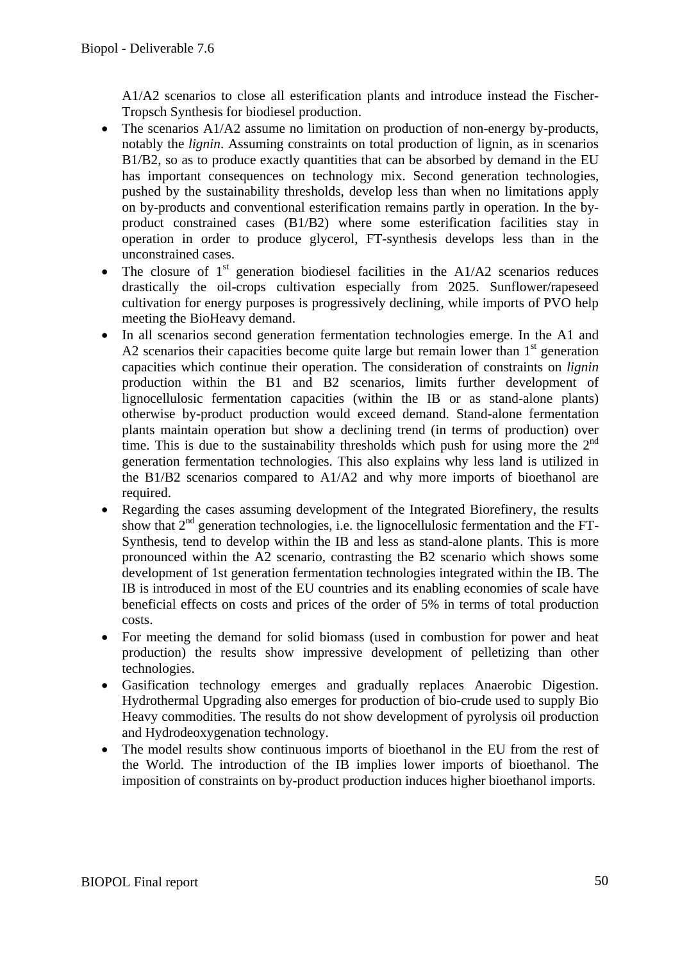A1/A2 scenarios to close all esterification plants and introduce instead the Fischer-Tropsch Synthesis for biodiesel production.

- The scenarios A1/A2 assume no limitation on production of non-energy by-products, notably the *lignin*. Assuming constraints on total production of lignin, as in scenarios B1/B2, so as to produce exactly quantities that can be absorbed by demand in the EU has important consequences on technology mix. Second generation technologies, pushed by the sustainability thresholds, develop less than when no limitations apply on by-products and conventional esterification remains partly in operation. In the byproduct constrained cases (B1/B2) where some esterification facilities stay in operation in order to produce glycerol, FT-synthesis develops less than in the unconstrained cases.
- The closure of  $1<sup>st</sup>$  generation biodiesel facilities in the A1/A2 scenarios reduces drastically the oil-crops cultivation especially from 2025. Sunflower/rapeseed cultivation for energy purposes is progressively declining, while imports of PVO help meeting the BioHeavy demand.
- In all scenarios second generation fermentation technologies emerge. In the A1 and A2 scenarios their capacities become quite large but remain lower than  $1<sup>st</sup>$  generation capacities which continue their operation. The consideration of constraints on *lignin* production within the B1 and B2 scenarios, limits further development of lignocellulosic fermentation capacities (within the IB or as stand-alone plants) otherwise by-product production would exceed demand. Stand-alone fermentation plants maintain operation but show a declining trend (in terms of production) over time. This is due to the sustainability thresholds which push for using more the  $2<sup>nd</sup>$ generation fermentation technologies. This also explains why less land is utilized in the B1/B2 scenarios compared to A1/A2 and why more imports of bioethanol are required.
- Regarding the cases assuming development of the Integrated Biorefinery, the results show that  $2<sup>nd</sup>$  generation technologies, i.e. the lignocellulosic fermentation and the FT-Synthesis, tend to develop within the IB and less as stand-alone plants. This is more pronounced within the A2 scenario, contrasting the B2 scenario which shows some development of 1st generation fermentation technologies integrated within the IB. The IB is introduced in most of the EU countries and its enabling economies of scale have beneficial effects on costs and prices of the order of 5% in terms of total production costs.
- For meeting the demand for solid biomass (used in combustion for power and heat production) the results show impressive development of pelletizing than other technologies.
- Gasification technology emerges and gradually replaces Anaerobic Digestion. Hydrothermal Upgrading also emerges for production of bio-crude used to supply Bio Heavy commodities. The results do not show development of pyrolysis oil production and Hydrodeoxygenation technology.
- The model results show continuous imports of bioethanol in the EU from the rest of the World. The introduction of the IB implies lower imports of bioethanol. The imposition of constraints on by-product production induces higher bioethanol imports.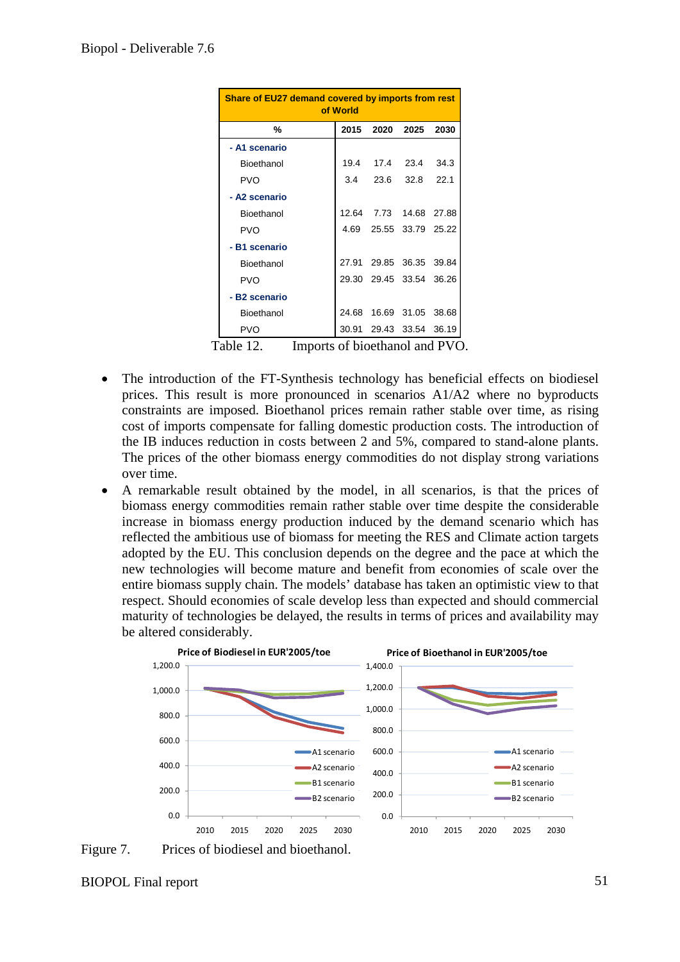| Share of EU27 demand covered by imports from rest<br>of World |  |      |                                                                                                                                                                                                                    |  |
|---------------------------------------------------------------|--|------|--------------------------------------------------------------------------------------------------------------------------------------------------------------------------------------------------------------------|--|
|                                                               |  | 2025 | 2030                                                                                                                                                                                                               |  |
|                                                               |  |      |                                                                                                                                                                                                                    |  |
|                                                               |  |      | 34.3                                                                                                                                                                                                               |  |
|                                                               |  |      | 22.1                                                                                                                                                                                                               |  |
|                                                               |  |      |                                                                                                                                                                                                                    |  |
|                                                               |  |      |                                                                                                                                                                                                                    |  |
|                                                               |  |      |                                                                                                                                                                                                                    |  |
|                                                               |  |      |                                                                                                                                                                                                                    |  |
|                                                               |  |      |                                                                                                                                                                                                                    |  |
|                                                               |  |      |                                                                                                                                                                                                                    |  |
|                                                               |  |      |                                                                                                                                                                                                                    |  |
|                                                               |  |      |                                                                                                                                                                                                                    |  |
|                                                               |  |      |                                                                                                                                                                                                                    |  |
|                                                               |  |      | 2015 2020<br>3.4 23.6<br>32.8<br>12.64 7.73 14.68 27.88<br>4.69 25.55 33.79 25.22<br>27.91 29.85 36.35 39.84<br>29.30 29.45 33.54 36.26<br>24.68 16.69 31.05 38.68<br>30.91 29.43 33.54 36.19<br>$01! - 1 - 1 - 1$ |  |

Table 12. Imports of bioethanol and PVO.

- The introduction of the FT-Synthesis technology has beneficial effects on biodiesel prices. This result is more pronounced in scenarios A1/A2 where no byproducts constraints are imposed. Bioethanol prices remain rather stable over time, as rising cost of imports compensate for falling domestic production costs. The introduction of the IB induces reduction in costs between 2 and 5%, compared to stand-alone plants. The prices of the other biomass energy commodities do not display strong variations over time.
- A remarkable result obtained by the model, in all scenarios, is that the prices of biomass energy commodities remain rather stable over time despite the considerable increase in biomass energy production induced by the demand scenario which has reflected the ambitious use of biomass for meeting the RES and Climate action targets adopted by the EU. This conclusion depends on the degree and the pace at which the new technologies will become mature and benefit from economies of scale over the entire biomass supply chain. The models' database has taken an optimistic view to that respect. Should economies of scale develop less than expected and should commercial maturity of technologies be delayed, the results in terms of prices and availability may be altered considerably.



Figure 7. Prices of biodiesel and bioethanol.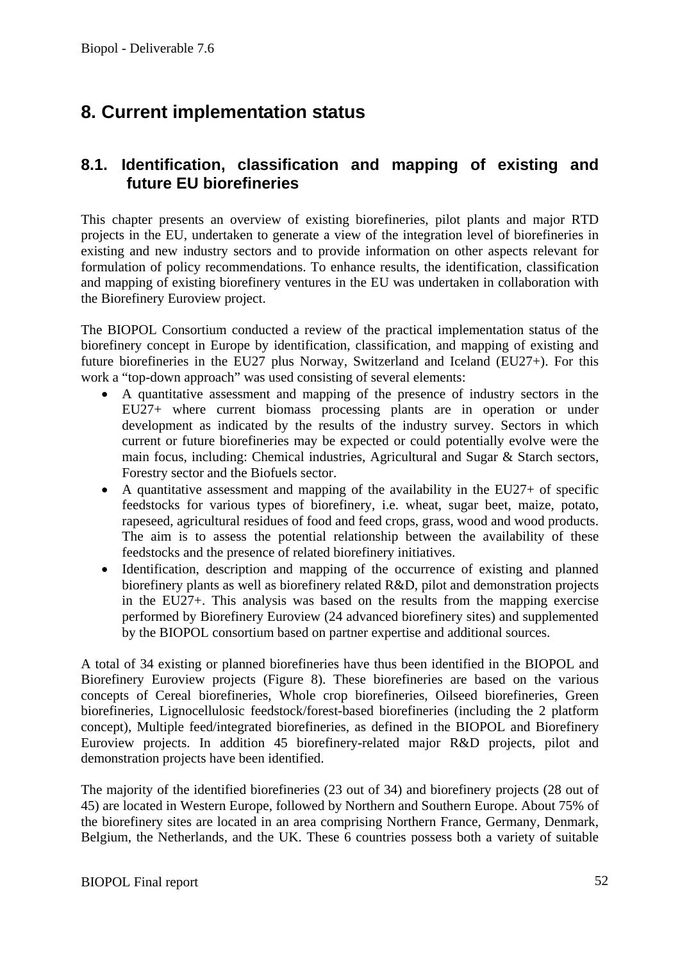# **8. Current implementation status**

### **8.1. Identification, classification and mapping of existing and future EU biorefineries**

This chapter presents an overview of existing biorefineries, pilot plants and major RTD projects in the EU, undertaken to generate a view of the integration level of biorefineries in existing and new industry sectors and to provide information on other aspects relevant for formulation of policy recommendations. To enhance results, the identification, classification and mapping of existing biorefinery ventures in the EU was undertaken in collaboration with the Biorefinery Euroview project.

The BIOPOL Consortium conducted a review of the practical implementation status of the biorefinery concept in Europe by identification, classification, and mapping of existing and future biorefineries in the EU27 plus Norway, Switzerland and Iceland (EU27+). For this work a "top-down approach" was used consisting of several elements:

- A quantitative assessment and mapping of the presence of industry sectors in the EU27+ where current biomass processing plants are in operation or under development as indicated by the results of the industry survey. Sectors in which current or future biorefineries may be expected or could potentially evolve were the main focus, including: Chemical industries, Agricultural and Sugar & Starch sectors, Forestry sector and the Biofuels sector.
- A quantitative assessment and mapping of the availability in the EU27+ of specific feedstocks for various types of biorefinery, i.e. wheat, sugar beet, maize, potato, rapeseed, agricultural residues of food and feed crops, grass, wood and wood products. The aim is to assess the potential relationship between the availability of these feedstocks and the presence of related biorefinery initiatives.
- Identification, description and mapping of the occurrence of existing and planned biorefinery plants as well as biorefinery related R&D, pilot and demonstration projects in the EU27+. This analysis was based on the results from the mapping exercise performed by Biorefinery Euroview (24 advanced biorefinery sites) and supplemented by the BIOPOL consortium based on partner expertise and additional sources.

A total of 34 existing or planned biorefineries have thus been identified in the BIOPOL and Biorefinery Euroview projects (Figure 8). These biorefineries are based on the various concepts of Cereal biorefineries, Whole crop biorefineries, Oilseed biorefineries, Green biorefineries, Lignocellulosic feedstock/forest-based biorefineries (including the 2 platform concept), Multiple feed/integrated biorefineries, as defined in the BIOPOL and Biorefinery Euroview projects. In addition 45 biorefinery-related major R&D projects, pilot and demonstration projects have been identified.

The majority of the identified biorefineries (23 out of 34) and biorefinery projects (28 out of 45) are located in Western Europe, followed by Northern and Southern Europe. About 75% of the biorefinery sites are located in an area comprising Northern France, Germany, Denmark, Belgium, the Netherlands, and the UK. These 6 countries possess both a variety of suitable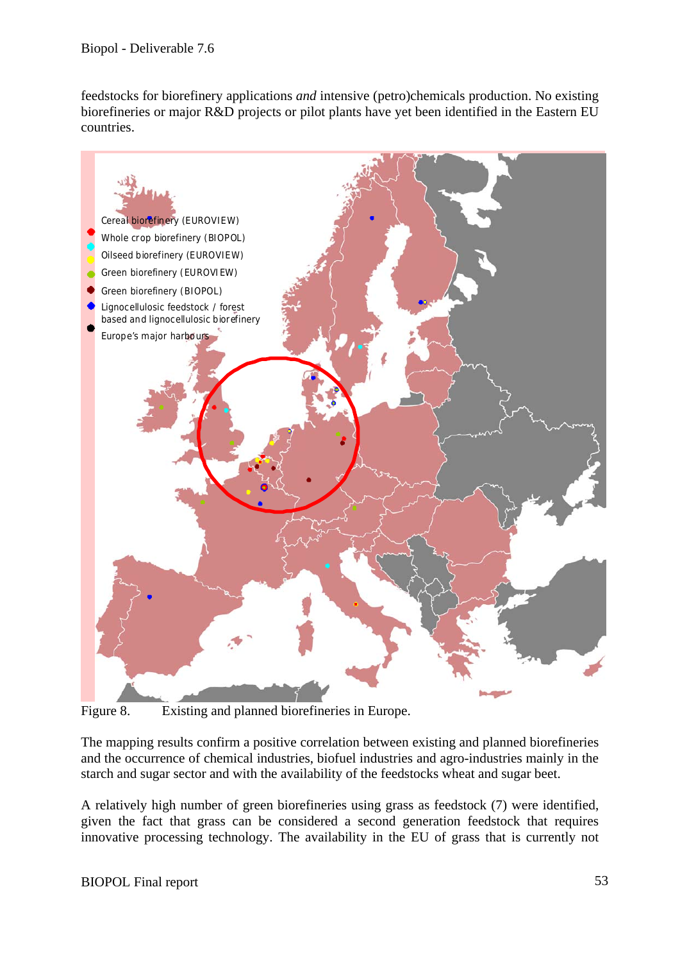feedstocks for biorefinery applications *and* intensive (petro)chemicals production. No existing biorefineries or major R&D projects or pilot plants have yet been identified in the Eastern EU countries.



Figure 8. Existing and planned biorefineries in Europe.

The mapping results confirm a positive correlation between existing and planned biorefineries and the occurrence of chemical industries, biofuel industries and agro-industries mainly in the starch and sugar sector and with the availability of the feedstocks wheat and sugar beet.

A relatively high number of green biorefineries using grass as feedstock (7) were identified, given the fact that grass can be considered a second generation feedstock that requires innovative processing technology. The availability in the EU of grass that is currently not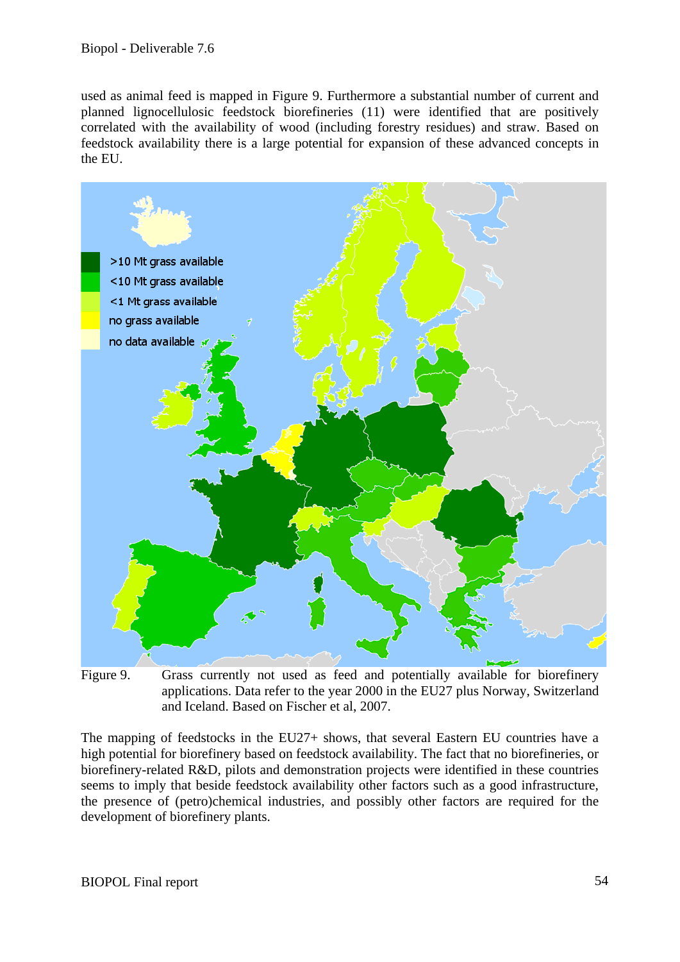used as animal feed is mapped in Figure 9. Furthermore a substantial number of current and planned lignocellulosic feedstock biorefineries (11) were identified that are positively correlated with the availability of wood (including forestry residues) and straw. Based on feedstock availability there is a large potential for expansion of these advanced concepts in the EU.



Figure 9. Grass currently not used as feed and potentially available for biorefinery applications. Data refer to the year 2000 in the EU27 plus Norway, Switzerland and Iceland. Based on Fischer et al, 2007.

The mapping of feedstocks in the EU27+ shows, that several Eastern EU countries have a high potential for biorefinery based on feedstock availability. The fact that no biorefineries, or biorefinery-related R&D, pilots and demonstration projects were identified in these countries seems to imply that beside feedstock availability other factors such as a good infrastructure, the presence of (petro)chemical industries, and possibly other factors are required for the development of biorefinery plants.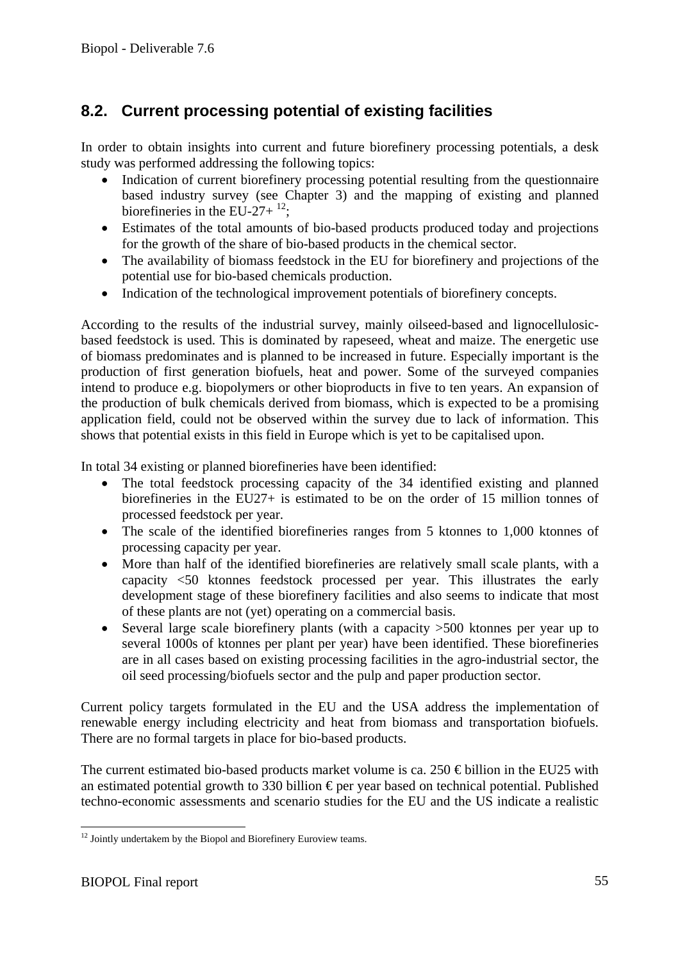### **8.2. Current processing potential of existing facilities**

In order to obtain insights into current and future biorefinery processing potentials, a desk study was performed addressing the following topics:

- Indication of current biorefinery processing potential resulting from the questionnaire based industry survey (see Chapter 3) and the mapping of existing and planned biorefineries in the EU-27+ $^{12}$ ;
- Estimates of the total amounts of bio-based products produced today and projections for the growth of the share of bio-based products in the chemical sector.
- The availability of biomass feedstock in the EU for biorefinery and projections of the potential use for bio-based chemicals production.
- Indication of the technological improvement potentials of biorefinery concepts.

According to the results of the industrial survey, mainly oilseed-based and lignocellulosicbased feedstock is used. This is dominated by rapeseed, wheat and maize. The energetic use of biomass predominates and is planned to be increased in future. Especially important is the production of first generation biofuels, heat and power. Some of the surveyed companies intend to produce e.g. biopolymers or other bioproducts in five to ten years. An expansion of the production of bulk chemicals derived from biomass, which is expected to be a promising application field, could not be observed within the survey due to lack of information. This shows that potential exists in this field in Europe which is yet to be capitalised upon.

In total 34 existing or planned biorefineries have been identified:

- The total feedstock processing capacity of the 34 identified existing and planned biorefineries in the EU27+ is estimated to be on the order of 15 million tonnes of processed feedstock per year.
- The scale of the identified biorefineries ranges from 5 ktonnes to 1,000 ktonnes of processing capacity per year.
- More than half of the identified biorefineries are relatively small scale plants, with a capacity <50 ktonnes feedstock processed per year. This illustrates the early development stage of these biorefinery facilities and also seems to indicate that most of these plants are not (yet) operating on a commercial basis.
- Several large scale biorefinery plants (with a capacity  $>500$  ktonnes per year up to several 1000s of ktonnes per plant per year) have been identified. These biorefineries are in all cases based on existing processing facilities in the agro-industrial sector, the oil seed processing/biofuels sector and the pulp and paper production sector.

Current policy targets formulated in the EU and the USA address the implementation of renewable energy including electricity and heat from biomass and transportation biofuels. There are no formal targets in place for bio-based products.

The current estimated bio-based products market volume is ca. 250  $\epsilon$  billion in the EU25 with an estimated potential growth to 330 billion  $\epsilon$  per year based on technical potential. Published techno-economic assessments and scenario studies for the EU and the US indicate a realistic

<sup>1</sup>  $12$  Jointly undertakem by the Biopol and Biorefinery Euroview teams.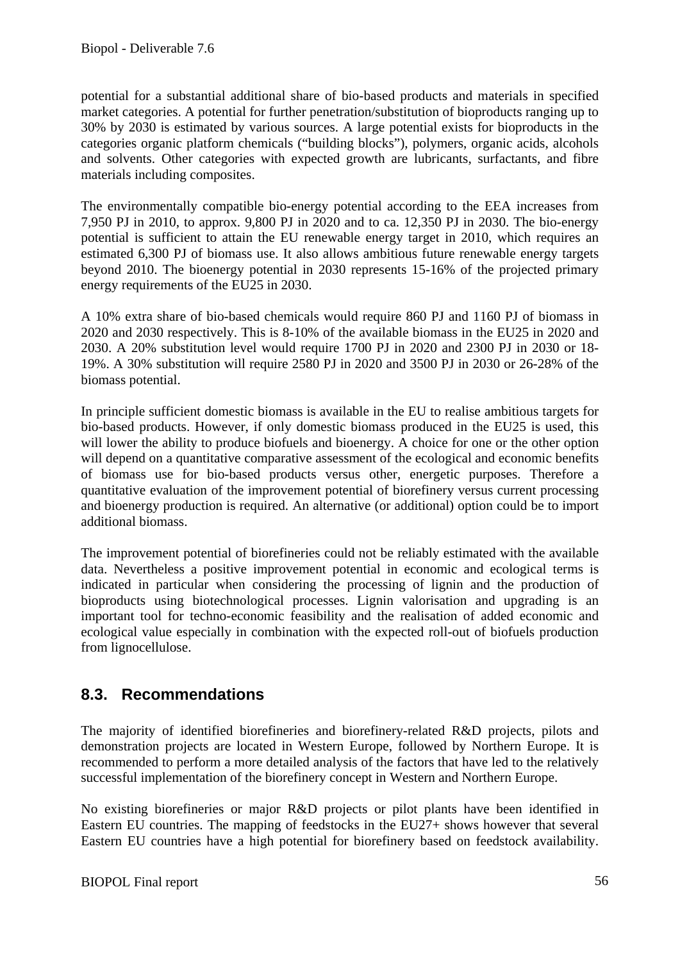potential for a substantial additional share of bio-based products and materials in specified market categories. A potential for further penetration/substitution of bioproducts ranging up to 30% by 2030 is estimated by various sources. A large potential exists for bioproducts in the categories organic platform chemicals ("building blocks"), polymers, organic acids, alcohols and solvents. Other categories with expected growth are lubricants, surfactants, and fibre materials including composites.

The environmentally compatible bio-energy potential according to the EEA increases from 7,950 PJ in 2010, to approx. 9,800 PJ in 2020 and to ca. 12,350 PJ in 2030. The bio-energy potential is sufficient to attain the EU renewable energy target in 2010, which requires an estimated 6,300 PJ of biomass use. It also allows ambitious future renewable energy targets beyond 2010. The bioenergy potential in 2030 represents 15-16% of the projected primary energy requirements of the EU25 in 2030.

A 10% extra share of bio-based chemicals would require 860 PJ and 1160 PJ of biomass in 2020 and 2030 respectively. This is 8-10% of the available biomass in the EU25 in 2020 and 2030. A 20% substitution level would require 1700 PJ in 2020 and 2300 PJ in 2030 or 18- 19%. A 30% substitution will require 2580 PJ in 2020 and 3500 PJ in 2030 or 26-28% of the biomass potential.

In principle sufficient domestic biomass is available in the EU to realise ambitious targets for bio-based products. However, if only domestic biomass produced in the EU25 is used, this will lower the ability to produce biofuels and bioenergy. A choice for one or the other option will depend on a quantitative comparative assessment of the ecological and economic benefits of biomass use for bio-based products versus other, energetic purposes. Therefore a quantitative evaluation of the improvement potential of biorefinery versus current processing and bioenergy production is required. An alternative (or additional) option could be to import additional biomass.

The improvement potential of biorefineries could not be reliably estimated with the available data. Nevertheless a positive improvement potential in economic and ecological terms is indicated in particular when considering the processing of lignin and the production of bioproducts using biotechnological processes. Lignin valorisation and upgrading is an important tool for techno-economic feasibility and the realisation of added economic and ecological value especially in combination with the expected roll-out of biofuels production from lignocellulose.

### **8.3. Recommendations**

The majority of identified biorefineries and biorefinery-related R&D projects, pilots and demonstration projects are located in Western Europe, followed by Northern Europe. It is recommended to perform a more detailed analysis of the factors that have led to the relatively successful implementation of the biorefinery concept in Western and Northern Europe.

No existing biorefineries or major R&D projects or pilot plants have been identified in Eastern EU countries. The mapping of feedstocks in the EU27+ shows however that several Eastern EU countries have a high potential for biorefinery based on feedstock availability.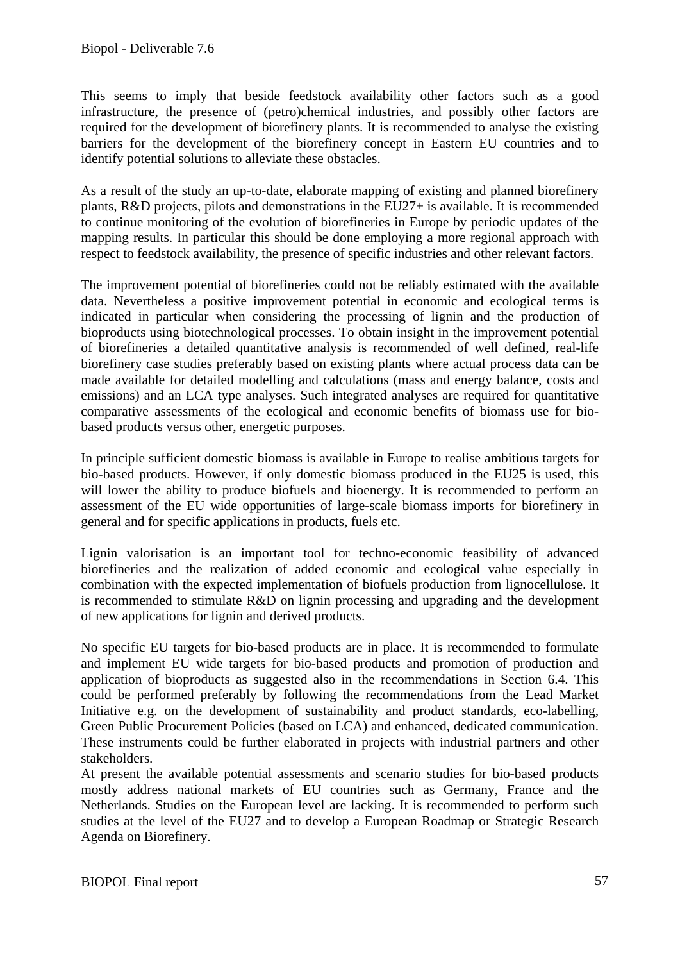This seems to imply that beside feedstock availability other factors such as a good infrastructure, the presence of (petro)chemical industries, and possibly other factors are required for the development of biorefinery plants. It is recommended to analyse the existing barriers for the development of the biorefinery concept in Eastern EU countries and to identify potential solutions to alleviate these obstacles.

As a result of the study an up-to-date, elaborate mapping of existing and planned biorefinery plants, R&D projects, pilots and demonstrations in the EU27+ is available. It is recommended to continue monitoring of the evolution of biorefineries in Europe by periodic updates of the mapping results. In particular this should be done employing a more regional approach with respect to feedstock availability, the presence of specific industries and other relevant factors.

The improvement potential of biorefineries could not be reliably estimated with the available data. Nevertheless a positive improvement potential in economic and ecological terms is indicated in particular when considering the processing of lignin and the production of bioproducts using biotechnological processes. To obtain insight in the improvement potential of biorefineries a detailed quantitative analysis is recommended of well defined, real-life biorefinery case studies preferably based on existing plants where actual process data can be made available for detailed modelling and calculations (mass and energy balance, costs and emissions) and an LCA type analyses. Such integrated analyses are required for quantitative comparative assessments of the ecological and economic benefits of biomass use for biobased products versus other, energetic purposes.

In principle sufficient domestic biomass is available in Europe to realise ambitious targets for bio-based products. However, if only domestic biomass produced in the EU25 is used, this will lower the ability to produce biofuels and bioenergy. It is recommended to perform an assessment of the EU wide opportunities of large-scale biomass imports for biorefinery in general and for specific applications in products, fuels etc.

Lignin valorisation is an important tool for techno-economic feasibility of advanced biorefineries and the realization of added economic and ecological value especially in combination with the expected implementation of biofuels production from lignocellulose. It is recommended to stimulate R&D on lignin processing and upgrading and the development of new applications for lignin and derived products.

No specific EU targets for bio-based products are in place. It is recommended to formulate and implement EU wide targets for bio-based products and promotion of production and application of bioproducts as suggested also in the recommendations in Section 6.4. This could be performed preferably by following the recommendations from the Lead Market Initiative e.g. on the development of sustainability and product standards, eco-labelling, Green Public Procurement Policies (based on LCA) and enhanced, dedicated communication. These instruments could be further elaborated in projects with industrial partners and other stakeholders.

At present the available potential assessments and scenario studies for bio-based products mostly address national markets of EU countries such as Germany, France and the Netherlands. Studies on the European level are lacking. It is recommended to perform such studies at the level of the EU27 and to develop a European Roadmap or Strategic Research Agenda on Biorefinery.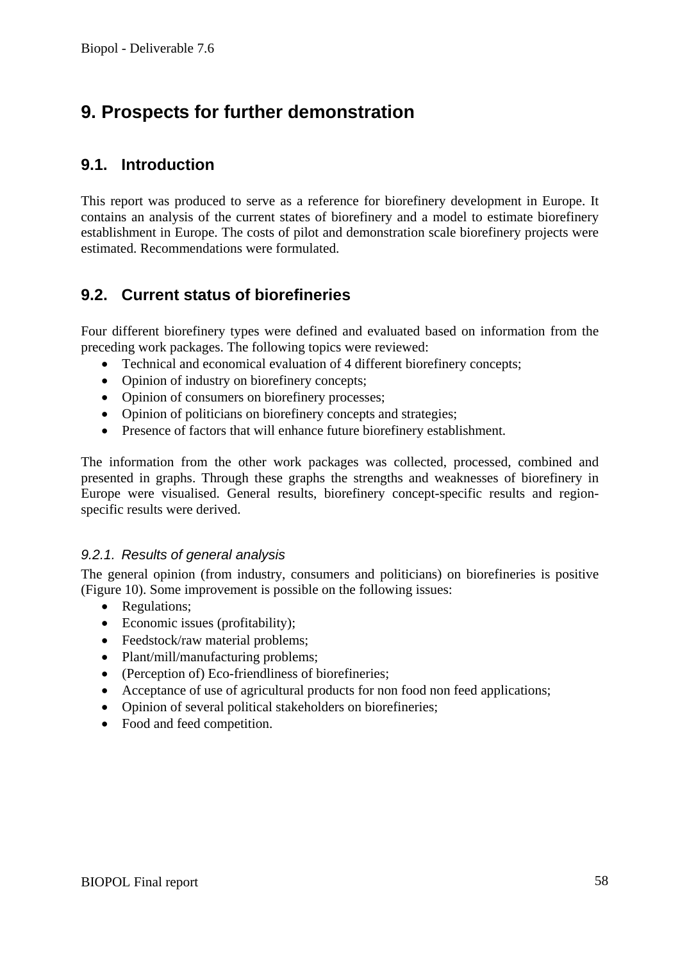# **9. Prospects for further demonstration**

### **9.1. Introduction**

This report was produced to serve as a reference for biorefinery development in Europe. It contains an analysis of the current states of biorefinery and a model to estimate biorefinery establishment in Europe. The costs of pilot and demonstration scale biorefinery projects were estimated. Recommendations were formulated.

### **9.2. Current status of biorefineries**

Four different biorefinery types were defined and evaluated based on information from the preceding work packages. The following topics were reviewed:

- Technical and economical evaluation of 4 different biorefinery concepts;
- Opinion of industry on biorefinery concepts;
- Opinion of consumers on biorefinery processes;
- Opinion of politicians on biorefinery concepts and strategies;
- Presence of factors that will enhance future biorefinery establishment.

The information from the other work packages was collected, processed, combined and presented in graphs. Through these graphs the strengths and weaknesses of biorefinery in Europe were visualised. General results, biorefinery concept-specific results and regionspecific results were derived.

#### *9.2.1. Results of general analysis*

The general opinion (from industry, consumers and politicians) on biorefineries is positive (Figure 10). Some improvement is possible on the following issues:

- Regulations:
- Economic issues (profitability);
- Feedstock/raw material problems;
- Plant/mill/manufacturing problems;
- (Perception of) Eco-friendliness of biorefineries;
- Acceptance of use of agricultural products for non food non feed applications;
- Opinion of several political stakeholders on biorefineries;
- Food and feed competition.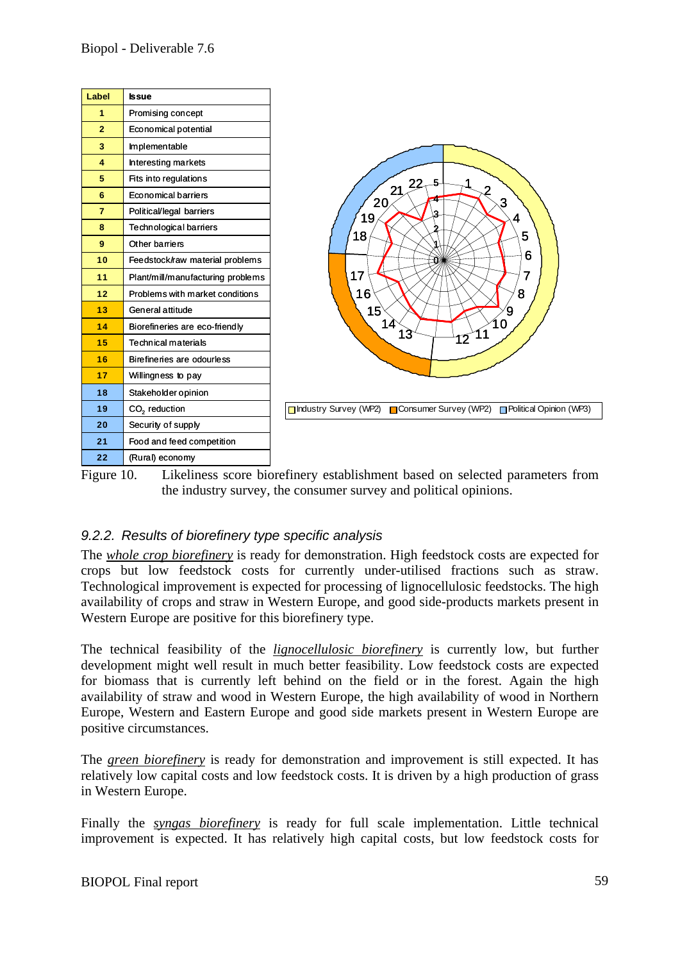

Figure 10. Likeliness score biorefinery establishment based on selected parameters from the industry survey, the consumer survey and political opinions.

### *9.2.2. Results of biorefinery type specific analysis*

The *whole crop biorefinery* is ready for demonstration. High feedstock costs are expected for crops but low feedstock costs for currently under-utilised fractions such as straw. Technological improvement is expected for processing of lignocellulosic feedstocks. The high availability of crops and straw in Western Europe, and good side-products markets present in Western Europe are positive for this biorefinery type.

The technical feasibility of the *lignocellulosic biorefinery* is currently low, but further development might well result in much better feasibility. Low feedstock costs are expected for biomass that is currently left behind on the field or in the forest. Again the high availability of straw and wood in Western Europe, the high availability of wood in Northern Europe, Western and Eastern Europe and good side markets present in Western Europe are positive circumstances.

The *green biorefinery* is ready for demonstration and improvement is still expected. It has relatively low capital costs and low feedstock costs. It is driven by a high production of grass in Western Europe.

Finally the *syngas biorefinery* is ready for full scale implementation. Little technical improvement is expected. It has relatively high capital costs, but low feedstock costs for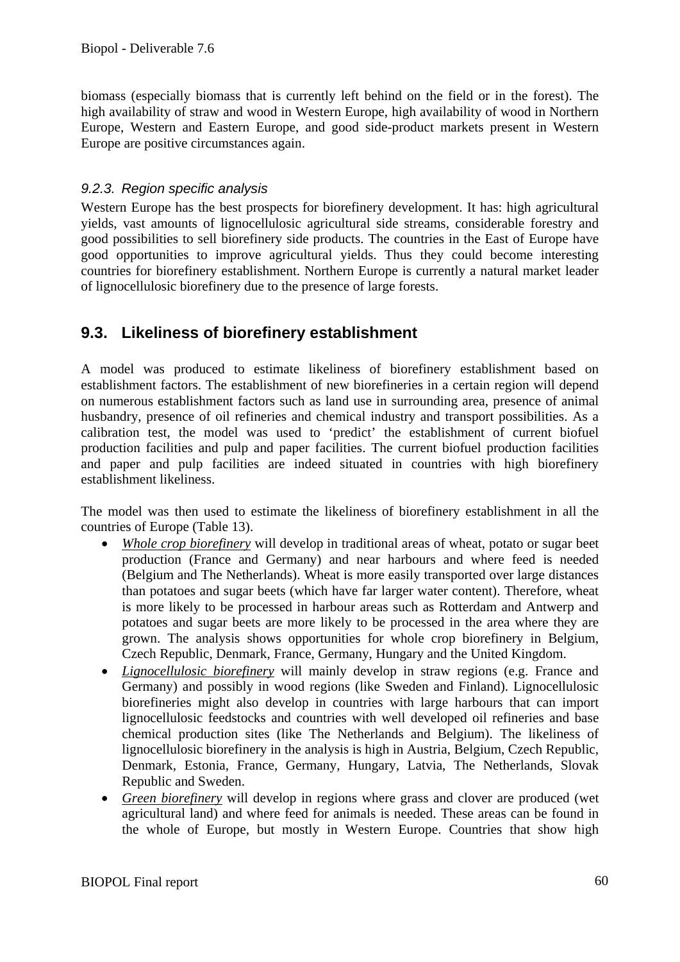biomass (especially biomass that is currently left behind on the field or in the forest). The high availability of straw and wood in Western Europe, high availability of wood in Northern Europe, Western and Eastern Europe, and good side-product markets present in Western Europe are positive circumstances again.

#### *9.2.3. Region specific analysis*

Western Europe has the best prospects for biorefinery development. It has: high agricultural yields, vast amounts of lignocellulosic agricultural side streams, considerable forestry and good possibilities to sell biorefinery side products. The countries in the East of Europe have good opportunities to improve agricultural yields. Thus they could become interesting countries for biorefinery establishment. Northern Europe is currently a natural market leader of lignocellulosic biorefinery due to the presence of large forests.

### **9.3. Likeliness of biorefinery establishment**

A model was produced to estimate likeliness of biorefinery establishment based on establishment factors. The establishment of new biorefineries in a certain region will depend on numerous establishment factors such as land use in surrounding area, presence of animal husbandry, presence of oil refineries and chemical industry and transport possibilities. As a calibration test, the model was used to 'predict' the establishment of current biofuel production facilities and pulp and paper facilities. The current biofuel production facilities and paper and pulp facilities are indeed situated in countries with high biorefinery establishment likeliness.

The model was then used to estimate the likeliness of biorefinery establishment in all the countries of Europe (Table 13).

- *Whole crop biorefinery* will develop in traditional areas of wheat, potato or sugar beet production (France and Germany) and near harbours and where feed is needed (Belgium and The Netherlands). Wheat is more easily transported over large distances than potatoes and sugar beets (which have far larger water content). Therefore, wheat is more likely to be processed in harbour areas such as Rotterdam and Antwerp and potatoes and sugar beets are more likely to be processed in the area where they are grown. The analysis shows opportunities for whole crop biorefinery in Belgium, Czech Republic, Denmark, France, Germany, Hungary and the United Kingdom.
- *Lignocellulosic biorefinery* will mainly develop in straw regions (e.g. France and Germany) and possibly in wood regions (like Sweden and Finland). Lignocellulosic biorefineries might also develop in countries with large harbours that can import lignocellulosic feedstocks and countries with well developed oil refineries and base chemical production sites (like The Netherlands and Belgium). The likeliness of lignocellulosic biorefinery in the analysis is high in Austria, Belgium, Czech Republic, Denmark, Estonia, France, Germany, Hungary, Latvia, The Netherlands, Slovak Republic and Sweden.
- *Green biorefinery* will develop in regions where grass and clover are produced (wet agricultural land) and where feed for animals is needed. These areas can be found in the whole of Europe, but mostly in Western Europe. Countries that show high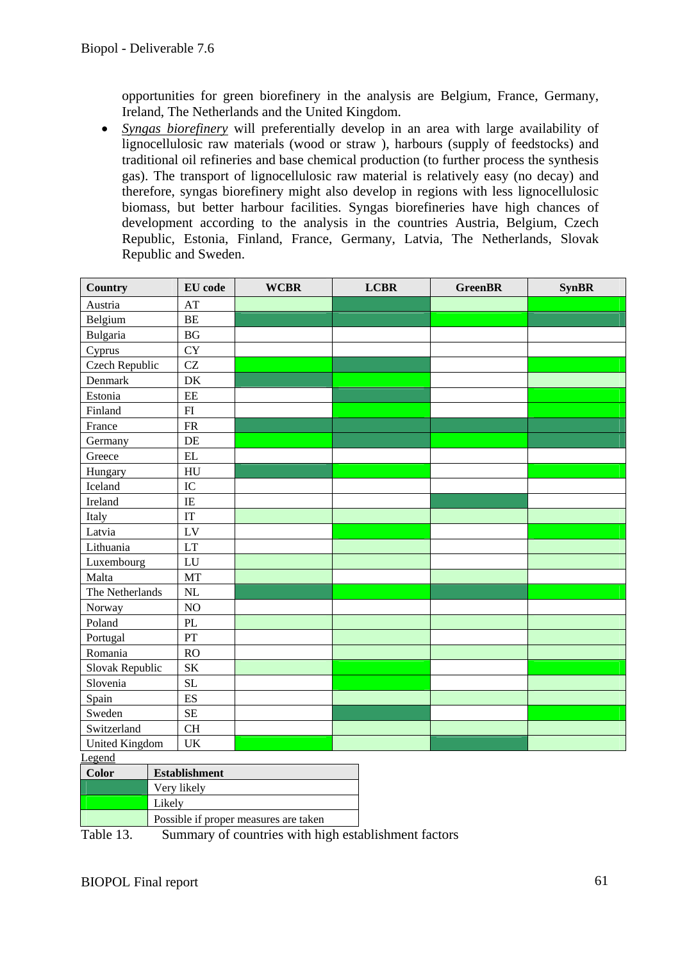opportunities for green biorefinery in the analysis are Belgium, France, Germany, Ireland, The Netherlands and the United Kingdom.

• *Syngas biorefinery* will preferentially develop in an area with large availability of lignocellulosic raw materials (wood or straw ), harbours (supply of feedstocks) and traditional oil refineries and base chemical production (to further process the synthesis gas). The transport of lignocellulosic raw material is relatively easy (no decay) and therefore, syngas biorefinery might also develop in regions with less lignocellulosic biomass, but better harbour facilities. Syngas biorefineries have high chances of development according to the analysis in the countries Austria, Belgium, Czech Republic, Estonia, Finland, France, Germany, Latvia, The Netherlands, Slovak Republic and Sweden.

| <b>Country</b>              |                                       | <b>EU</b> code                  | <b>WCBR</b> |  | <b>LCBR</b> | <b>GreenBR</b> |  | <b>SynBR</b> |
|-----------------------------|---------------------------------------|---------------------------------|-------------|--|-------------|----------------|--|--------------|
| Austria                     |                                       | AT                              |             |  |             |                |  |              |
| Belgium                     |                                       | BE                              |             |  |             |                |  |              |
| Bulgaria                    |                                       | BG                              |             |  |             |                |  |              |
| Cyprus                      |                                       | <b>CY</b>                       |             |  |             |                |  |              |
| Czech Republic              |                                       | CZ                              |             |  |             |                |  |              |
| Denmark                     |                                       | DK                              |             |  |             |                |  |              |
| Estonia                     |                                       | $\rm{EE}$                       |             |  |             |                |  |              |
| Finland                     |                                       | FI                              |             |  |             |                |  |              |
| France                      |                                       | ${\sf FR}$                      |             |  |             |                |  |              |
| Germany                     |                                       | DE                              |             |  |             |                |  |              |
| Greece                      |                                       | $\mathbf{EL}$                   |             |  |             |                |  |              |
| Hungary                     |                                       | HU                              |             |  |             |                |  |              |
| Iceland                     |                                       | IC                              |             |  |             |                |  |              |
| Ireland                     |                                       | $\rm IE$                        |             |  |             |                |  |              |
| Italy                       |                                       | IT                              |             |  |             |                |  |              |
| Latvia                      |                                       | LV                              |             |  |             |                |  |              |
| Lithuania                   |                                       | LT                              |             |  |             |                |  |              |
| Luxembourg                  |                                       | LU                              |             |  |             |                |  |              |
| Malta                       |                                       | <b>MT</b>                       |             |  |             |                |  |              |
| The Netherlands             |                                       | NL                              |             |  |             |                |  |              |
| Norway                      |                                       | NO                              |             |  |             |                |  |              |
| Poland                      |                                       | $\ensuremath{\text{PL}}\xspace$ |             |  |             |                |  |              |
| Portugal                    |                                       | ${\cal PT}$                     |             |  |             |                |  |              |
| Romania                     |                                       | RO                              |             |  |             |                |  |              |
| Slovak Republic             |                                       | <b>SK</b>                       |             |  |             |                |  |              |
| Slovenia                    |                                       | <b>SL</b>                       |             |  |             |                |  |              |
| Spain                       |                                       | ES                              |             |  |             |                |  |              |
| Sweden                      |                                       | <b>SE</b>                       |             |  |             |                |  |              |
| Switzerland                 |                                       | <b>CH</b>                       |             |  |             |                |  |              |
| <b>United Kingdom</b><br>UK |                                       |                                 |             |  |             |                |  |              |
| Legend                      |                                       |                                 |             |  |             |                |  |              |
| <b>Color</b>                | <b>Establishment</b>                  |                                 |             |  |             |                |  |              |
|                             | Very likely                           |                                 |             |  |             |                |  |              |
|                             | Likely                                |                                 |             |  |             |                |  |              |
|                             | Possible if proper measures are taken |                                 |             |  |             |                |  |              |

Table 13. Summary of countries with high establishment factors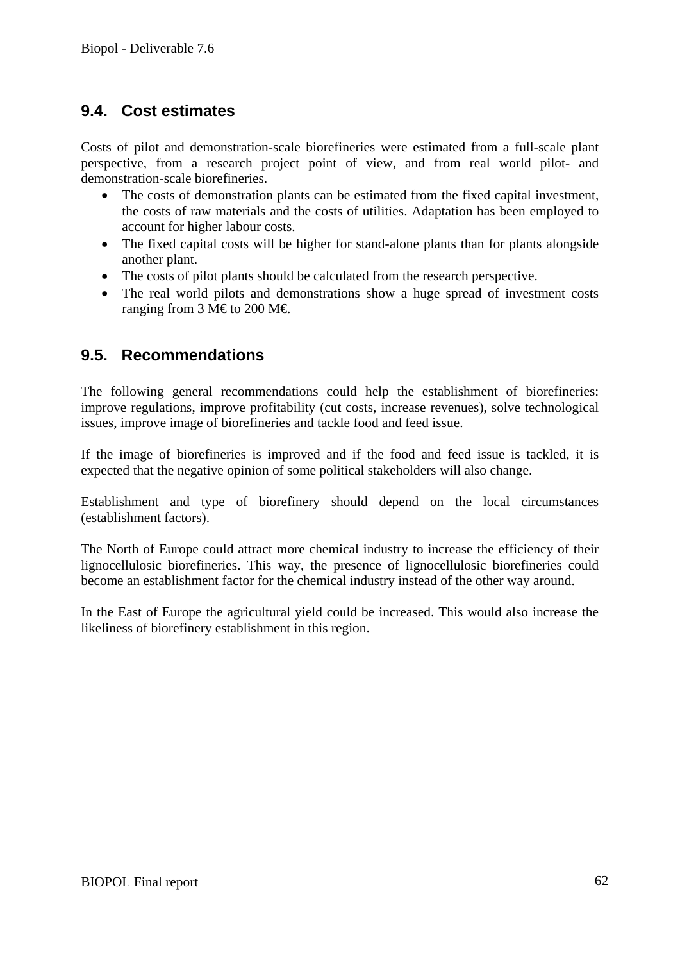### **9.4. Cost estimates**

Costs of pilot and demonstration-scale biorefineries were estimated from a full-scale plant perspective, from a research project point of view, and from real world pilot- and demonstration-scale biorefineries.

- The costs of demonstration plants can be estimated from the fixed capital investment, the costs of raw materials and the costs of utilities. Adaptation has been employed to account for higher labour costs.
- The fixed capital costs will be higher for stand-alone plants than for plants alongside another plant.
- The costs of pilot plants should be calculated from the research perspective.
- The real world pilots and demonstrations show a huge spread of investment costs ranging from 3 M€ to 200 M€.

### **9.5. Recommendations**

The following general recommendations could help the establishment of biorefineries: improve regulations, improve profitability (cut costs, increase revenues), solve technological issues, improve image of biorefineries and tackle food and feed issue.

If the image of biorefineries is improved and if the food and feed issue is tackled, it is expected that the negative opinion of some political stakeholders will also change.

Establishment and type of biorefinery should depend on the local circumstances (establishment factors).

The North of Europe could attract more chemical industry to increase the efficiency of their lignocellulosic biorefineries. This way, the presence of lignocellulosic biorefineries could become an establishment factor for the chemical industry instead of the other way around.

In the East of Europe the agricultural yield could be increased. This would also increase the likeliness of biorefinery establishment in this region.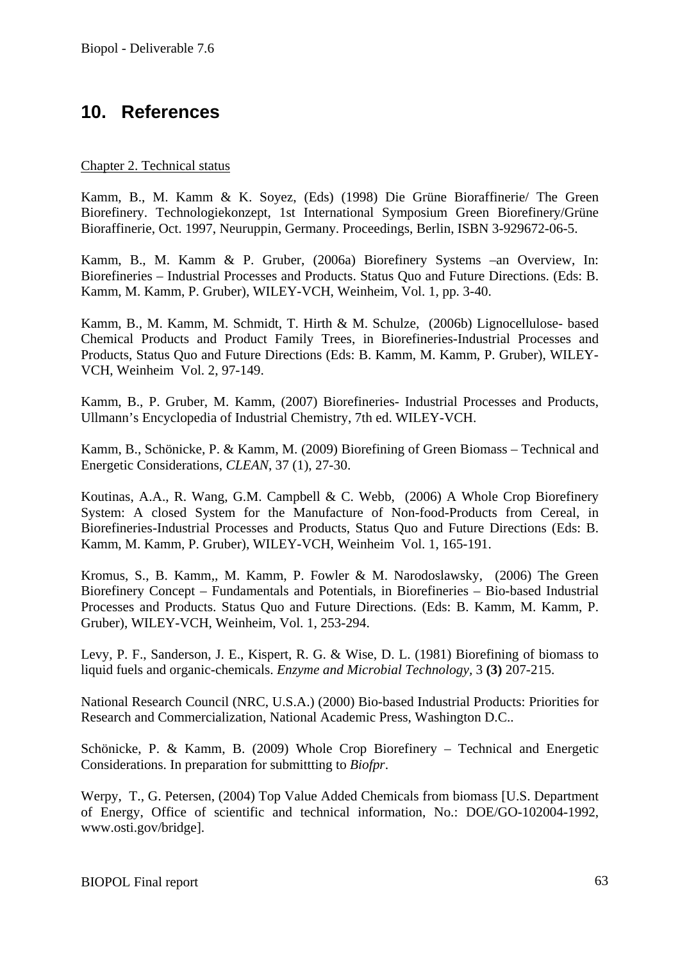## **10. References**

#### Chapter 2. Technical status

Kamm, B., M. Kamm & K. Soyez, (Eds) (1998) Die Grüne Bioraffinerie/ The Green Biorefinery. Technologiekonzept, 1st International Symposium Green Biorefinery/Grüne Bioraffinerie, Oct. 1997, Neuruppin, Germany. Proceedings, Berlin, ISBN 3-929672-06-5.

Kamm, B., M. Kamm & P. Gruber, (2006a) Biorefinery Systems –an Overview, In: Biorefineries – Industrial Processes and Products. Status Quo and Future Directions. (Eds: B. Kamm, M. Kamm, P. Gruber), WILEY-VCH, Weinheim, Vol. 1, pp. 3-40.

Kamm, B., M. Kamm, M. Schmidt, T. Hirth & M. Schulze, (2006b) Lignocellulose- based Chemical Products and Product Family Trees, in Biorefineries-Industrial Processes and Products, Status Quo and Future Directions (Eds: B. Kamm, M. Kamm, P. Gruber), WILEY-VCH, Weinheim Vol. 2, 97-149.

Kamm, B., P. Gruber, M. Kamm, (2007) Biorefineries- Industrial Processes and Products, Ullmann's Encyclopedia of Industrial Chemistry, 7th ed. WILEY-VCH.

Kamm, B., Schönicke, P. & Kamm, M. (2009) Biorefining of Green Biomass – Technical and Energetic Considerations, *CLEAN*, 37 (1), 27-30.

Koutinas, A.A., R. Wang, G.M. Campbell & C. Webb, (2006) A Whole Crop Biorefinery System: A closed System for the Manufacture of Non-food-Products from Cereal, in Biorefineries-Industrial Processes and Products, Status Quo and Future Directions (Eds: B. Kamm, M. Kamm, P. Gruber), WILEY-VCH, Weinheim Vol. 1, 165-191.

Kromus, S., B. Kamm,, M. Kamm, P. Fowler & M. Narodoslawsky, (2006) The Green Biorefinery Concept – Fundamentals and Potentials, in Biorefineries – Bio-based Industrial Processes and Products. Status Quo and Future Directions. (Eds: B. Kamm, M. Kamm, P. Gruber), WILEY-VCH, Weinheim, Vol. 1, 253-294.

Levy, P. F., Sanderson, J. E., Kispert, R. G. & Wise, D. L. (1981) Biorefining of biomass to liquid fuels and organic-chemicals. *Enzyme and Microbial Technology,* 3 **(3)** 207-215.

National Research Council (NRC, U.S.A.) (2000) Bio-based Industrial Products: Priorities for Research and Commercialization, National Academic Press, Washington D.C..

Schönicke, P. & Kamm, B. (2009) Whole Crop Biorefinery – Technical and Energetic Considerations. In preparation for submittting to *Biofpr*.

Werpy, T., G. Petersen, (2004) Top Value Added Chemicals from biomass [U.S. Department of Energy, Office of scientific and technical information, No.: DOE/GO-102004-1992, www.osti.gov/bridge].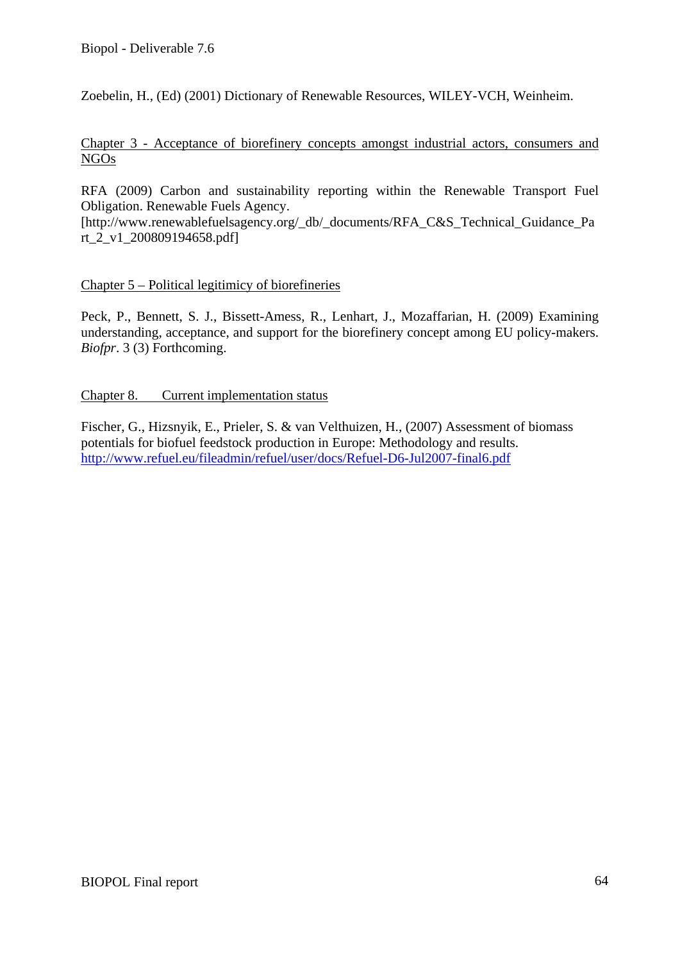Zoebelin, H., (Ed) (2001) Dictionary of Renewable Resources, WILEY-VCH, Weinheim.

Chapter 3 - Acceptance of biorefinery concepts amongst industrial actors, consumers and NGOs

RFA (2009) Carbon and sustainability reporting within the Renewable Transport Fuel Obligation. Renewable Fuels Agency.

[http://www.renewablefuelsagency.org/\_db/\_documents/RFA\_C&S\_Technical\_Guidance\_Pa rt\_2\_v1\_200809194658.pdf]

#### Chapter 5 – Political legitimicy of biorefineries

Peck, P., Bennett, S. J., Bissett-Amess, R., Lenhart, J., Mozaffarian, H. (2009) Examining understanding, acceptance, and support for the biorefinery concept among EU policy-makers. *Biofpr*. 3 (3) Forthcoming.

#### Chapter 8. Current implementation status

Fischer, G., Hizsnyik, E., Prieler, S. & van Velthuizen, H., (2007) Assessment of biomass potentials for biofuel feedstock production in Europe: Methodology and results. http://www.refuel.eu/fileadmin/refuel/user/docs/Refuel-D6-Jul2007-final6.pdf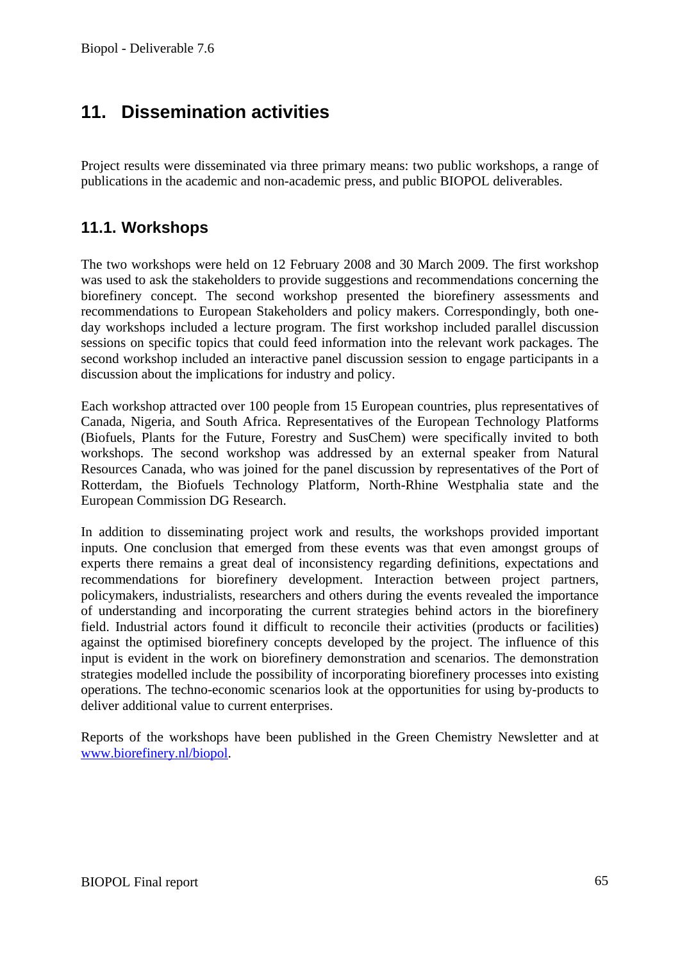# **11. Dissemination activities**

Project results were disseminated via three primary means: two public workshops, a range of publications in the academic and non-academic press, and public BIOPOL deliverables.

### **11.1. Workshops**

The two workshops were held on 12 February 2008 and 30 March 2009. The first workshop was used to ask the stakeholders to provide suggestions and recommendations concerning the biorefinery concept. The second workshop presented the biorefinery assessments and recommendations to European Stakeholders and policy makers. Correspondingly, both oneday workshops included a lecture program. The first workshop included parallel discussion sessions on specific topics that could feed information into the relevant work packages. The second workshop included an interactive panel discussion session to engage participants in a discussion about the implications for industry and policy.

Each workshop attracted over 100 people from 15 European countries, plus representatives of Canada, Nigeria, and South Africa. Representatives of the European Technology Platforms (Biofuels, Plants for the Future, Forestry and SusChem) were specifically invited to both workshops. The second workshop was addressed by an external speaker from Natural Resources Canada, who was joined for the panel discussion by representatives of the Port of Rotterdam, the Biofuels Technology Platform, North-Rhine Westphalia state and the European Commission DG Research.

In addition to disseminating project work and results, the workshops provided important inputs. One conclusion that emerged from these events was that even amongst groups of experts there remains a great deal of inconsistency regarding definitions, expectations and recommendations for biorefinery development. Interaction between project partners, policymakers, industrialists, researchers and others during the events revealed the importance of understanding and incorporating the current strategies behind actors in the biorefinery field. Industrial actors found it difficult to reconcile their activities (products or facilities) against the optimised biorefinery concepts developed by the project. The influence of this input is evident in the work on biorefinery demonstration and scenarios. The demonstration strategies modelled include the possibility of incorporating biorefinery processes into existing operations. The techno-economic scenarios look at the opportunities for using by-products to deliver additional value to current enterprises.

Reports of the workshops have been published in the Green Chemistry Newsletter and at www.biorefinery.nl/biopol.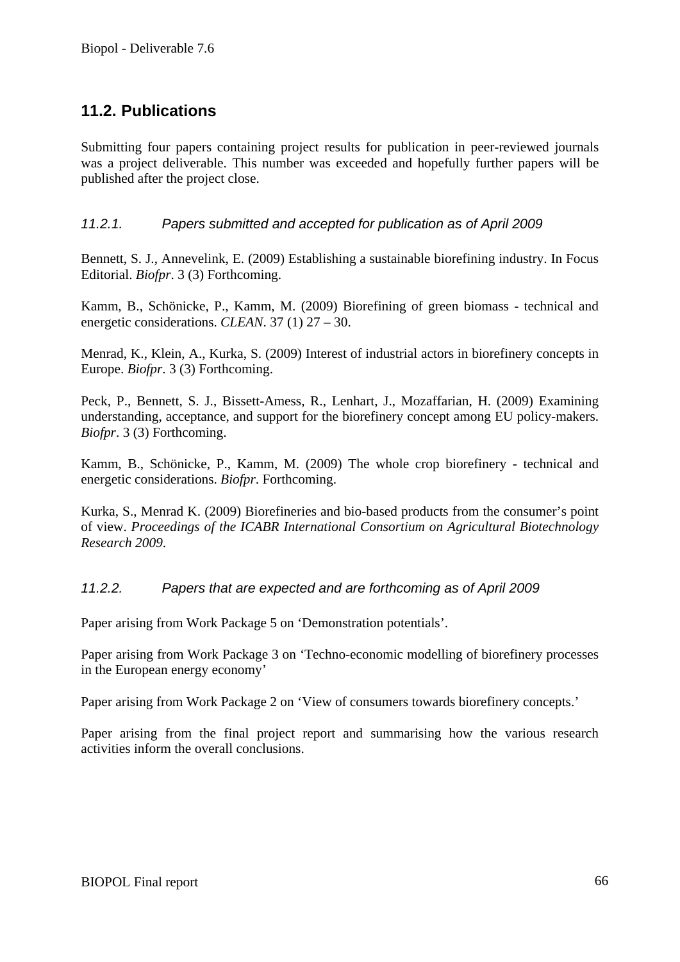### **11.2. Publications**

Submitting four papers containing project results for publication in peer-reviewed journals was a project deliverable. This number was exceeded and hopefully further papers will be published after the project close.

#### *11.2.1. Papers submitted and accepted for publication as of April 2009*

Bennett, S. J., Annevelink, E. (2009) Establishing a sustainable biorefining industry. In Focus Editorial. *Biofpr*. 3 (3) Forthcoming.

Kamm, B., Schönicke, P., Kamm, M. (2009) Biorefining of green biomass - technical and energetic considerations. *CLEAN*. 37 (1) 27 – 30.

Menrad, K., Klein, A., Kurka, S. (2009) Interest of industrial actors in biorefinery concepts in Europe. *Biofpr*. 3 (3) Forthcoming.

Peck, P., Bennett, S. J., Bissett-Amess, R., Lenhart, J., Mozaffarian, H. (2009) Examining understanding, acceptance, and support for the biorefinery concept among EU policy-makers. *Biofpr*. 3 (3) Forthcoming.

Kamm, B., Schönicke, P., Kamm, M. (2009) The whole crop biorefinery - technical and energetic considerations. *Biofpr*. Forthcoming.

Kurka, S., Menrad K. (2009) Biorefineries and bio-based products from the consumer's point of view. *Proceedings of the ICABR International Consortium on Agricultural Biotechnology Research 2009*.

#### *11.2.2. Papers that are expected and are forthcoming as of April 2009*

Paper arising from Work Package 5 on 'Demonstration potentials'.

Paper arising from Work Package 3 on 'Techno-economic modelling of biorefinery processes in the European energy economy'

Paper arising from Work Package 2 on 'View of consumers towards biorefinery concepts.'

Paper arising from the final project report and summarising how the various research activities inform the overall conclusions.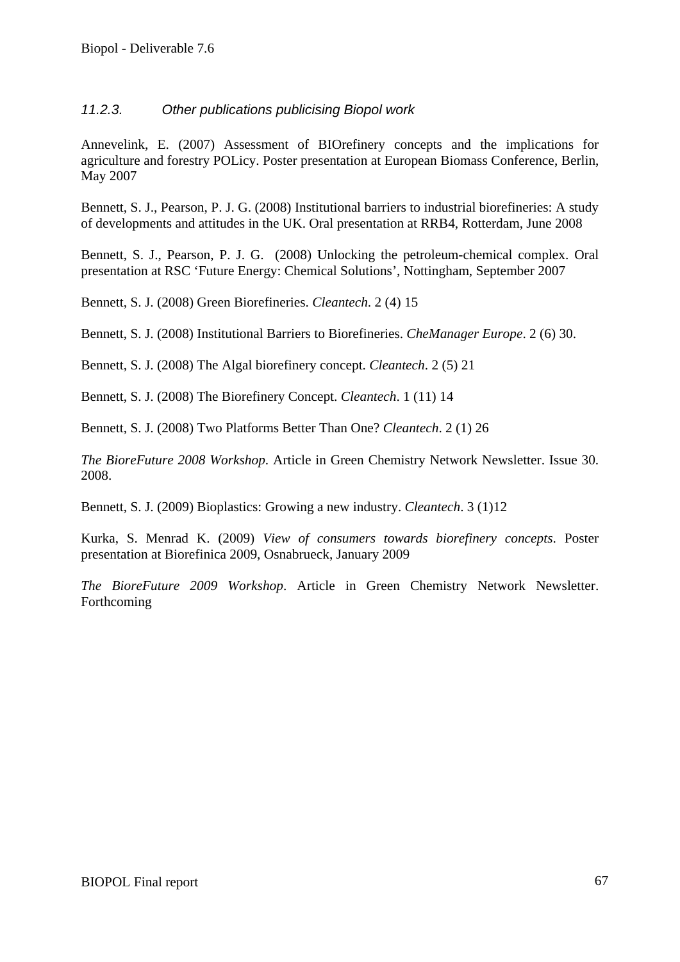#### *11.2.3. Other publications publicising Biopol work*

Annevelink, E. (2007) Assessment of BIOrefinery concepts and the implications for agriculture and forestry POLicy. Poster presentation at European Biomass Conference, Berlin, May 2007

Bennett, S. J., Pearson, P. J. G. (2008) Institutional barriers to industrial biorefineries: A study of developments and attitudes in the UK. Oral presentation at RRB4, Rotterdam, June 2008

Bennett, S. J., Pearson, P. J. G. (2008) Unlocking the petroleum-chemical complex. Oral presentation at RSC 'Future Energy: Chemical Solutions', Nottingham, September 2007

Bennett, S. J. (2008) Green Biorefineries. *Cleantech*. 2 (4) 15

Bennett, S. J. (2008) Institutional Barriers to Biorefineries. *CheManager Europe*. 2 (6) 30.

Bennett, S. J. (2008) The Algal biorefinery concept. *Cleantech*. 2 (5) 21

Bennett, S. J. (2008) The Biorefinery Concept. *Cleantech*. 1 (11) 14

Bennett, S. J. (2008) Two Platforms Better Than One? *Cleantech*. 2 (1) 26

*The BioreFuture 2008 Workshop*. Article in Green Chemistry Network Newsletter. Issue 30. 2008.

Bennett, S. J. (2009) Bioplastics: Growing a new industry. *Cleantech*. 3 (1)12

Kurka, S. Menrad K. (2009) *View of consumers towards biorefinery concepts*. Poster presentation at Biorefinica 2009, Osnabrueck, January 2009

*The BioreFuture 2009 Workshop*. Article in Green Chemistry Network Newsletter. Forthcoming